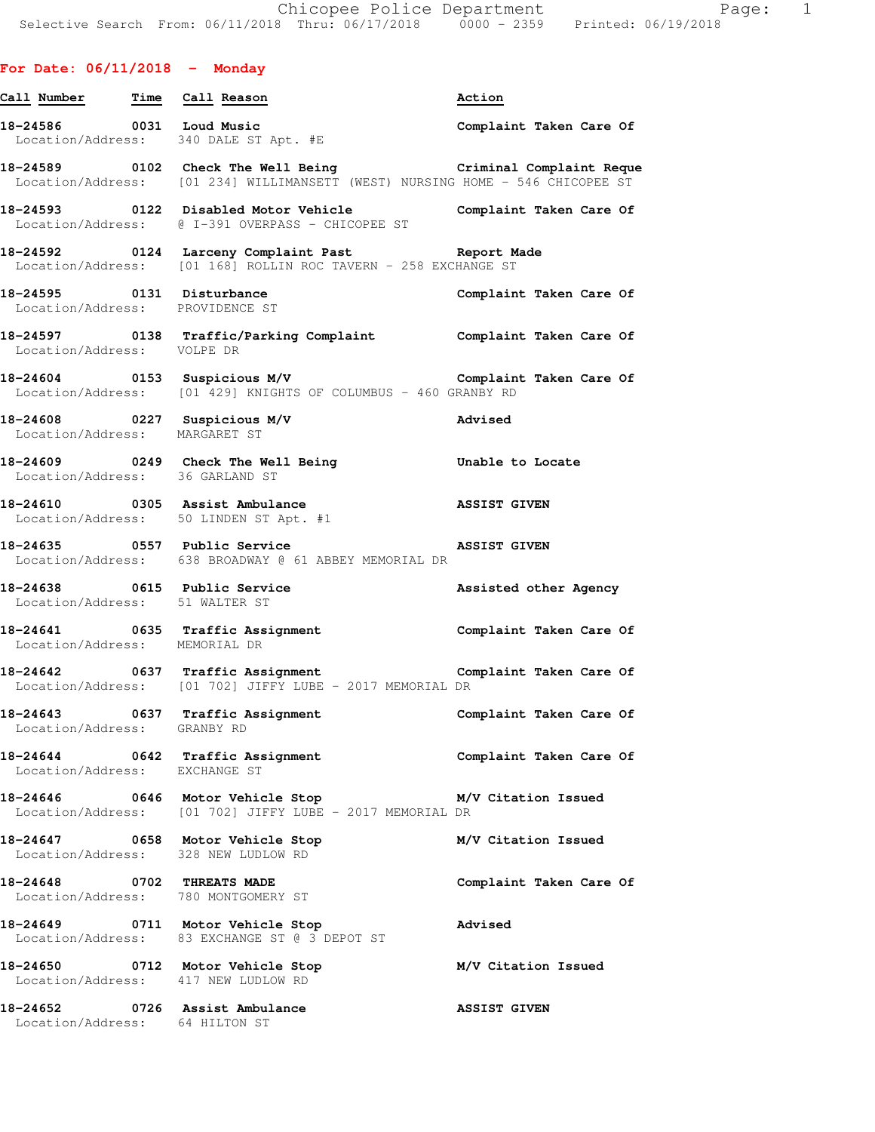## **For Date: 06/11/2018 - Monday**

| Call Number Time                | Call Reason                                                                                                                                        | Action                  |
|---------------------------------|----------------------------------------------------------------------------------------------------------------------------------------------------|-------------------------|
| 18-24586 0031 Loud Music        | Location/Address: 340 DALE ST Apt. #E                                                                                                              | Complaint Taken Care Of |
|                                 | 18-24589 		 0102 Check The Well Being 		 Criminal Complaint Reque<br>Location/Address: [01 234] WILLIMANSETT (WEST) NURSING HOME - 546 CHICOPEE ST |                         |
|                                 | 18-24593 0122 Disabled Motor Vehicle Complaint Taken Care Of<br>Location/Address: @ I-391 OVERPASS - CHICOPEE ST                                   |                         |
|                                 | 18-24592 		 0124 Larceny Complaint Past 		 Report Made<br>Location/Address: [01 168] ROLLIN ROC TAVERN - 258 EXCHANGE ST                           |                         |
|                                 | 18-24595 0131 Disturbance<br>Location/Address: PROVIDENCE ST                                                                                       | Complaint Taken Care Of |
| Location/Address: VOLPE DR      | 18-24597 0138 Traffic/Parking Complaint Complaint Taken Care Of                                                                                    |                         |
|                                 | 18-24604 		 0153 Suspicious M/V 		 Complaint Taken Care Of<br>Location/Address: [01 429] KNIGHTS OF COLUMBUS - 460 GRANBY RD                       |                         |
| Location/Address: MARGARET ST   | 18-24608 0227 Suspicious M/V<br><b>Advised</b>                                                                                                     |                         |
| Location/Address: 36 GARLAND ST | 18-24609 0249 Check The Well Being 30 Unable to Locate                                                                                             |                         |
|                                 | 18-24610 0305 Assist Ambulance ASSIST GIVEN<br>Location/Address: 50 LINDEN ST Apt. #1                                                              |                         |
|                                 | 18-24635 0557 Public Service<br>Location/Address: 638 BROADWAY @ 61 ABBEY MEMORIAL DR                                                              | <b>ASSIST GIVEN</b>     |
| Location/Address: 51 WALTER ST  | 18-24638 0615 Public Service                                                                                                                       | Assisted other Agency   |
| Location/Address: MEMORIAL DR   | 18-24641 0635 Traffic Assignment 18-24641 Complaint Taken Care Of                                                                                  |                         |
|                                 | 18-24642 0637 Traffic Assignment<br>Location/Address: [01 702] JIFFY LUBE - 2017 MEMORIAL DR                                                       |                         |
|                                 | 18-24643 0637 Traffic Assignment<br>Location/Address: GRANBY RD                                                                                    | Complaint Taken Care Of |
| Location/Address: EXCHANGE ST   | 18-24644 0642 Traffic Assignment                                                                                                                   | Complaint Taken Care Of |
|                                 | 18-24646 0646 Motor Vehicle Stop<br>Location/Address: [01 702] JIFFY LUBE - 2017 MEMORIAL DR                                                       | M/V Citation Issued     |
|                                 | 18-24647 0658 Motor Vehicle Stop<br>Location/Address: 328 NEW LUDLOW RD                                                                            | M/V Citation Issued     |
| 18-24648 0702 THREATS MADE      | Location/Address: 780 MONTGOMERY ST                                                                                                                | Complaint Taken Care Of |
|                                 | 18-24649 0711 Motor Vehicle Stop<br>Location/Address: 83 EXCHANGE ST @ 3 DEPOT ST                                                                  | Advised                 |
|                                 | 18-24650 0712 Motor Vehicle Stop<br>Location/Address: 417 NEW LUDLOW RD                                                                            | M/V Citation Issued     |
| Location/Address: 64 HILTON ST  | 18-24652 0726 Assist Ambulance                                                                                                                     | <b>ASSIST GIVEN</b>     |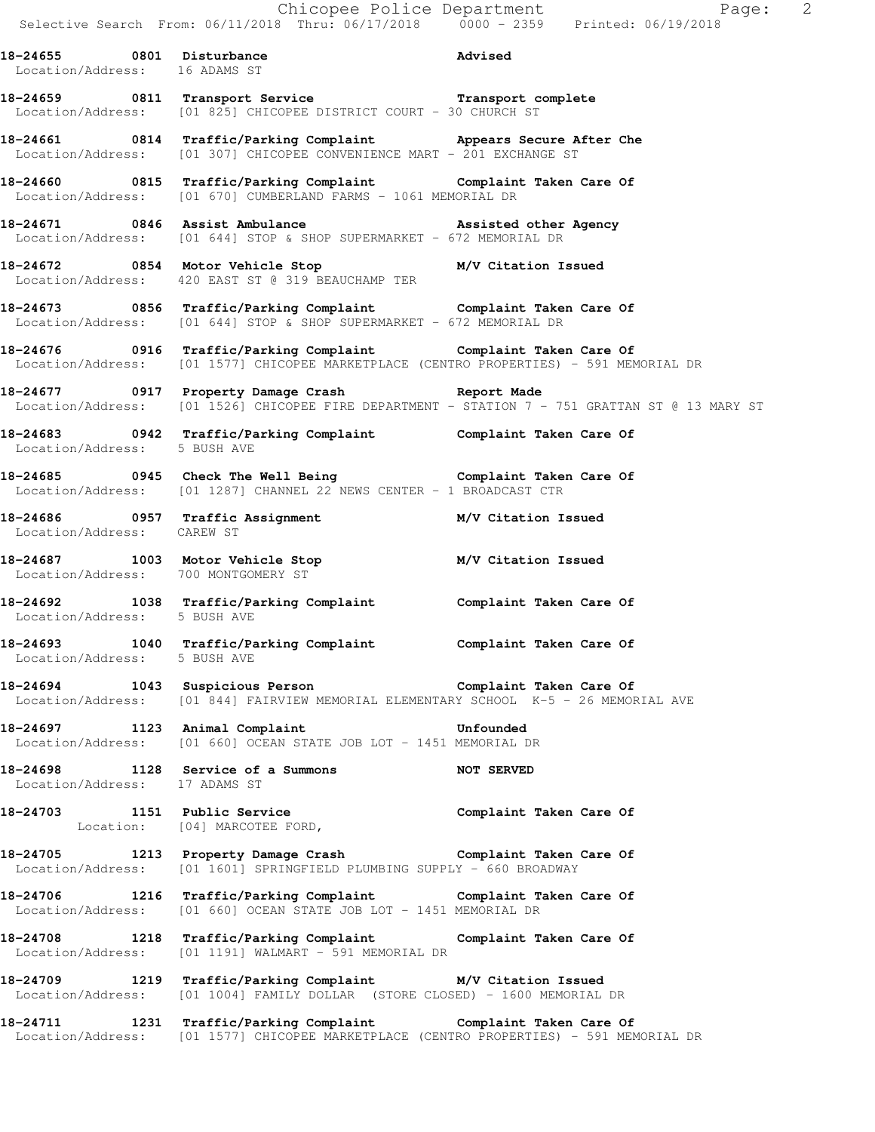Chicopee Police Department Fage: 2 Selective Search From: 06/11/2018 Thru: 06/17/2018 0000 - 2359 Printed: 06/19/2018 **18-24655 0801 Disturbance Advised**  Location/Address: 16 ADAMS ST **18-24659 0811 Transport Service Transport complete**  Location/Address: [01 825] CHICOPEE DISTRICT COURT - 30 CHURCH ST **18-24661 0814 Traffic/Parking Complaint Appears Secure After Che**  Location/Address: [01 307] CHICOPEE CONVENIENCE MART - 201 EXCHANGE ST **18-24660 0815 Traffic/Parking Complaint Complaint Taken Care Of**  Location/Address: [01 670] CUMBERLAND FARMS - 1061 MEMORIAL DR 18-24671 0846 Assist Ambulance **Assisted other Agency Assisted other Agency** Location/Address: [01 644] STOP & SHOP SUPERMARKET - 672 MEMORIAL DR **18-24672 0854 Motor Vehicle Stop M/V Citation Issued**  Location/Address: 420 EAST ST @ 319 BEAUCHAMP TER **18-24673 0856 Traffic/Parking Complaint Complaint Taken Care Of**  Location/Address:  $[01 644]$  STOP & SHOP SUPERMARKET - 672 MEMORIAL DR **18-24676 0916 Traffic/Parking Complaint Complaint Taken Care Of**  Location/Address: [01 1577] CHICOPEE MARKETPLACE (CENTRO PROPERTIES) - 591 MEMORIAL DR **18-24677 0917 Property Damage Crash Report Made**  Location/Address: [01 1526] CHICOPEE FIRE DEPARTMENT - STATION 7 - 751 GRATTAN ST @ 13 MARY ST **18-24683 0942 Traffic/Parking Complaint Complaint Taken Care Of**  Location/Address: 5 BUSH AVE **18-24685 0945 Check The Well Being Complaint Taken Care Of**  Location/Address: [01 1287] CHANNEL 22 NEWS CENTER - 1 BROADCAST CTR **18-24686 0957 Traffic Assignment M/V Citation Issued**  Location/Address: CAREW ST **18-24687 1003 Motor Vehicle Stop M/V Citation Issued**  Location/Address: 700 MONTGOMERY ST **18-24692 1038 Traffic/Parking Complaint Complaint Taken Care Of**  Location/Address: 5 BUSH AVE **18-24693 1040 Traffic/Parking Complaint Complaint Taken Care Of**  Location/Address: 5 BUSH AVE **18-24694 1043 Suspicious Person Complaint Taken Care Of**  Location/Address: [01 844] FAIRVIEW MEMORIAL ELEMENTARY SCHOOL K-5 - 26 MEMORIAL AVE **18-24697 1123 Animal Complaint Unfounded**  Location/Address: [01 660] OCEAN STATE JOB LOT - 1451 MEMORIAL DR **18-24698 1128 Service of a Summons NOT SERVED**  Location/Address: 17 ADAMS ST **18-24703 1151 Public Service Complaint Taken Care Of**  Location: [04] MARCOTEE FORD, **18-24705 1213 Property Damage Crash Complaint Taken Care Of**  Location/Address: [01 1601] SPRINGFIELD PLUMBING SUPPLY - 660 BROADWAY **18-24706 1216 Traffic/Parking Complaint Complaint Taken Care Of**  Location/Address: [01 660] OCEAN STATE JOB LOT - 1451 MEMORIAL DR **18-24708 1218 Traffic/Parking Complaint Complaint Taken Care Of**  Location/Address: [01 1191] WALMART - 591 MEMORIAL DR **18-24709 1219 Traffic/Parking Complaint M/V Citation Issued**  Location/Address: [01 1004] FAMILY DOLLAR (STORE CLOSED) - 1600 MEMORIAL DR

**18-24711 1231 Traffic/Parking Complaint Complaint Taken Care Of**  Location/Address: [01 1577] CHICOPEE MARKETPLACE (CENTRO PROPERTIES) - 591 MEMORIAL DR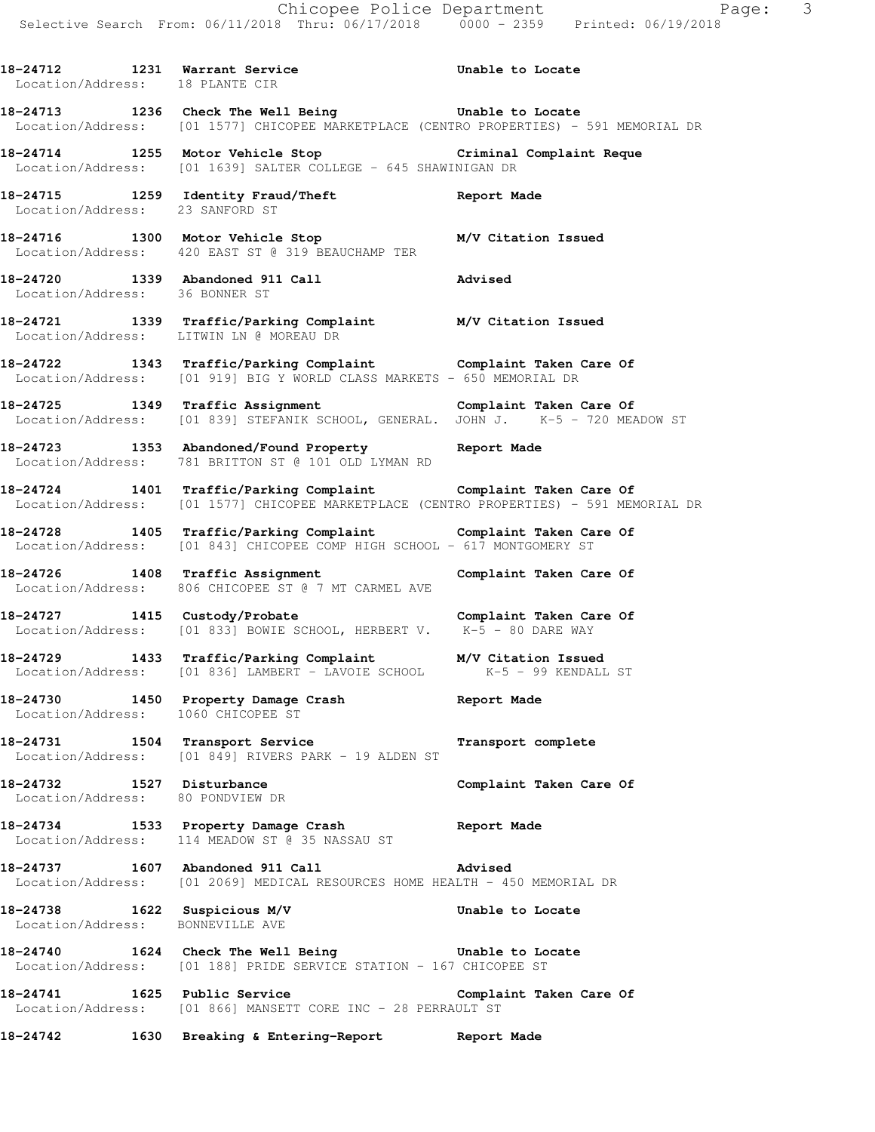**18-24712 1231 Warrant Service Unable to Locate**  Location/Address: 18 PLANTE CIR **18-24713 1236 Check The Well Being Unable to Locate**  Location/Address: [01 1577] CHICOPEE MARKETPLACE (CENTRO PROPERTIES) - 591 MEMORIAL DR **18-24714 1255 Motor Vehicle Stop Criminal Complaint Reque**  Location/Address: [01 1639] SALTER COLLEGE - 645 SHAWINIGAN DR **18-24715 1259 Identity Fraud/Theft Report Made**  Location/Address: 23 SANFORD ST **18-24716 1300 Motor Vehicle Stop M/V Citation Issued**  Location/Address: 420 EAST ST @ 319 BEAUCHAMP TER **18-24720 1339 Abandoned 911 Call Advised**  Location/Address: 36 BONNER ST **18-24721 1339 Traffic/Parking Complaint M/V Citation Issued**  Location/Address: LITWIN LN @ MOREAU DR **18-24722 1343 Traffic/Parking Complaint Complaint Taken Care Of**  Location/Address: [01 919] BIG Y WORLD CLASS MARKETS - 650 MEMORIAL DR **18-24725 1349 Traffic Assignment Complaint Taken Care Of**  Location/Address: [01 839] STEFANIK SCHOOL, GENERAL. JOHN J. K-5 - 720 MEADOW ST **18-24723 1353 Abandoned/Found Property Report Made**  Location/Address: 781 BRITTON ST @ 101 OLD LYMAN RD **18-24724 1401 Traffic/Parking Complaint Complaint Taken Care Of**  Location/Address: [01 1577] CHICOPEE MARKETPLACE (CENTRO PROPERTIES) - 591 MEMORIAL DR **18-24728 1405 Traffic/Parking Complaint Complaint Taken Care Of**  Location/Address: [01 843] CHICOPEE COMP HIGH SCHOOL - 617 MONTGOMERY ST 18-24726 1408 Traffic Assignment **Complaint Taken Care Of**  Location/Address: 806 CHICOPEE ST @ 7 MT CARMEL AVE **18-24727 1415 Custody/Probate Complaint Taken Care Of**  Location/Address: [01 833] BOWIE SCHOOL, HERBERT V. K-5 - 80 DARE WAY **18-24729 1433 Traffic/Parking Complaint M/V Citation Issued**<br>Location/Address: [01 836] LAMBERT - LAVOIE SCHOOL K-5 - 99 KENDALL ST Location/Address: [01 836] LAMBERT - LAVOIE SCHOOL **18-24730 1450 Property Damage Crash Report Made**  Location/Address: 1060 CHICOPEE ST **18-24731 1504 Transport Service Transport complete**  Location/Address: [01 849] RIVERS PARK - 19 ALDEN ST 18-24732 1527 Disturbance **Complaint Taken Care Of**  Location/Address: 80 PONDVIEW DR **18-24734 1533 Property Damage Crash Report Made**  Location/Address: 114 MEADOW ST @ 35 NASSAU ST **18-24737 1607 Abandoned 911 Call Advised**  Location/Address: [01 2069] MEDICAL RESOURCES HOME HEALTH - 450 MEMORIAL DR **18-24738 1622 Suspicious M/V Unable to Locate**  Location/Address: BONNEVILLE AVE **18-24740 1624 Check The Well Being Unable to Locate**  Location/Address: [01 188] PRIDE SERVICE STATION - 167 CHICOPEE ST

**18-24741 1625 Public Service Complaint Taken Care Of**  Location/Address: [01 866] MANSETT CORE INC - 28 PERRAULT ST

**18-24742 1630 Breaking & Entering-Report Report Made**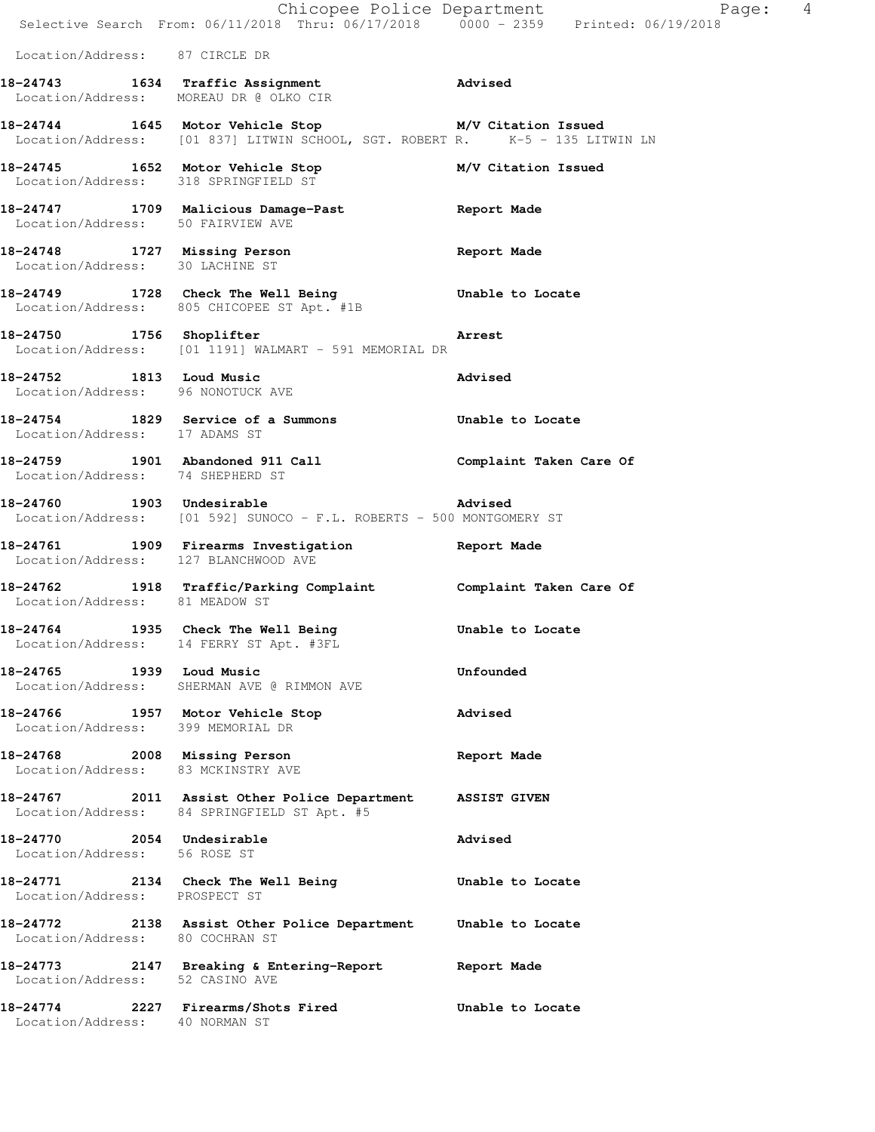|                                                                    | Chicopee Police Department<br>Selective Search From: 06/11/2018 Thru: 06/17/2018 0000 - 2359 Printed: 06/19/2018                     | Page: 4             |
|--------------------------------------------------------------------|--------------------------------------------------------------------------------------------------------------------------------------|---------------------|
| Location/Address: 87 CIRCLE DR                                     |                                                                                                                                      |                     |
|                                                                    | 18-24743 1634 Traffic Assignment 18-24743<br>Location/Address: MOREAU DR @ OLKO CIR                                                  |                     |
|                                                                    | 18-24744 1645 Motor Vehicle Stop M/V Citation Issued<br>Location/Address: [01 837] LITWIN SCHOOL, SGT. ROBERT R. K-5 - 135 LITWIN LN |                     |
|                                                                    | 18-24745   1652   Motor Vehicle Stop   M/V Citation Issued<br>Location/Address: 318   SPRINGFIELD ST                                 |                     |
| Location/Address: 50 FAIRVIEW AVE                                  | 18-24747 1709 Malicious Damage-Past 18-24747                                                                                         |                     |
| Location/Address: 30 LACHINE ST                                    | 18-24748 1727 Missing Person                                                                                                         | Report Made         |
|                                                                    | 18-24749 1728 Check The Well Being 6 Unable to Locate<br>Location/Address: 805 CHICOPEE ST Apt. #1B                                  |                     |
|                                                                    | 18-24750 1756 Shoplifter 2001 1756 Arrest<br>Location/Address: [01 1191] WALMART - 591 MEMORIAL DR                                   |                     |
| Location/Address: 96 NONOTUCK AVE                                  | 18-24752 1813 Loud Music                                                                                                             | Advised             |
| Location/Address: 17 ADAMS ST                                      | 18-24754 1829 Service of a Summons Unable to Locate                                                                                  |                     |
| Location/Address: 74 SHEPHERD ST                                   | 18-24759 1901 Abandoned 911 Call Call Complaint Taken Care Of                                                                        |                     |
| 18-24760 1903 Undesirable                                          | Location/Address: [01 592] SUNOCO - F.L. ROBERTS - 500 MONTGOMERY ST                                                                 | <b>Advised</b>      |
|                                                                    | 18-24761 1909 Firearms Investigation Report Made<br>Location/Address: 127 BLANCHWOOD AVE                                             |                     |
| Location/Address: 81 MEADOW ST                                     | 18-24762 1918 Traffic/Parking Complaint Complaint Taken Care Of                                                                      |                     |
|                                                                    | 18-24764 1935 Check The Well Being<br>Location/Address: 14 FERRY ST Apt. #3FL                                                        | Unable to Locate    |
| 18-24765 1939 Loud Music                                           | Location/Address: SHERMAN AVE @ RIMMON AVE                                                                                           | Unfounded           |
| Location/Address: 399 MEMORIAL DR                                  | 18-24766 1957 Motor Vehicle Stop                                                                                                     | Advised             |
| 18-24768 2008 Missing Person<br>Location/Address: 83 MCKINSTRY AVE |                                                                                                                                      | Report Made         |
|                                                                    | 18-24767 2011 Assist Other Police Department<br>Location/Address: 84 SPRINGFIELD ST Apt. #5                                          | <b>ASSIST GIVEN</b> |
| 18-24770 2054 Undesirable<br>Location/Address: 56 ROSE ST          |                                                                                                                                      | <b>Advised</b>      |
| Location/Address: PROSPECT ST                                      | 18-24771 2134 Check The Well Being                                                                                                   | Unable to Locate    |
| Location/Address: 80 COCHRAN ST                                    | 18-24772 2138 Assist Other Police Department Unable to Locate                                                                        |                     |
| Location/Address: 52 CASINO AVE                                    | 18-24773 2147 Breaking & Entering-Report                                                                                             | Report Made         |
| 18-24774<br>Location/Address: 40 NORMAN ST                         | 2227 Firearms/Shots Fired                                                                                                            | Unable to Locate    |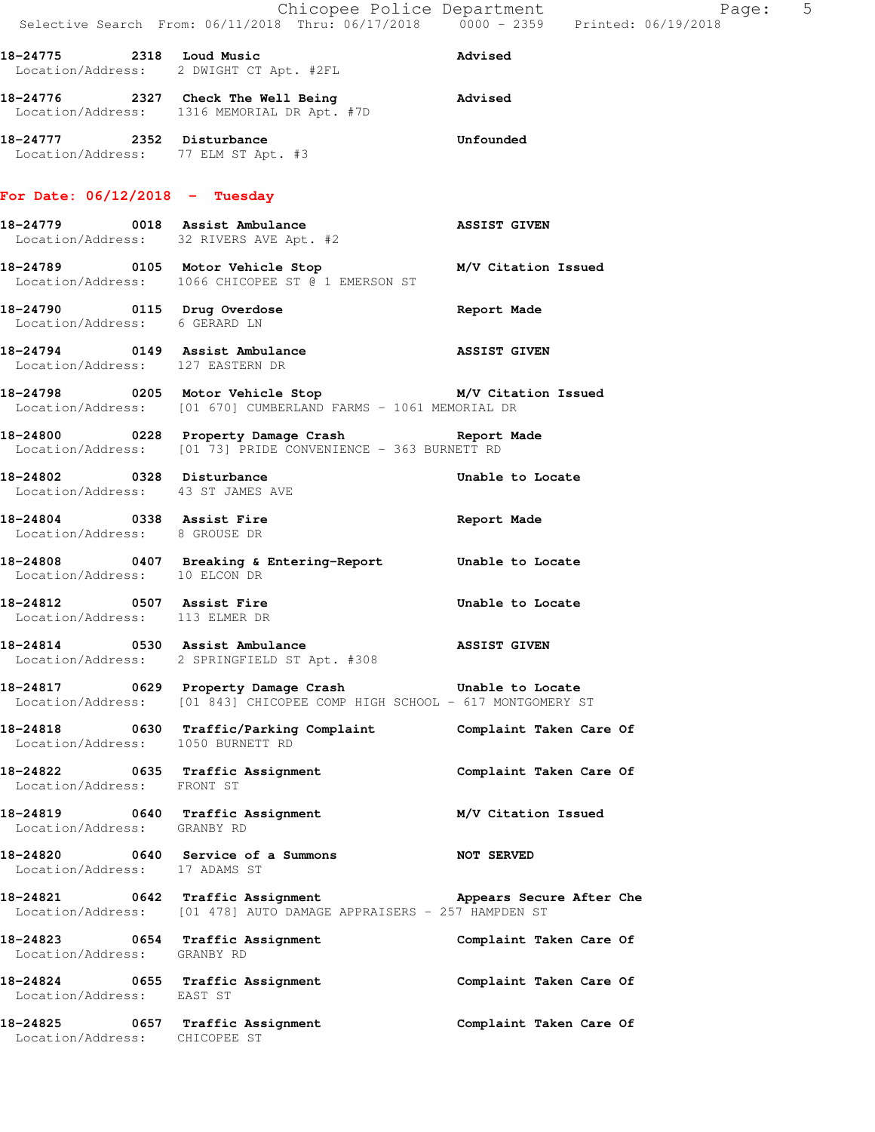|                                                             | Selective Search From: 06/11/2018 Thru: 06/17/2018   0000 - 2359   Printed: 06/19/2018                                               | Chicopee Police Department<br>Page: 5 |  |
|-------------------------------------------------------------|--------------------------------------------------------------------------------------------------------------------------------------|---------------------------------------|--|
|                                                             | 18-24775 2318 Loud Music<br>Location/Address: 2 DWIGHT CT Apt. #2FL                                                                  | Advised                               |  |
|                                                             | 18-24776 2327 Check The Well Being<br>Location/Address: 1316 MEMORIAL DR Apt. #7D                                                    | Advised                               |  |
| Location/Address: 77 ELM ST Apt. #3                         | 18-24777 2352 Disturbance                                                                                                            | Unfounded                             |  |
| For Date: $06/12/2018$ - Tuesday                            |                                                                                                                                      |                                       |  |
|                                                             | 18-24779 0018 Assist Ambulance<br>Location/Address: 32 RIVERS AVE Apt. #2                                                            | <b>ASSIST GIVEN</b>                   |  |
|                                                             | 18-24789 		 0105 Motor Vehicle Stop 		 M/V Citation Issued<br>Location/Address: 1066 CHICOPEE ST @ 1 EMERSON ST                      |                                       |  |
|                                                             | 18-24790 0115 Drug Overdose<br>Location/Address: 6 GERARD LN                                                                         | Report Made                           |  |
| Location/Address: 127 EASTERN DR                            | 18-24794 0149 Assist Ambulance ASSIST GIVEN                                                                                          |                                       |  |
|                                                             | 18-24798 0205 Motor Vehicle Stop M/V Citation Issued<br>Location/Address: [01 670] CUMBERLAND FARMS - 1061 MEMORIAL DR               |                                       |  |
|                                                             | 18-24800 0228 Property Damage Crash Report Made<br>Location/Address: [01 73] PRIDE CONVENIENCE - 363 BURNETT RD                      |                                       |  |
| Location/Address: 43 ST JAMES AVE                           | 18-24802 0328 Disturbance                                                                                                            | Unable to Locate                      |  |
| Location/Address: 8 GROUSE DR                               | 18-24804 0338 Assist Fire                                                                                                            | Report Made                           |  |
| Location/Address: 10 ELCON DR                               | 18-24808 0407 Breaking & Entering-Report Unable to Locate                                                                            |                                       |  |
| 18-24812 0507 Assist Fire<br>Location/Address: 113 ELMER DR |                                                                                                                                      | Unable to Locate                      |  |
|                                                             | 18-24814 0530 Assist Ambulance<br>Location/Address: 2 SPRINGFIELD ST Apt. #308                                                       | <b>ASSIST GIVEN</b>                   |  |
|                                                             | 18-24817 0629 Property Damage Crash 5 Unable to Locate<br>Location/Address: [01 843] CHICOPEE COMP HIGH SCHOOL - 617 MONTGOMERY ST   |                                       |  |
|                                                             | 18-24818   0630   Traffic/Parking Complaint   Complaint Taken Care Of Location/Address:   1050   BURNETT RD                          |                                       |  |
| Location/Address: FRONT ST                                  | 18-24822 0635 Traffic Assignment Complaint Taken Care Of                                                                             |                                       |  |
| Location/Address: GRANBY RD                                 | 18-24819 0640 Traffic Assignment                                                                                                     | M/V Citation Issued                   |  |
| Location/Address: 17 ADAMS ST                               | 18-24820 0640 Service of a Summons NOT SERVED                                                                                        |                                       |  |
|                                                             | 18-24821 0642 Traffic Assignment 1997 Appears Secure After Che<br>Location/Address: [01 478] AUTO DAMAGE APPRAISERS - 257 HAMPDEN ST |                                       |  |
| Location/Address: GRANBY RD                                 | 18-24823 0654 Traffic Assignment                                                                                                     | Complaint Taken Care Of               |  |
| Location/Address: EAST ST                                   | 18-24824 0655 Traffic Assignment 18-24824 Complaint Taken Care Of                                                                    |                                       |  |
| Location/Address: CHICOPEE ST                               | 18-24825 0657 Traffic Assignment Complaint Taken Care Of                                                                             |                                       |  |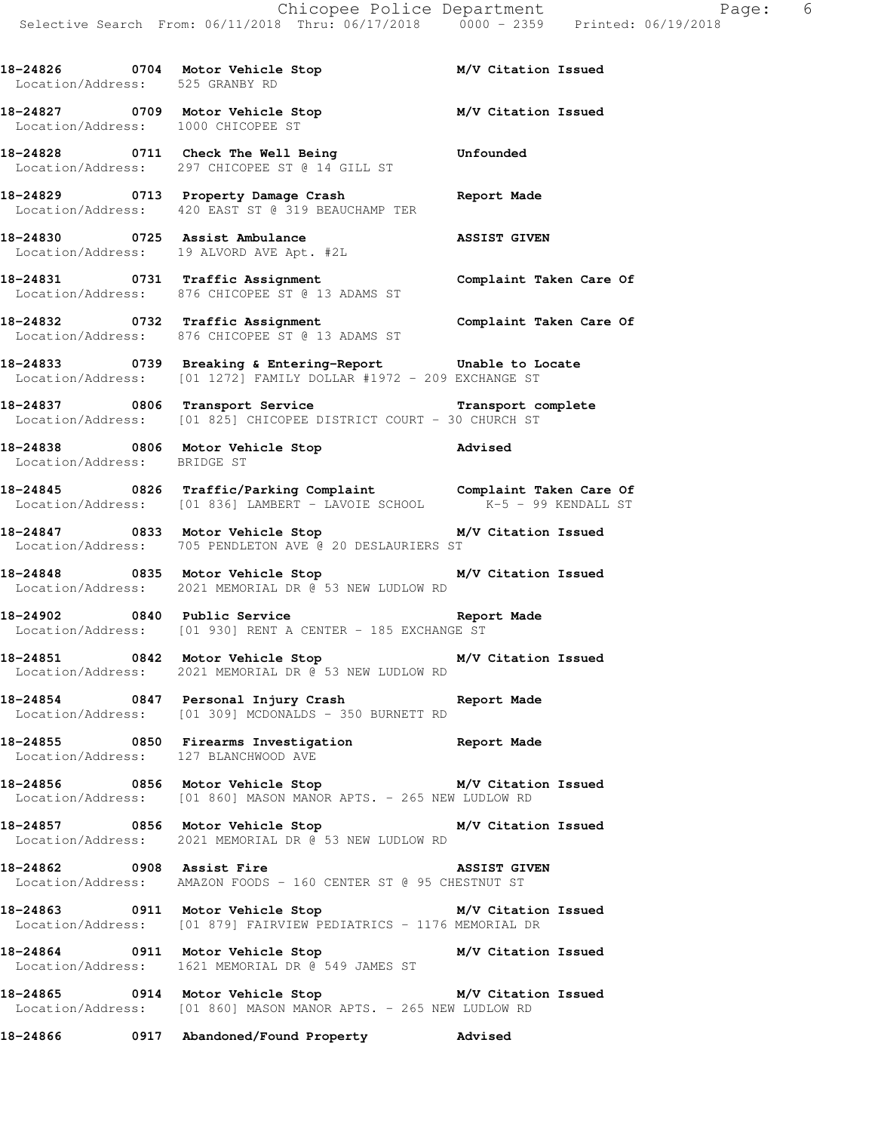**18-24826 0704 Motor Vehicle Stop M/V Citation Issued**  Location/Address: 525 GRANBY RD **18-24827 0709 Motor Vehicle Stop M/V Citation Issued**  Location/Address: 1000 CHICOPEE ST **18-24828 0711 Check The Well Being Unfounded**  Location/Address: 297 CHICOPEE ST @ 14 GILL ST **18-24829 0713 Property Damage Crash Report Made**  Location/Address: 420 EAST ST @ 319 BEAUCHAMP TER **18-24830 0725 Assist Ambulance ASSIST GIVEN**  Location/Address: 19 ALVORD AVE Apt. #2L **18-24831 0731 Traffic Assignment Complaint Taken Care Of**  Location/Address: 876 CHICOPEE ST @ 13 ADAMS ST **18-24832 0732 Traffic Assignment Complaint Taken Care Of**  Location/Address: 876 CHICOPEE ST @ 13 ADAMS ST **18-24833 0739 Breaking & Entering-Report Unable to Locate**  Location/Address: [01 1272] FAMILY DOLLAR #1972 - 209 EXCHANGE ST **18-24837 0806 Transport Service Transport complete**  Location/Address: [01 825] CHICOPEE DISTRICT COURT - 30 CHURCH ST **18-24838 0806 Motor Vehicle Stop Advised**  Location/Address: BRIDGE ST **18-24845 0826 Traffic/Parking Complaint Complaint Taken Care Of**  Location/Address: [01 836] LAMBERT - LAVOIE SCHOOL K-5 - 99 KENDALL ST **18-24847 0833 Motor Vehicle Stop M/V Citation Issued**  Location/Address: 705 PENDLETON AVE @ 20 DESLAURIERS ST **18-24848 0835 Motor Vehicle Stop M/V Citation Issued**  Location/Address: 2021 MEMORIAL DR @ 53 NEW LUDLOW RD **18-24902 0840 Public Service Report Made**  Location/Address: [01 930] RENT A CENTER - 185 EXCHANGE ST **18-24851 0842 Motor Vehicle Stop M/V Citation Issued**  Location/Address: 2021 MEMORIAL DR @ 53 NEW LUDLOW RD **18-24854 0847 Personal Injury Crash Report Made**  Location/Address: [01 309] MCDONALDS - 350 BURNETT RD **18-24855 0850 Firearms Investigation Report Made**  Location/Address: 127 BLANCHWOOD AVE **18-24856 0856 Motor Vehicle Stop M/V Citation Issued**  Location/Address: [01 860] MASON MANOR APTS. - 265 NEW LUDLOW RD **18-24857 0856 Motor Vehicle Stop M/V Citation Issued**  Location/Address: 2021 MEMORIAL DR @ 53 NEW LUDLOW RD **18-24862 0908 Assist Fire ASSIST GIVEN**  Location/Address: AMAZON FOODS - 160 CENTER ST @ 95 CHESTNUT ST **18-24863 0911 Motor Vehicle Stop M/V Citation Issued**  Location/Address: [01 879] FAIRVIEW PEDIATRICS - 1176 MEMORIAL DR **18-24864 0911 Motor Vehicle Stop M/V Citation Issued**  Location/Address: 1621 MEMORIAL DR @ 549 JAMES ST **18-24865 0914 Motor Vehicle Stop M/V Citation Issued**  Location/Address: [01 860] MASON MANOR APTS. - 265 NEW LUDLOW RD **18-24866 0917 Abandoned/Found Property Advised**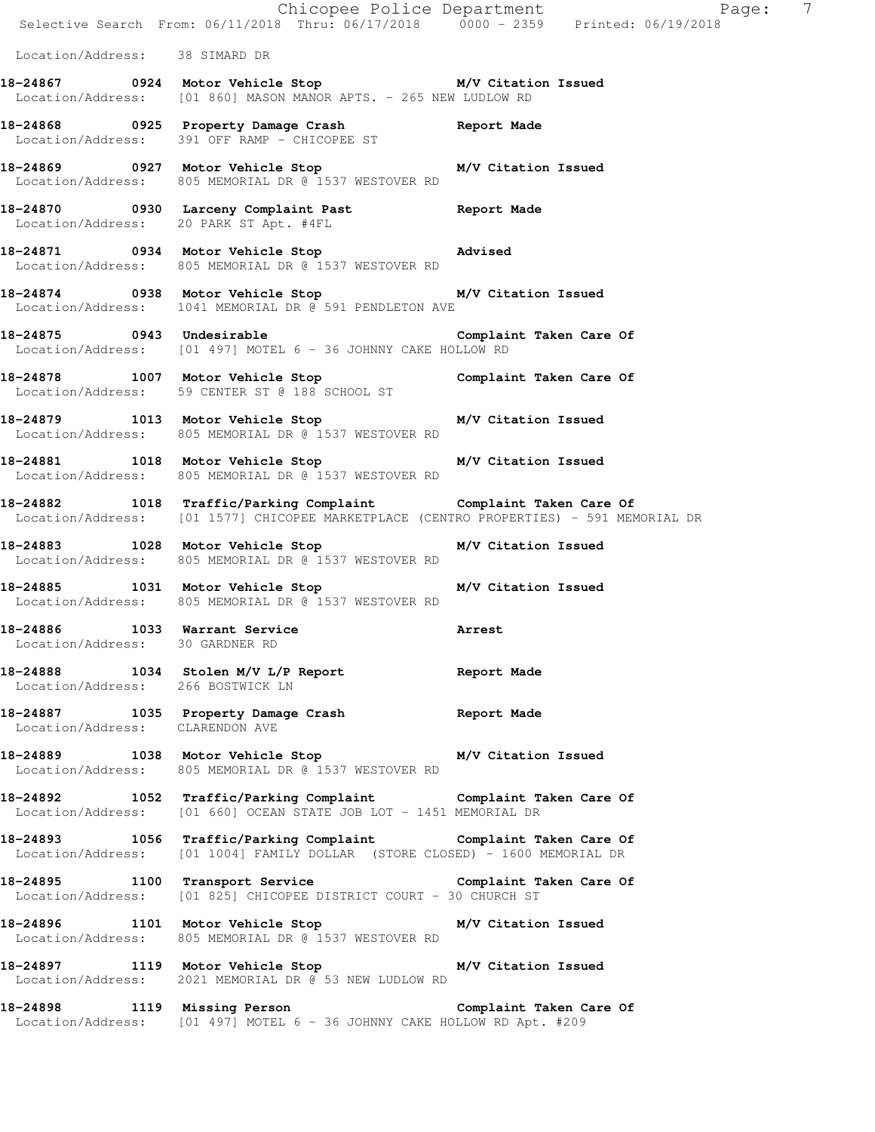|                                                                  | E Chicopee Police Department<br>Selective Search From: 06/11/2018 Thru: 06/17/2018 0000 - 2359 Printed: 06/19/2018                                        | $\overline{7}$<br>Page: |
|------------------------------------------------------------------|-----------------------------------------------------------------------------------------------------------------------------------------------------------|-------------------------|
| Location/Address: 38 SIMARD DR                                   |                                                                                                                                                           |                         |
|                                                                  | 18-24867 0924 Motor Vehicle Stop M/V Citation Issued<br>Location/Address: [01 860] MASON MANOR APTS. - 265 NEW LUDLOW RD                                  |                         |
|                                                                  | 18-24868 18-0925 Property Damage Crash 18-24868<br>Location/Address: 391 OFF RAMP - CHICOPEE ST                                                           |                         |
|                                                                  | 18-24869 0927 Motor Vehicle Stop M/V Citation Issued<br>Location/Address: 805 MEMORIAL DR @ 1537 WESTOVER RD                                              |                         |
| Location/Address: 20 PARK ST Apt. #4FL                           | 18-24870 0930 Larceny Complaint Past Report Made                                                                                                          |                         |
|                                                                  | 18-24871 0934 Motor Vehicle Stop Motors Advised<br>Location/Address: 805 MEMORIAL DR @ 1537 WESTOVER RD                                                   |                         |
|                                                                  | 18-24874 0938 Motor Vehicle Stop M/V Citation Issued<br>Location/Address: 1041 MEMORIAL DR @ 591 PENDLETON AVE                                            |                         |
|                                                                  | 18-24875 0943 Undesirable complaint Taken Care Of<br>Location/Address: [01 497] MOTEL 6 - 36 JOHNNY CAKE HOLLOW RD                                        |                         |
|                                                                  | 18-24878 1007 Motor Vehicle Stop Complaint Taken Care Of<br>Location/Address: 59 CENTER ST @ 188 SCHOOL ST                                                |                         |
|                                                                  | 18-24879 1013 Motor Vehicle Stop M/V Citation Issued<br>Location/Address: 805 MEMORIAL DR @ 1537 WESTOVER RD                                              |                         |
|                                                                  | 18-24881 1018 Motor Vehicle Stop M/V Citation Issued<br>Location/Address: 805 MEMORIAL DR @ 1537 WESTOVER RD                                              |                         |
|                                                                  | 18-24882 1018 Traffic/Parking Complaint Complaint Taken Care Of<br>Location/Address: [01 1577] CHICOPEE MARKETPLACE (CENTRO PROPERTIES) - 591 MEMORIAL DR |                         |
|                                                                  | 18-24883 1028 Motor Vehicle Stop<br>Location/Address: 805 MEMORIAL DR @ 1537 WESTOVER RD                                                                  | M/V Citation Issued     |
|                                                                  | 18-24885 1031 Motor Vehicle Stop M/V Citation Issued<br>Location/Address: 805 MEMORIAL DR @ 1537 WESTOVER RD                                              |                         |
| 18-24886 1033 Warrant Service<br>Location/Address: 30 GARDNER RD |                                                                                                                                                           | Arrest                  |
| Location/Address: 266 BOSTWICK LN                                | 18-24888 1034 Stolen M/V L/P Report 1084 Report Made                                                                                                      |                         |
| Location/Address: CLARENDON AVE                                  | 18-24887 1035 Property Damage Crash Report Made                                                                                                           |                         |
|                                                                  | 18-24889 1038 Motor Vehicle Stop M/V Citation Issued<br>Location/Address: 805 MEMORIAL DR @ 1537 WESTOVER RD                                              |                         |
|                                                                  | 18-24892 1052 Traffic/Parking Complaint Complaint Taken Care Of Location/Address: [01 660] OCEAN STATE JOB LOT - 1451 MEMORIAL DR                         |                         |
|                                                                  | 18-24893 1056 Traffic/Parking Complaint Complaint Taken Care Of<br>Location/Address: [01 1004] FAMILY DOLLAR (STORE CLOSED) - 1600 MEMORIAL DR            |                         |
|                                                                  | 18-24895 1100 Transport Service Complaint Taken Care Of<br>Location/Address: [01 825] CHICOPEE DISTRICT COURT - 30 CHURCH ST                              |                         |
|                                                                  | 18-24896 1101 Motor Vehicle Stop M/V Citation Issued<br>Location/Address: 805 MEMORIAL DR @ 1537 WESTOVER RD                                              |                         |
|                                                                  | 18-24897 1119 Motor Vehicle Stop M/V Citation Issued<br>Location/Address: 2021 MEMORIAL DR @ 53 NEW LUDLOW RD                                             |                         |
|                                                                  | 18-24898 1119 Missing Person Complaint Taken Care Of<br>Location/Address: [01 497] MOTEL 6 - 36 JOHNNY CAKE HOLLOW RD Apt. #209                           |                         |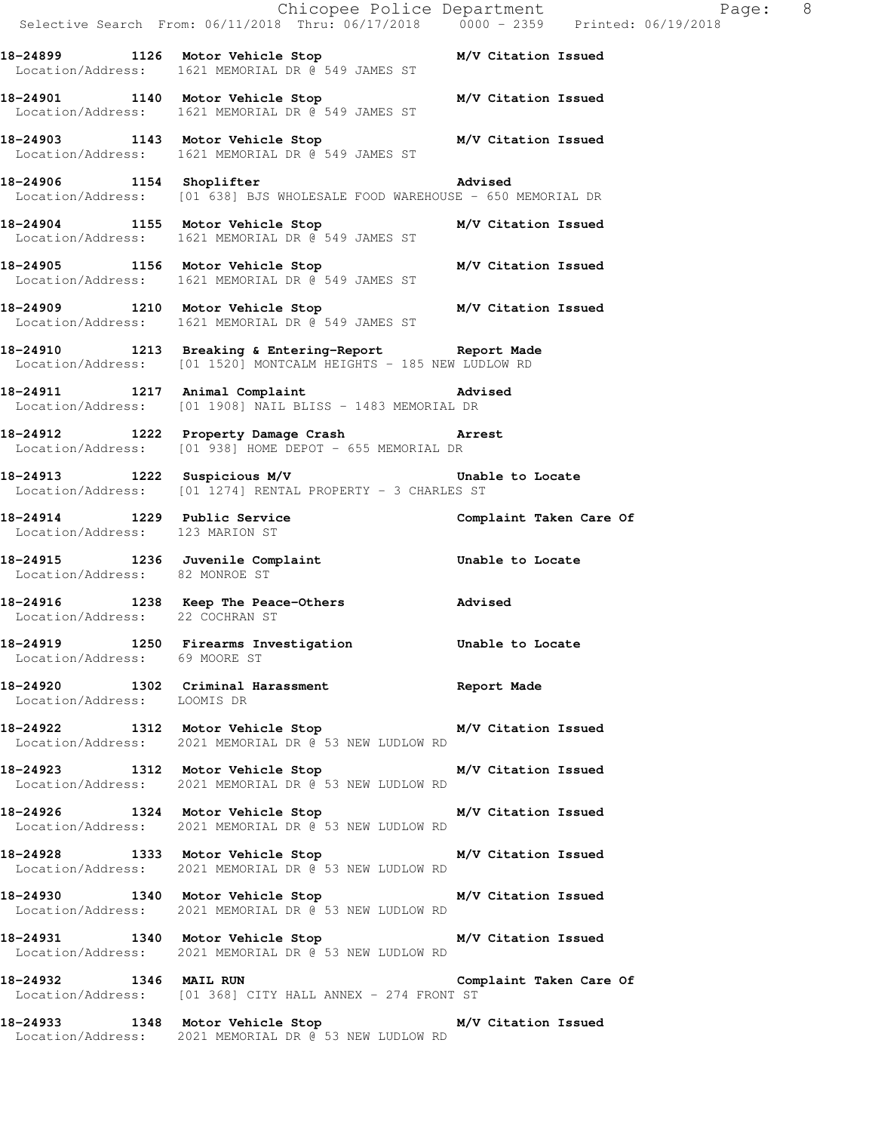|                                 |                                                                                                                            | Chicopee Police Department<br>Selective Search From: 06/11/2018 Thru: 06/17/2018 0000 - 2359 Printed: 06/19/2018 |
|---------------------------------|----------------------------------------------------------------------------------------------------------------------------|------------------------------------------------------------------------------------------------------------------|
|                                 | 18-24899 1126 Motor Vehicle Stop N/V Citation Issued<br>Location/Address: 1621 MEMORIAL DR @ 549 JAMES ST                  |                                                                                                                  |
|                                 | 18-24901 1140 Motor Vehicle Stop M/V Citation Issued<br>Location/Address: 1621 MEMORIAL DR @ 549 JAMES ST                  |                                                                                                                  |
|                                 | 18-24903 1143 Motor Vehicle Stop M/V Citation Issued<br>Location/Address: 1621 MEMORIAL DR @ 549 JAMES ST                  |                                                                                                                  |
|                                 | 18-24906 1154 Shoplifter<br>Location/Address: [01 638] BJS WHOLESALE FOOD WAREHOUSE - 650 MEMORIAL DR                      |                                                                                                                  |
|                                 | 18-24904 1155 Motor Vehicle Stop M/V Citation Issued<br>Location/Address: 1621 MEMORIAL DR @ 549 JAMES ST                  |                                                                                                                  |
|                                 | 18-24905 1156 Motor Vehicle Stop M/V Citation Issued<br>Location/Address: 1621 MEMORIAL DR @ 549 JAMES ST                  |                                                                                                                  |
|                                 | 18-24909 1210 Motor Vehicle Stop M/V Citation Issued<br>Location/Address: 1621 MEMORIAL DR @ 549 JAMES ST                  |                                                                                                                  |
|                                 | 18-24910 1213 Breaking & Entering-Report 6 Report Made<br>Location/Address: [01 1520] MONTCALM HEIGHTS - 185 NEW LUDLOW RD |                                                                                                                  |
|                                 | 18-24911 1217 Animal Complaint 18-24911<br>Location/Address: [01 1908] NAIL BLISS - 1483 MEMORIAL DR                       |                                                                                                                  |
|                                 | 18-24912 1222 Property Damage Crash Narrest<br>Location/Address: [01 938] HOME DEPOT - 655 MEMORIAL DR                     |                                                                                                                  |
|                                 | 18-24913 1222 Suspicious M/V 18-24913<br>Location/Address: [01 1274] RENTAL PROPERTY - 3 CHARLES ST                        |                                                                                                                  |
| Location/Address: 123 MARION ST | 18-24914 1229 Public Service <b>18.1 Complaint Taken Care Of</b>                                                           |                                                                                                                  |
| Location/Address: 82 MONROE ST  | 18-24915 1236 Juvenile Complaint Communism Unable to Locate                                                                |                                                                                                                  |
|                                 | 18-24916 1238 Keep The Peace-Others Movised Location/Address: 22 COCHRAN ST                                                |                                                                                                                  |
| Location/Address: 69 MOORE ST   | 18-24919 1250 Firearms Investigation 5 Unable to Locate                                                                    |                                                                                                                  |
| Location/Address: LOOMIS DR     | 18-24920 1302 Criminal Harassment <b>18-24920</b> Report Made                                                              |                                                                                                                  |
|                                 | 18-24922 1312 Motor Vehicle Stop M/V Citation Issued<br>Location/Address: 2021 MEMORIAL DR @ 53 NEW LUDLOW RD              |                                                                                                                  |
|                                 | 18-24923 1312 Motor Vehicle Stop M/V Citation Issued<br>Location/Address: 2021 MEMORIAL DR @ 53 NEW LUDLOW RD              |                                                                                                                  |
|                                 | 18-24926 1324 Motor Vehicle Stop M/V Citation Issued<br>Location/Address: 2021 MEMORIAL DR @ 53 NEW LUDLOW RD              |                                                                                                                  |
|                                 | 18-24928 1333 Motor Vehicle Stop M/V Citation Issued<br>Location/Address: 2021 MEMORIAL DR @ 53 NEW LUDLOW RD              |                                                                                                                  |
|                                 | 18-24930 1340 Motor Vehicle Stop M/V Citation Issued<br>Location/Address: 2021 MEMORIAL DR @ 53 NEW LUDLOW RD              |                                                                                                                  |
|                                 | 18-24931 1340 Motor Vehicle Stop M/V Citation Issued<br>Location/Address: 2021 MEMORIAL DR @ 53 NEW LUDLOW RD              |                                                                                                                  |
| 18-24932 1346 MAIL RUN          | Location/Address: [01 368] CITY HALL ANNEX - 274 FRONT ST                                                                  | Complaint Taken Care Of                                                                                          |
|                                 | 18-24933 1348 Motor Vehicle Stop M/V Citation Issued<br>Location/Address: 2021 MEMORIAL DR @ 53 NEW LUDLOW RD              |                                                                                                                  |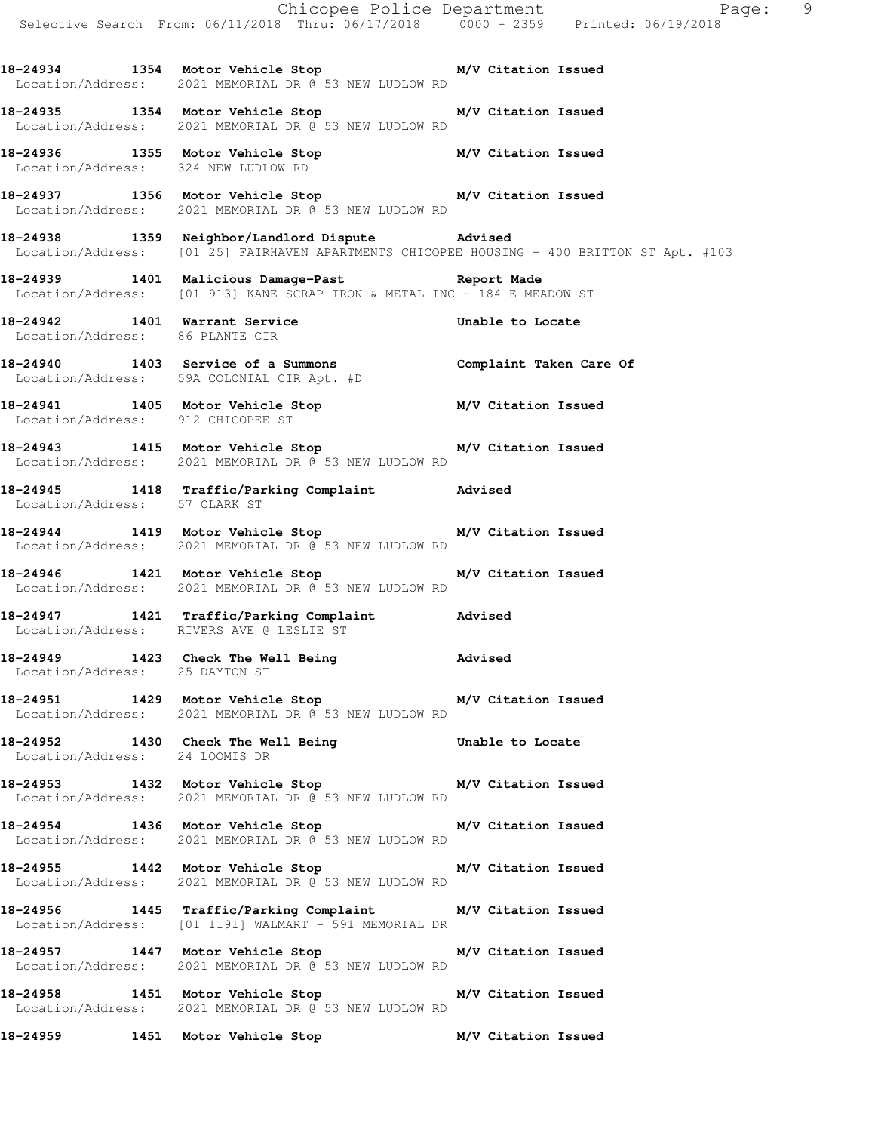Chicopee Police Department Page: 9 Selective Search From: 06/11/2018 Thru: 06/17/2018 0000 - 2359 Printed: 06/19/2018 **18-24934 1354 Motor Vehicle Stop M/V Citation Issued**  Location/Address: 2021 MEMORIAL DR @ 53 NEW LUDLOW RD **18-24935 1354 Motor Vehicle Stop M/V Citation Issued**  Location/Address: 2021 MEMORIAL DR @ 53 NEW LUDLOW RD **18-24936 1355 Motor Vehicle Stop M/V Citation Issued**  Location/Address: 324 NEW LUDLOW RD **18-24937 1356 Motor Vehicle Stop M/V Citation Issued**  Location/Address: 2021 MEMORIAL DR @ 53 NEW LUDLOW RD **18-24938 1359 Neighbor/Landlord Dispute Advised**  Location/Address: [01 25] FAIRHAVEN APARTMENTS CHICOPEE HOUSING - 400 BRITTON ST Apt. #103 **18-24939 1401 Malicious Damage-Past Report Made**  Location/Address: [01 913] KANE SCRAP IRON & METAL INC - 184 E MEADOW ST **18-24942 1401 Warrant Service Unable to Locate**  Location/Address: 86 PLANTE CIR **18-24940 1403 Service of a Summons Complaint Taken Care Of**  Location/Address: 59A COLONIAL CIR Apt. #D **18-24941 1405 Motor Vehicle Stop M/V Citation Issued**  Location/Address: 912 CHICOPEE ST **18-24943 1415 Motor Vehicle Stop M/V Citation Issued**  Location/Address: 2021 MEMORIAL DR @ 53 NEW LUDLOW RD **18-24945 1418 Traffic/Parking Complaint Advised**  Location/Address: 57 CLARK ST **18-24944 1419 Motor Vehicle Stop M/V Citation Issued**  Location/Address: 2021 MEMORIAL DR @ 53 NEW LUDLOW RD **18-24946 1421 Motor Vehicle Stop M/V Citation Issued**  Location/Address: 2021 MEMORIAL DR @ 53 NEW LUDLOW RD **18-24947 1421 Traffic/Parking Complaint Advised**  Location/Address: RIVERS AVE @ LESLIE ST **18-24949 1423 Check The Well Being Advised**  Location/Address: 25 DAYTON ST **18-24951 1429 Motor Vehicle Stop M/V Citation Issued**  Location/Address: 2021 MEMORIAL DR @ 53 NEW LUDLOW RD **18-24952 1430 Check The Well Being Unable to Locate**  Location/Address: 24 LOOMIS DR **18-24953 1432 Motor Vehicle Stop M/V Citation Issued**  Location/Address: 2021 MEMORIAL DR @ 53 NEW LUDLOW RD **18-24954 1436 Motor Vehicle Stop M/V Citation Issued**  Location/Address: 2021 MEMORIAL DR @ 53 NEW LUDLOW RD **18-24955 1442 Motor Vehicle Stop M/V Citation Issued**  Location/Address: 2021 MEMORIAL DR @ 53 NEW LUDLOW RD **18-24956 1445 Traffic/Parking Complaint M/V Citation Issued**  Location/Address: [01 1191] WALMART - 591 MEMORIAL DR **18-24957 1447 Motor Vehicle Stop M/V Citation Issued**  Location/Address: 2021 MEMORIAL DR @ 53 NEW LUDLOW RD **18-24958 1451 Motor Vehicle Stop M/V Citation Issued**  Location/Address: 2021 MEMORIAL DR @ 53 NEW LUDLOW RD **18-24959 1451 Motor Vehicle Stop M/V Citation Issued**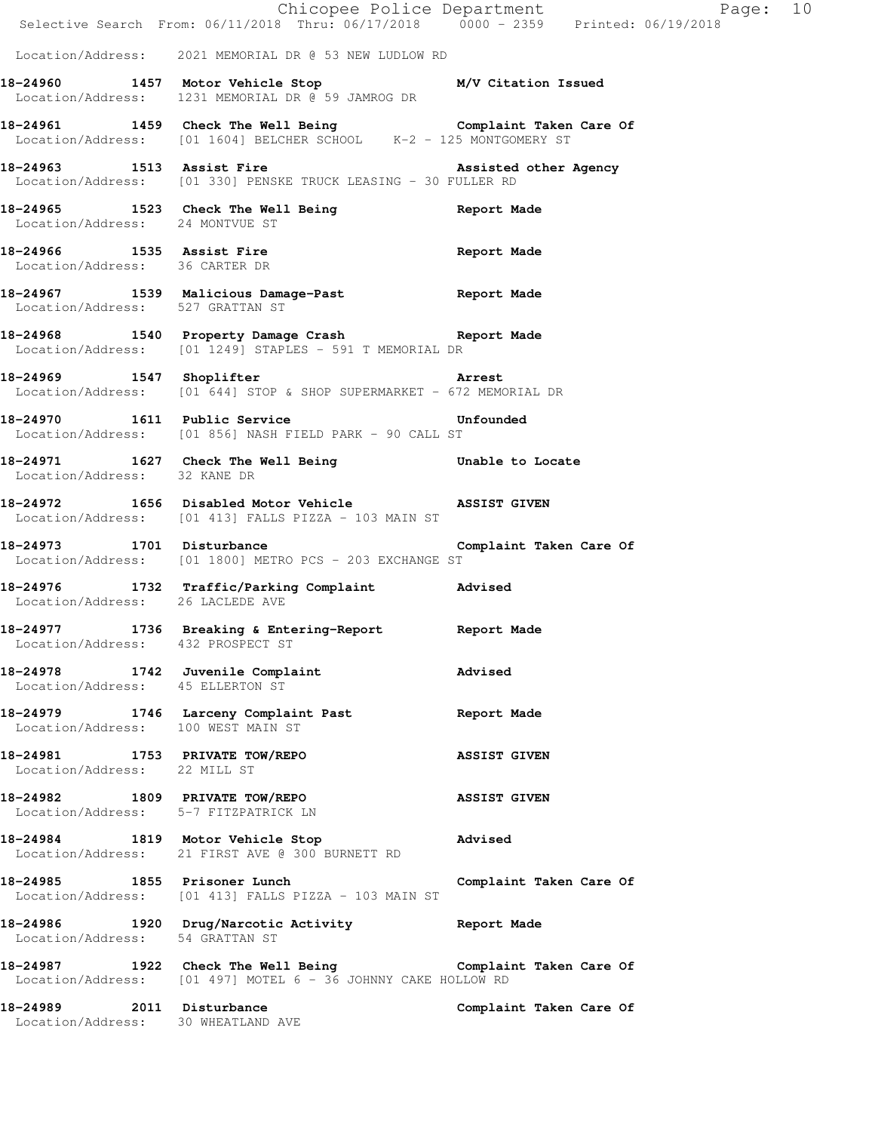|                                                                        | E Chicopee Police Department<br>Selective Search From: 06/11/2018 Thru: 06/17/2018 0000 - 2359 Printed: 06/19/2018            | Page: 10                |  |
|------------------------------------------------------------------------|-------------------------------------------------------------------------------------------------------------------------------|-------------------------|--|
|                                                                        | Location/Address: 2021 MEMORIAL DR @ 53 NEW LUDLOW RD                                                                         |                         |  |
|                                                                        | 18-24960 1457 Motor Vehicle Stop M/V Citation Issued<br>Location/Address: 1231 MEMORIAL DR @ 59 JAMROG DR                     |                         |  |
|                                                                        | 18-24961 1459 Check The Well Being Complaint Taken Care Of Location/Address: [01 1604] BELCHER SCHOOL K-2 - 125 MONTGOMERY ST |                         |  |
|                                                                        | 18-24963 1513 Assist Fire<br>Location/Address: [01 330] PENSKE TRUCK LEASING - 30 FULLER RD                                   | Assisted other Agency   |  |
| Location/Address: 24 MONTVUE ST                                        | 18-24965 1523 Check The Well Being Seport Made                                                                                |                         |  |
| Location/Address: 36 CARTER DR                                         | 18-24966 1535 Assist Fire                                                                                                     | Report Made             |  |
|                                                                        | 18-24967 1539 Malicious Damage-Past Report Made<br>Location/Address: 527 GRATTAN ST                                           |                         |  |
|                                                                        | 18-24968 1540 Property Damage Crash Report Made<br>Location/Address: [01 1249] STAPLES - 591 T MEMORIAL DR                    |                         |  |
|                                                                        | 18-24969 1547 Shoplifter and Arrest<br>Location/Address: [01 644] STOP & SHOP SUPERMARKET - 672 MEMORIAL DR                   |                         |  |
|                                                                        | 18-24970 1611 Public Service<br>Location/Address: [01 856] NASH FIELD PARK - 90 CALL ST                                       | Unfounded               |  |
| Location/Address: 32 KANE DR                                           | 18-24971 1627 Check The Well Being The Unable to Locate                                                                       |                         |  |
|                                                                        | 18-24972 1656 Disabled Motor Vehicle ASSIST GIVEN<br>Location/Address: [01 413] FALLS PIZZA - 103 MAIN ST                     |                         |  |
| 18-24973 1701 Disturbance                                              | Location/Address: [01 1800] METRO PCS - 203 EXCHANGE ST                                                                       | Complaint Taken Care Of |  |
| Location/Address: 26 LACLEDE AVE                                       | 18-24976 1732 Traffic/Parking Complaint Advised                                                                               |                         |  |
|                                                                        | 18-24977 1736 Breaking & Entering-Report 6 Report Made<br>Location/Address: 432 PROSPECT ST                                   |                         |  |
| Location/Address: 45 ELLERTON ST                                       | 18-24978 1742 Juvenile Complaint                                                                                              | Advised                 |  |
| Location/Address: 100 WEST MAIN ST                                     | 18-24979 1746 Larceny Complaint Past                                                                                          | Report Made             |  |
| 18-24981 1753 PRIVATE TOW/REPO<br>Location/Address: 22 MILL ST         |                                                                                                                               | <b>ASSIST GIVEN</b>     |  |
| 18-24982 1809 PRIVATE TOW/REPO<br>Location/Address: 5-7 FITZPATRICK LN |                                                                                                                               | <b>ASSIST GIVEN</b>     |  |
|                                                                        | 18-24984 1819 Motor Vehicle Stop<br>Location/Address: 21 FIRST AVE @ 300 BURNETT RD                                           | Advised                 |  |
|                                                                        | 18-24985 1855 Prisoner Lunch<br>Location/Address: [01 413] FALLS PIZZA - 103 MAIN ST                                          | Complaint Taken Care Of |  |
| Location/Address: 54 GRATTAN ST                                        | 18-24986 1920 Drug/Narcotic Activity                                                                                          | Report Made             |  |
|                                                                        | 18-24987 1922 Check The Well Being Complaint Taken Care Of<br>Location/Address: [01 497] MOTEL 6 - 36 JOHNNY CAKE HOLLOW RD   |                         |  |
| 18-24989 2011 Disturbance<br>Location/Address: 30 WHEATLAND AVE        |                                                                                                                               | Complaint Taken Care Of |  |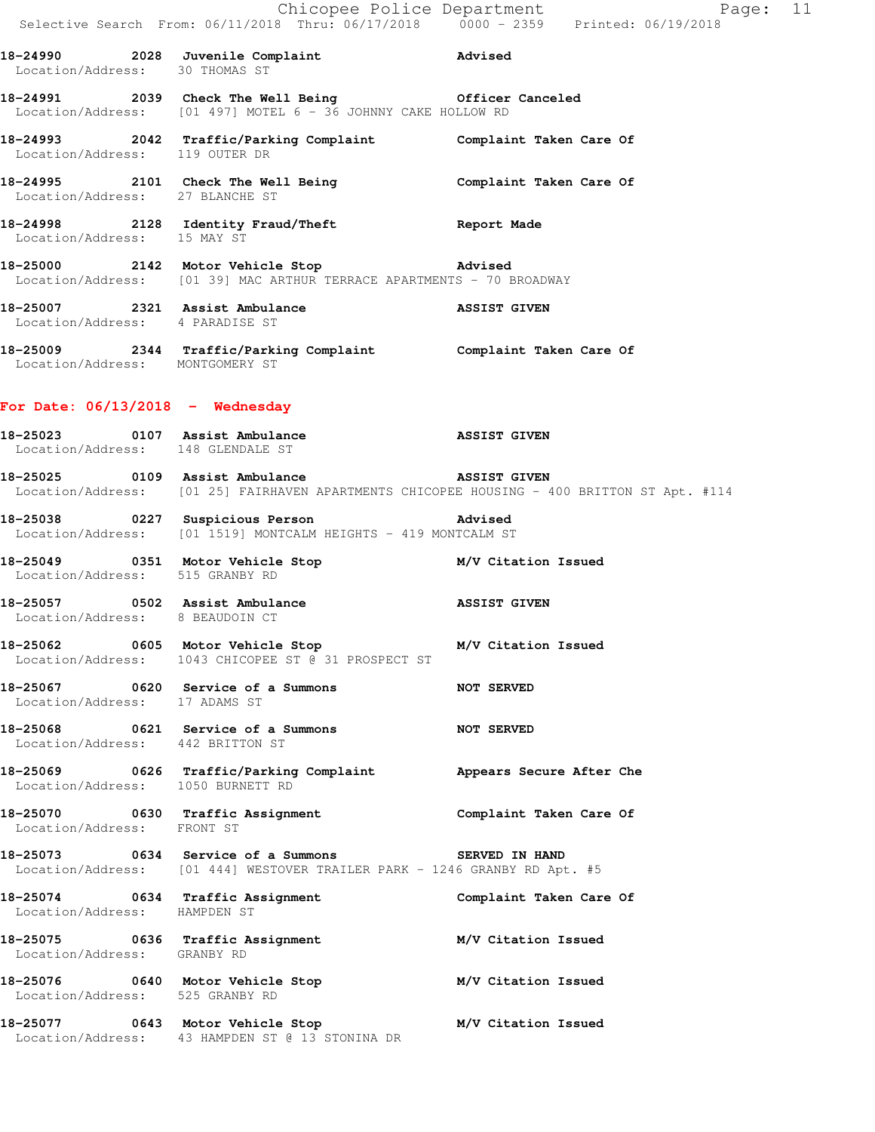|                                  | E Chicopee Police Department<br>Selective Search From: 06/11/2018 Thru: 06/17/2018 0000 - 2359 Printed: 06/19/2018             | Page: 11                                                                                   |  |
|----------------------------------|--------------------------------------------------------------------------------------------------------------------------------|--------------------------------------------------------------------------------------------|--|
|                                  | 18-24990 2028 Juvenile Complaint Advised<br>Location/Address: 30 THOMAS ST                                                     |                                                                                            |  |
|                                  | 18-24991 2039 Check The Well Being Officer Canceled<br>Location/Address: [01 497] MOTEL 6 - 36 JOHNNY CAKE HOLLOW RD           |                                                                                            |  |
|                                  | 18-24993 2042 Traffic/Parking Complaint Complaint Taken Care Of Location/Address: 119 OUTER DR                                 |                                                                                            |  |
| Location/Address: 27 BLANCHE ST  | 18-24995 2101 Check The Well Being Complaint Taken Care Of                                                                     |                                                                                            |  |
|                                  | 18-24998 2128 Identity Fraud/Theft Report Made<br>Location/Address: 15 MAY ST                                                  |                                                                                            |  |
|                                  | 18-25000 2142 Motor Vehicle Stop 3142 advised<br>Location/Address: [01 39] MAC ARTHUR TERRACE APARTMENTS - 70 BROADWAY         |                                                                                            |  |
| Location/Address: 4 PARADISE ST  | 18-25007 2321 Assist Ambulance ASSIST GIVEN                                                                                    |                                                                                            |  |
| Location/Address: MONTGOMERY ST  | 18-25009 2344 Traffic/Parking Complaint Complaint Taken Care Of                                                                |                                                                                            |  |
|                                  | For Date: $06/13/2018$ - Wednesday                                                                                             |                                                                                            |  |
|                                  | 18-25023 0107 Assist Ambulance <b>18-25023</b> ASSIST GIVEN<br>Location/Address: 148 GLENDALE ST                               |                                                                                            |  |
|                                  | 18-25025 0109 Assist Ambulance ASSIST GIVEN                                                                                    | Location/Address: [01 25] FAIRHAVEN APARTMENTS CHICOPEE HOUSING - 400 BRITTON ST Apt. #114 |  |
|                                  | 18-25038 		 0227 Suspicious Person 		 Advised<br>Location/Address: [01 1519] MONTCALM HEIGHTS - 419 MONTCALM ST                |                                                                                            |  |
| Location/Address: 515 GRANBY RD  | 18-25049 0351 Motor Vehicle Stop M/V Citation Issued                                                                           |                                                                                            |  |
| Location/Address: 8 BEAUDOIN CT  | 18-25057 0502 Assist Ambulance 1988 1991 1895 ASSIST GIVEN                                                                     |                                                                                            |  |
|                                  | 18-25062 0605 Motor Vehicle Stop 30 M/V Citation Issued<br>Location/Address: 1043 CHICOPEE ST @ 31 PROSPECT ST                 |                                                                                            |  |
| Location/Address: 17 ADAMS ST    | 18-25067 0620 Service of a Summons                                                                                             | <b>NOT SERVED</b>                                                                          |  |
| Location/Address: 442 BRITTON ST | 18-25068 0621 Service of a Summons NOT SERVED                                                                                  |                                                                                            |  |
|                                  | 18-25069 0626 Traffic/Parking Complaint Appears Secure After Che<br>Location/Address: 1050 BURNETT RD                          |                                                                                            |  |
| Location/Address: FRONT ST       | 18-25070 0630 Traffic Assignment Complaint Taken Care Of                                                                       |                                                                                            |  |
|                                  | 18-25073 0634 Service of a Summons SERVED IN HAND<br>Location/Address: [01 444] WESTOVER TRAILER PARK - 1246 GRANBY RD Apt. #5 |                                                                                            |  |
| Location/Address: HAMPDEN ST     | 18-25074 0634 Traffic Assignment                                                                                               | Complaint Taken Care Of                                                                    |  |
| Location/Address: GRANBY RD      | 18-25075 0636 Traffic Assignment                                                                                               | M/V Citation Issued                                                                        |  |
| Location/Address: 525 GRANBY RD  | 18-25076 0640 Motor Vehicle Stop M/V Citation Issued                                                                           |                                                                                            |  |
|                                  | 18-25077 0643 Motor Vehicle Stop M/V Citation Issued<br>Location/Address: 43 HAMPDEN ST @ 13 STONINA DR                        |                                                                                            |  |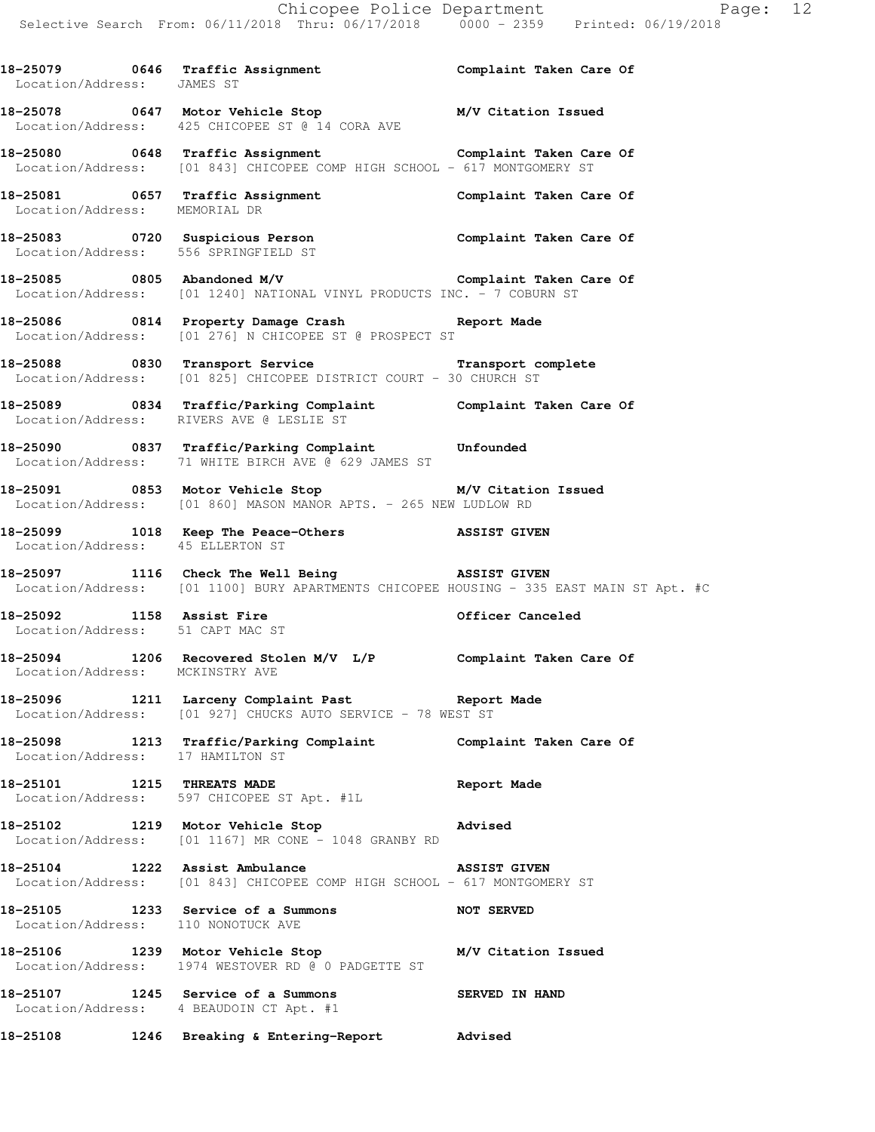18-25079 **0646** Traffic Assignment **Complaint Taken Care Of**  Location/Address: JAMES ST **18-25078 0647 Motor Vehicle Stop M/V Citation Issued**  Location/Address: 425 CHICOPEE ST @ 14 CORA AVE **18-25080 0648 Traffic Assignment Complaint Taken Care Of**  Location/Address: [01 843] CHICOPEE COMP HIGH SCHOOL - 617 MONTGOMERY ST **18-25081 0657 Traffic Assignment Complaint Taken Care Of**  Location/Address: MEMORIAL DR **18-25083 0720 Suspicious Person Complaint Taken Care Of**  Location/Address: 556 SPRINGFIELD ST **18-25085 0805 Abandoned M/V Complaint Taken Care Of**  Location/Address: [01 1240] NATIONAL VINYL PRODUCTS INC. - 7 COBURN ST **18-25086 0814 Property Damage Crash Report Made**  Location/Address: [01 276] N CHICOPEE ST @ PROSPECT ST **18-25088 0830 Transport Service Transport complete**  Location/Address: [01 825] CHICOPEE DISTRICT COURT - 30 CHURCH ST **18-25089 0834 Traffic/Parking Complaint Complaint Taken Care Of**  Location/Address: RIVERS AVE @ LESLIE ST **18-25090 0837 Traffic/Parking Complaint Unfounded**  Location/Address: 71 WHITE BIRCH AVE @ 629 JAMES ST **18-25091 0853 Motor Vehicle Stop M/V Citation Issued**  Location/Address: [01 860] MASON MANOR APTS. - 265 NEW LUDLOW RD **18-25099 1018 Keep The Peace-Others ASSIST GIVEN**  Location/Address: 45 ELLERTON ST **18-25097 1116 Check The Well Being ASSIST GIVEN**  Location/Address: [01 1100] BURY APARTMENTS CHICOPEE HOUSING - 335 EAST MAIN ST Apt. #C 18-25092 1158 Assist Fire **18-25092** 1158 Assist Fire Location/Address: 51 CAPT MAC ST **18-25094 1206 Recovered Stolen M/V L/P Complaint Taken Care Of**  Location/Address: MCKINSTRY AVE **18-25096 1211 Larceny Complaint Past Report Made**  Location/Address: [01 927] CHUCKS AUTO SERVICE - 78 WEST ST **18-25098 1213 Traffic/Parking Complaint Complaint Taken Care Of**  Location/Address: 17 HAMILTON ST **18-25101 1215 THREATS MADE Report Made**  Location/Address: 597 CHICOPEE ST Apt. #1L **18-25102 1219 Motor Vehicle Stop Advised**  Location/Address: [01 1167] MR CONE - 1048 GRANBY RD **18-25104 1222 Assist Ambulance ASSIST GIVEN**  Location/Address: [01 843] CHICOPEE COMP HIGH SCHOOL - 617 MONTGOMERY ST **18-25105 1233 Service of a Summons NOT SERVED**  Location/Address: 110 NONOTUCK AVE **18-25106 1239 Motor Vehicle Stop M/V Citation Issued**  Location/Address: 1974 WESTOVER RD @ 0 PADGETTE ST **18-25107 1245 Service of a Summons SERVED IN HAND**  Location/Address: 4 BEAUDOIN CT Apt. #1

**18-25108 1246 Breaking & Entering-Report Advised**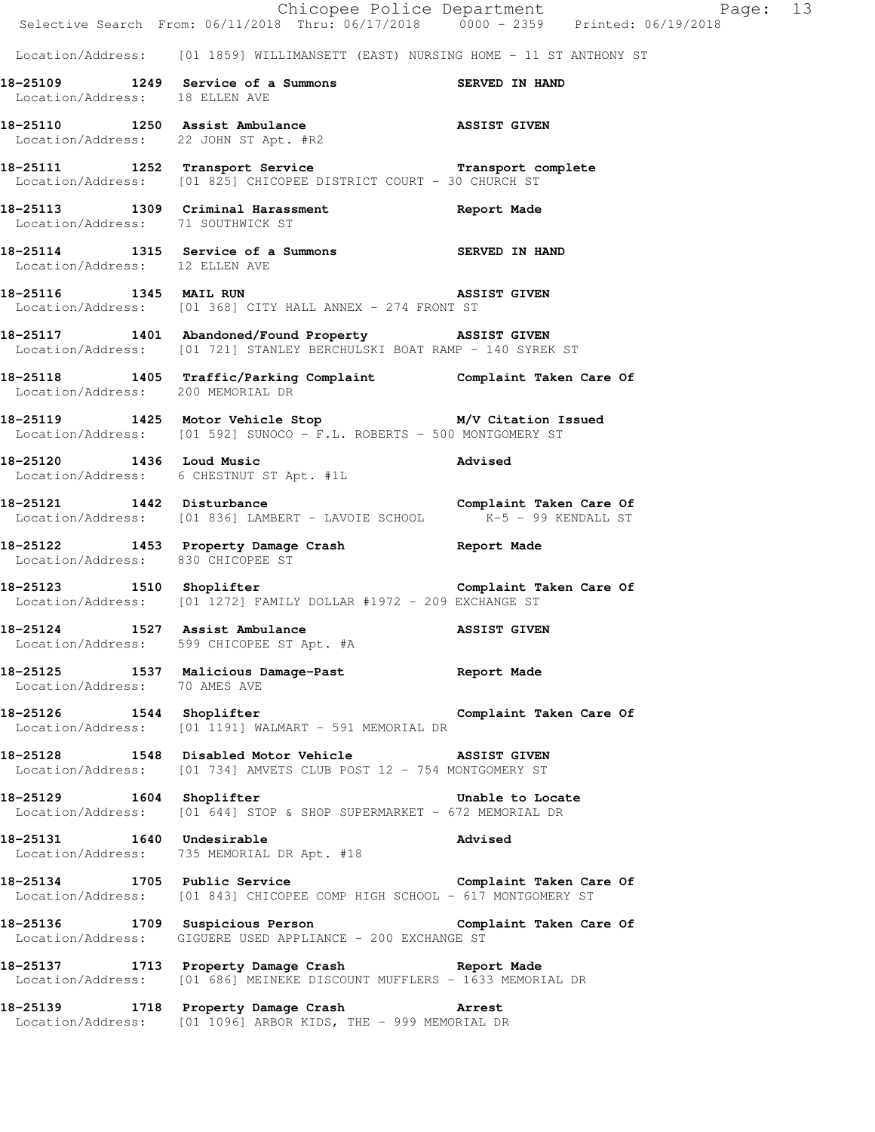|                                       | Chicopee Police Department<br>Selective Search From: 06/11/2018 Thru: 06/17/2018 0000 - 2359 Printed: 06/19/2018                             | Page: 13            |  |
|---------------------------------------|----------------------------------------------------------------------------------------------------------------------------------------------|---------------------|--|
|                                       | Location/Address: [01 1859] WILLIMANSETT (EAST) NURSING HOME - 11 ST ANTHONY ST                                                              |                     |  |
| Location/Address: 18 ELLEN AVE        | 18-25109 1249 Service of a Summons SERVED IN HAND                                                                                            |                     |  |
| Location/Address: 22 JOHN ST Apt. #R2 | 18-25110 1250 Assist Ambulance 18-25110 18-25110                                                                                             |                     |  |
|                                       | 18-25111 1252 Transport Service <b>18-25111</b> 1252 Transport complete<br>Location/Address: [01 825] CHICOPEE DISTRICT COURT - 30 CHURCH ST |                     |  |
| Location/Address: 71 SOUTHWICK ST     | 18-25113 1309 Criminal Harassment Report Made                                                                                                |                     |  |
| Location/Address: 12 ELLEN AVE        | 18-25114 1315 Service of a Summons SERVED IN HAND                                                                                            |                     |  |
|                                       | 18-25116 1345 MAIL RUN 18-25116<br>Location/Address: [01 368] CITY HALL ANNEX - 274 FRONT ST                                                 |                     |  |
|                                       | 18-25117 1401 Abandoned/Found Property ASSIST GIVEN<br>Location/Address: [01 721] STANLEY BERCHULSKI BOAT RAMP - 140 SYREK ST                |                     |  |
|                                       | 18-25118   1405   Traffic/Parking Complaint   Complaint Taken Care Of Location/Address:   200 MEMORIAL DR                                    |                     |  |
|                                       | 18-25119 1425 Motor Vehicle Stop M/V Citation Issued<br>Location/Address: [01 592] SUNOCO - F.L. ROBERTS - 500 MONTGOMERY ST                 |                     |  |
|                                       | 18-25120 1436 Loud Music<br>Location/Address: 6 CHESTNUT ST Apt. #1L                                                                         | Advised             |  |
| 18-25121 1442 Disturbance             | 18-25121 1442 Disturbance<br>Location/Address: [01 836] LAMBERT - LAVOIE SCHOOL K-5 - 99 KENDALL ST                                          |                     |  |
| Location/Address: 830 CHICOPEE ST     | 18-25122 1453 Property Damage Crash Report Made                                                                                              |                     |  |
|                                       | 18-25123 1510 Shoplifter Complaint Taken Care Of<br>Location/Address: [01 1272] FAMILY DOLLAR #1972 - 209 EXCHANGE ST                        |                     |  |
| 18-25124 1527 Assist Ambulance        | Location/Address: 599 CHICOPEE ST Apt. #A                                                                                                    | <b>ASSIST GIVEN</b> |  |
| Location/Address: 70 AMES AVE         | 18-25125 1537 Malicious Damage-Past 1997 Report Made                                                                                         |                     |  |
|                                       | 18-25126 1544 Shoplifter and Complaint Taken Care Of<br>Location/Address: [01 1191] WALMART - 591 MEMORIAL DR                                |                     |  |
|                                       | 18-25128 1548 Disabled Motor Vehicle ASSIST GIVEN<br>Location/Address: [01 734] AMVETS CLUB POST 12 - 754 MONTGOMERY ST                      |                     |  |
|                                       | 18-25129 1604 Shoplifter Unable to Locate<br>Location/Address: [01 644] STOP & SHOP SUPERMARKET - 672 MEMORIAL DR                            |                     |  |
| 18-25131 1640 Undesirable             | Location/Address: 735 MEMORIAL DR Apt. #18                                                                                                   | Advised             |  |
|                                       | 18-25134 1705 Public Service Complaint Taken Care Of<br>Location/Address: [01 843] CHICOPEE COMP HIGH SCHOOL - 617 MONTGOMERY ST             |                     |  |
|                                       | 18-25136 1709 Suspicious Person Complaint Taken Care Of<br>Location/Address: GIGUERE USED APPLIANCE - 200 EXCHANGE ST                        |                     |  |
|                                       | 18-25137 1713 Property Damage Crash Report Made<br>Location/Address: [01 686] MEINEKE DISCOUNT MUFFLERS - 1633 MEMORIAL DR                   |                     |  |
|                                       | 18-25139 1718 Property Damage Crash Marrest<br>Location/Address: [01 1096] ARBOR KIDS, THE - 999 MEMORIAL DR                                 |                     |  |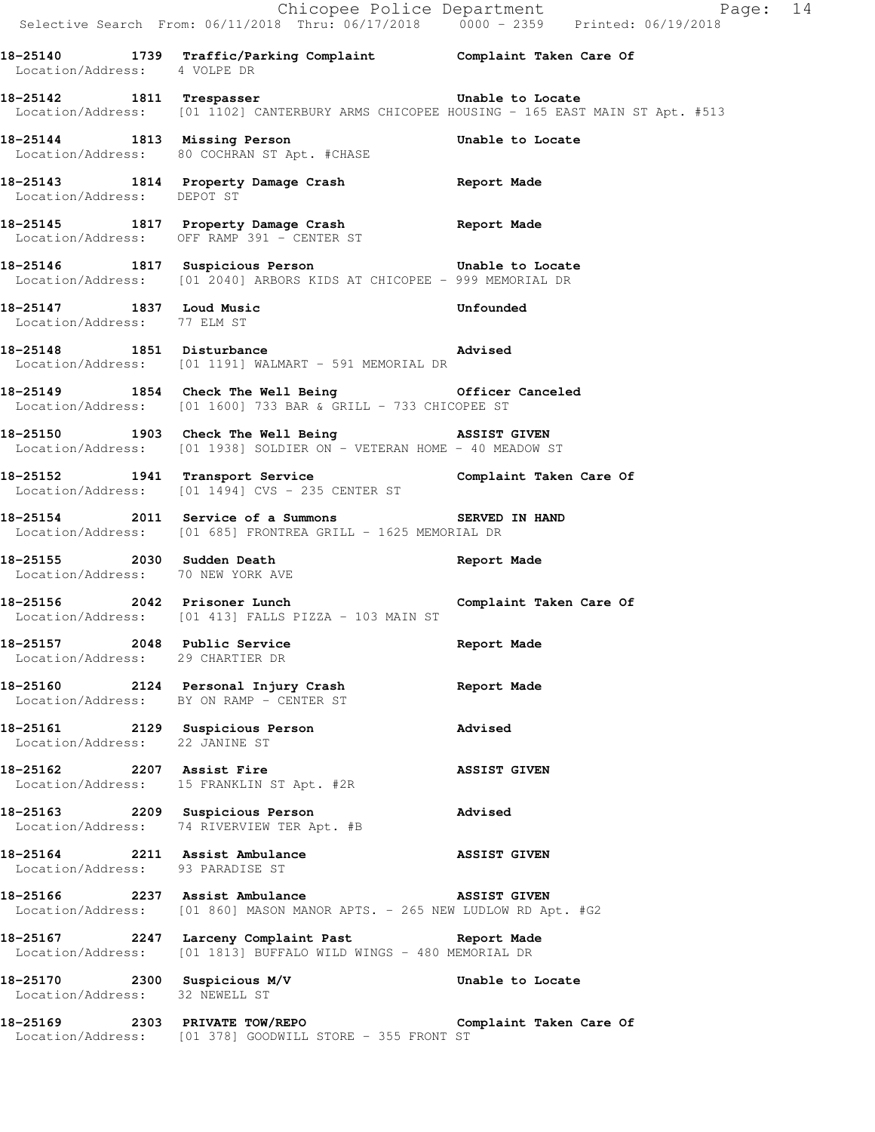|                                                                  |                                                                                                                                              | Chicopee Police Department<br>Selective Search From: 06/11/2018 Thru: 06/17/2018 0000 - 2359 Printed: 06/19/2018 |  |
|------------------------------------------------------------------|----------------------------------------------------------------------------------------------------------------------------------------------|------------------------------------------------------------------------------------------------------------------|--|
| Location/Address: 4 VOLPE DR                                     | 18-25140 1739 Traffic/Parking Complaint Complaint Taken Care Of                                                                              |                                                                                                                  |  |
|                                                                  | 18-25142 1811 Trespasser <b>1811</b> Trespasser<br>Location/Address: [01 1102] CANTERBURY ARMS CHICOPEE HOUSING - 165 EAST MAIN ST Apt. #513 |                                                                                                                  |  |
|                                                                  | 18-25144 1813 Missing Person Unable to Locate<br>Location/Address: 80 COCHRAN ST Apt. #CHASE                                                 |                                                                                                                  |  |
| Location/Address: DEPOT ST                                       | 18-25143 1814 Property Damage Crash Report Made                                                                                              |                                                                                                                  |  |
|                                                                  | 18-25145 1817 Property Damage Crash Report Made<br>Location/Address: OFF RAMP 391 - CENTER ST                                                |                                                                                                                  |  |
|                                                                  | 18-25146 1817 Suspicious Person based on the Unable to Locate<br>Location/Address: [01 2040] ARBORS KIDS AT CHICOPEE - 999 MEMORIAL DR       |                                                                                                                  |  |
| Location/Address: 77 ELM ST                                      | 18-25147 1837 Loud Music                                                                                                                     | Unfounded                                                                                                        |  |
|                                                                  | <br> 18-25148 1851 Disturbance <b>1851 Advised</b><br>Location/Address: [01 1191] WALMART - 591 MEMORIAL DR                                  |                                                                                                                  |  |
|                                                                  | 18-25149 1854 Check The Well Being Cofficer Canceled<br>Location/Address: [01 1600] 733 BAR & GRILL - 733 CHICOPEE ST                        |                                                                                                                  |  |
|                                                                  | 18-25150 1903 Check The Well Being 38SIST GIVEN<br>Location/Address: [01 1938] SOLDIER ON - VETERAN HOME - 40 MEADOW ST                      |                                                                                                                  |  |
|                                                                  | 18-25152 1941 Transport Service 1988 Complaint Taken Care Of<br>Location/Address: [01 1494] CVS - 235 CENTER ST                              |                                                                                                                  |  |
|                                                                  | 18-25154 2011 Service of a Summons SERVED IN HAND<br>Location/Address: [01 685] FRONTREA GRILL - 1625 MEMORIAL DR                            |                                                                                                                  |  |
| 18-25155 2030 Sudden Death<br>Location/Address: 70 NEW YORK AVE  |                                                                                                                                              | Report Made                                                                                                      |  |
|                                                                  | 18-25156 2042 Prisoner Lunch Complaint Taken Care Of<br>Location/Address: [01 413] FALLS PIZZA - 103 MAIN ST                                 |                                                                                                                  |  |
| 18-25157 2048 Public Service<br>Location/Address: 29 CHARTIER DR |                                                                                                                                              | Report Made                                                                                                      |  |
|                                                                  | 18-25160 2124 Personal Injury Crash<br>Location/Address: BY ON RAMP - CENTER ST                                                              | Report Made                                                                                                      |  |
| Location/Address: 22 JANINE ST                                   | 18-25161 2129 Suspicious Person                                                                                                              | Advised                                                                                                          |  |
|                                                                  | 18-25162 2207 Assist Fire<br>Location/Address: 15 FRANKLIN ST Apt. #2R                                                                       | <b>ASSIST GIVEN</b>                                                                                              |  |
|                                                                  | 18-25163 2209 Suspicious Person<br>Location/Address: 74 RIVERVIEW TER Apt. #B                                                                | Advised                                                                                                          |  |
| Location/Address: 93 PARADISE ST                                 | 18-25164 2211 Assist Ambulance ASSIST GIVEN                                                                                                  |                                                                                                                  |  |
|                                                                  | 18-25166 2237 Assist Ambulance ASSIST GIVEN<br>Location/Address: [01 860] MASON MANOR APTS. - 265 NEW LUDLOW RD Apt. #G2                     |                                                                                                                  |  |
|                                                                  | 18-25167 		 2247 Larceny Complaint Past 		 Report Made<br>Location/Address: [01 1813] BUFFALO WILD WINGS - 480 MEMORIAL DR                   |                                                                                                                  |  |
| 18-25170 2300 Suspicious M/V<br>Location/Address: 32 NEWELL ST   |                                                                                                                                              | Unable to Locate                                                                                                 |  |
|                                                                  | 18-25169 2303 PRIVATE TOW/REPO Complaint Taken Care Of Location/Address: [01 378] GOODWILL STORE - 355 FRONT ST                              |                                                                                                                  |  |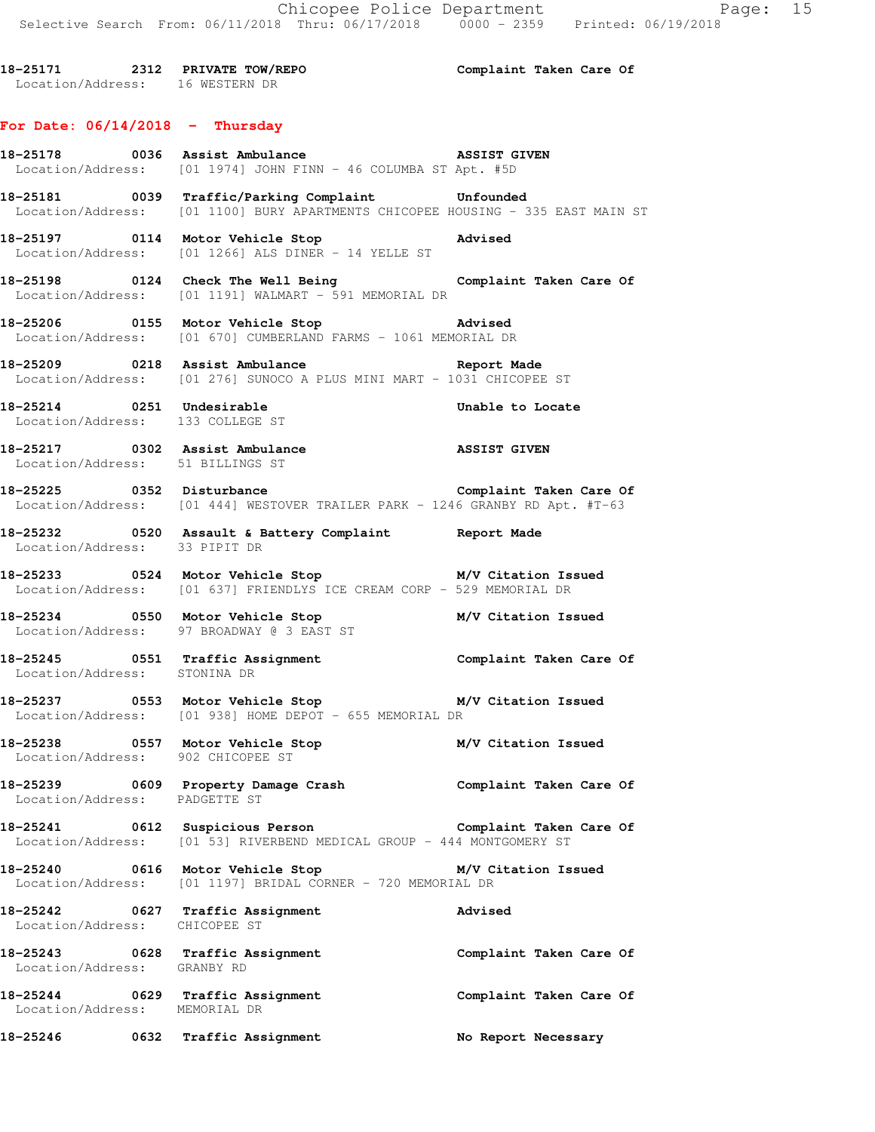**18-25171 2312 PRIVATE TOW/REPO Complaint Taken Care Of**  Location/Address: 16 WESTERN DR

## **For Date: 06/14/2018 - Thursday**

**18-25178 0036 Assist Ambulance ASSIST GIVEN**  Location/Address: [01 1974] JOHN FINN - 46 COLUMBA ST Apt. #5D

**18-25181 0039 Traffic/Parking Complaint Unfounded**  Location/Address: [01 1100] BURY APARTMENTS CHICOPEE HOUSING - 335 EAST MAIN ST

**18-25197 0114 Motor Vehicle Stop Advised**  Location/Address: [01 1266] ALS DINER - 14 YELLE ST

**18-25198 0124 Check The Well Being Complaint Taken Care Of**  Location/Address: [01 1191] WALMART - 591 MEMORIAL DR

**18-25206 0155 Motor Vehicle Stop Advised**  Location/Address: [01 670] CUMBERLAND FARMS - 1061 MEMORIAL DR

**18-25209 0218 Assist Ambulance Report Made**  Location/Address: [01 276] SUNOCO A PLUS MINI MART - 1031 CHICOPEE ST

**18-25214 0251 Undesirable Unable to Locate**  Location/Address: 133 COLLEGE ST

**18-25217 0302 Assist Ambulance ASSIST GIVEN**  Location/Address: 51 BILLINGS ST

**18-25225 0352 Disturbance Complaint Taken Care Of**  Location/Address: [01 444] WESTOVER TRAILER PARK - 1246 GRANBY RD Apt. #T-63

**18-25232 0520 Assault & Battery Complaint Report Made**  Location/Address: 33 PIPIT DR

**18-25233 0524 Motor Vehicle Stop M/V Citation Issued**  Location/Address: [01 637] FRIENDLYS ICE CREAM CORP - 529 MEMORIAL DR

**18-25234 0550 Motor Vehicle Stop M/V Citation Issued**  Location/Address: 97 BROADWAY @ 3 EAST ST

**18-25245 0551 Traffic Assignment Complaint Taken Care Of**  Location/Address: STONINA DR

**18-25237 0553 Motor Vehicle Stop M/V Citation Issued**  Location/Address: [01 938] HOME DEPOT - 655 MEMORIAL DR

**18-25238 0557 Motor Vehicle Stop M/V Citation Issued**  Location/Address: 902 CHICOPEE ST

**18-25239 0609 Property Damage Crash Complaint Taken Care Of**  Location/Address: PADGETTE ST

**18-25241 0612 Suspicious Person Complaint Taken Care Of**  Location/Address: [01 53] RIVERBEND MEDICAL GROUP - 444 MONTGOMERY ST

**18-25240 0616 Motor Vehicle Stop M/V Citation Issued**  Location/Address: [01 1197] BRIDAL CORNER - 720 MEMORIAL DR

**18-25242 0627 Traffic Assignment Advised**  Location/Address: CHICOPEE ST

**18-25243 0628 Traffic Assignment Complaint Taken Care Of**  Location/Address: GRANBY RD **18-25244 0629 Traffic Assignment Complaint Taken Care Of**  Location/Address: MEMORIAL DR

**18-25246 0632 Traffic Assignment No Report Necessary**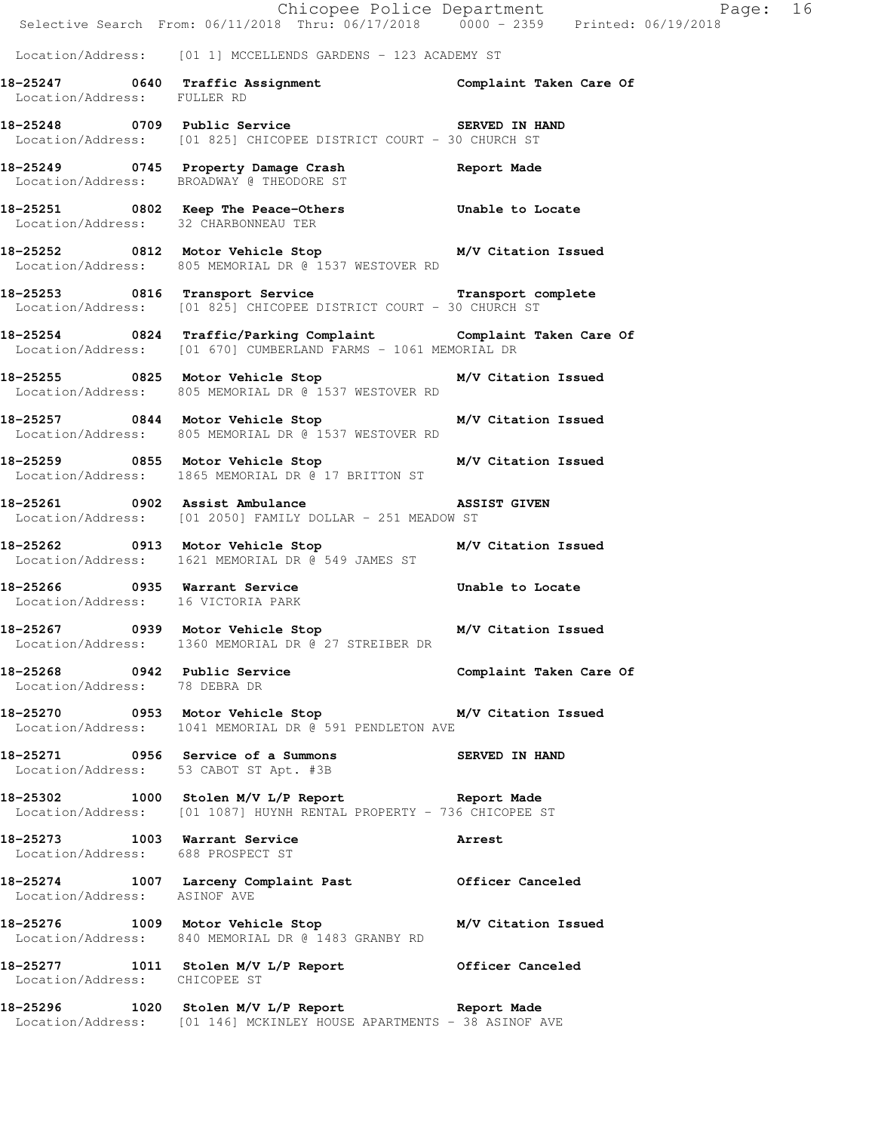|                                      |                                                                                                                                   | Chicopee Police Department<br>Selective Search From: 06/11/2018 Thru: 06/17/2018 0000 - 2359 Printed: 06/19/2018 |  |
|--------------------------------------|-----------------------------------------------------------------------------------------------------------------------------------|------------------------------------------------------------------------------------------------------------------|--|
|                                      | Location/Address: [01 1] MCCELLENDS GARDENS - 123 ACADEMY ST                                                                      |                                                                                                                  |  |
| Location/Address: FULLER RD          | 18-25247 0640 Traffic Assignment Complaint Taken Care Of                                                                          |                                                                                                                  |  |
|                                      | 18-25248 0709 Public Service 3ERVED IN HAND<br>Location/Address: [01 825] CHICOPEE DISTRICT COURT - 30 CHURCH ST                  |                                                                                                                  |  |
|                                      | 18-25249 0745 Property Damage Crash Report Made<br>Location/Address: BROADWAY @ THEODORE ST                                       |                                                                                                                  |  |
| Location/Address: 32 CHARBONNEAU TER | 18-25251 0802 Keep The Peace-Others 5 Unable to Locate                                                                            |                                                                                                                  |  |
|                                      | 18-25252 0812 Motor Vehicle Stop M/V Citation Issued<br>Location/Address: 805 MEMORIAL DR @ 1537 WESTOVER RD                      |                                                                                                                  |  |
|                                      | 18-25253 0816 Transport Service Transport Transport complete<br>Location/Address: [01 825] CHICOPEE DISTRICT COURT - 30 CHURCH ST |                                                                                                                  |  |
|                                      | 18-25254 0824 Traffic/Parking Complaint Complaint Taken Care Of<br>Location/Address: [01 670] CUMBERLAND FARMS - 1061 MEMORIAL DR |                                                                                                                  |  |
|                                      | 18-25255 0825 Motor Vehicle Stop M/V Citation Issued<br>Location/Address: 805 MEMORIAL DR @ 1537 WESTOVER RD                      |                                                                                                                  |  |
|                                      | 18-25257 0844 Motor Vehicle Stop M/V Citation Issued<br>Location/Address: 805 MEMORIAL DR @ 1537 WESTOVER RD                      |                                                                                                                  |  |
|                                      | 18-25259 0855 Motor Vehicle Stop M/V Citation Issued<br>Location/Address: 1865 MEMORIAL DR @ 17 BRITTON ST                        |                                                                                                                  |  |
|                                      | 18-25261 0902 Assist Ambulance ASSIST GIVEN<br>Location/Address: [01 2050] FAMILY DOLLAR - 251 MEADOW ST                          |                                                                                                                  |  |
|                                      | 18-25262 0913 Motor Vehicle Stop M/V Citation Issued<br>Location/Address: 1621 MEMORIAL DR @ 549 JAMES ST                         |                                                                                                                  |  |
| Location/Address: 16 VICTORIA PARK   | 18-25266 0935 Warrant Service b Unable to Locate                                                                                  |                                                                                                                  |  |
|                                      | 18-25267 0939 Motor Vehicle Stop M/V Citation Issued<br>Location/Address: 1360 MEMORIAL DR @ 27 STREIBER DR                       |                                                                                                                  |  |
| Location/Address: 78 DEBRA DR        | 18-25268 		 0942 Public Service 		 Complaint Taken Care Of                                                                        |                                                                                                                  |  |
|                                      | 18-25270 0953 Motor Vehicle Stop M/V Citation Issued<br>Location/Address: 1041 MEMORIAL DR @ 591 PENDLETON AVE                    |                                                                                                                  |  |
|                                      | 18-25271 0956 Service of a Summons SERVED IN HAND<br>Location/Address: 53 CABOT ST Apt. #3B                                       |                                                                                                                  |  |
|                                      | 18-25302 1000 Stolen M/V L/P Report 10-25302<br>Location/Address: [01 1087] HUYNH RENTAL PROPERTY - 736 CHICOPEE ST               |                                                                                                                  |  |
| Location/Address: 688 PROSPECT ST    | 18-25273 1003 Warrant Service 2008 Arrest                                                                                         |                                                                                                                  |  |
| Location/Address: ASINOF AVE         | 18-25274 1007 Larceny Complaint Past 0fficer Canceled                                                                             |                                                                                                                  |  |
|                                      | 18-25276 1009 Motor Vehicle Stop M/V Citation Issued<br>Location/Address: 840 MEMORIAL DR @ 1483 GRANBY RD                        |                                                                                                                  |  |
| Location/Address: CHICOPEE ST        | 18-25277 1011 Stolen M/V L/P Report Officer Canceled                                                                              |                                                                                                                  |  |
|                                      | 18-25296 1020 Stolen M/V L/P Report 18-25296<br>Location/Address: [01 146] MCKINLEY HOUSE APARTMENTS - 38 ASINOF AVE              |                                                                                                                  |  |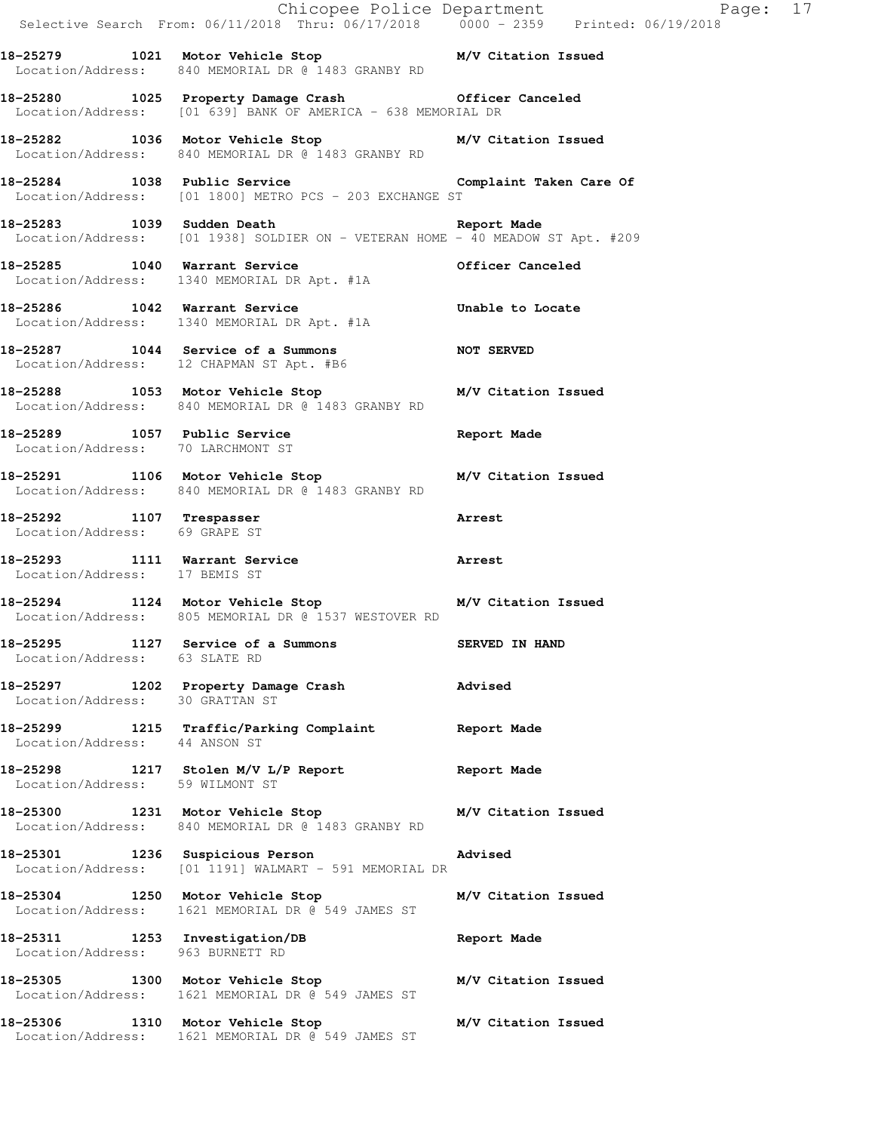|                                   |                                                                                                                          | Chicopee Police Department<br>Selective Search From: 06/11/2018 Thru: 06/17/2018 0000 - 2359 Printed: 06/19/2018 |
|-----------------------------------|--------------------------------------------------------------------------------------------------------------------------|------------------------------------------------------------------------------------------------------------------|
|                                   | 18-25279 1021 Motor Vehicle Stop M/V Citation Issued<br>Location/Address: 840 MEMORIAL DR @ 1483 GRANBY RD               |                                                                                                                  |
|                                   | 18-25280 1025 Property Damage Crash 6fficer Canceled<br>Location/Address: [01 639] BANK OF AMERICA - 638 MEMORIAL DR     |                                                                                                                  |
|                                   | 18-25282 1036 Motor Vehicle Stop M/V Citation Issued<br>Location/Address: 840 MEMORIAL DR @ 1483 GRANBY RD               |                                                                                                                  |
|                                   | 18-25284 1038 Public Service Complaint Taken Care Of<br>Location/Address: [01 1800] METRO PCS - 203 EXCHANGE ST          |                                                                                                                  |
|                                   | 18-25283 1039 Sudden Death Neport Made<br>Location/Address: [01 1938] SOLDIER ON - VETERAN HOME - 40 MEADOW ST Apt. #209 |                                                                                                                  |
|                                   | 18-25285 1040 Warrant Service<br>Location/Address: 1340 MEMORIAL DR Apt. #1A                                             | Officer Canceled                                                                                                 |
|                                   | 18-25286 1042 Warrant Service<br>Location/Address: 1340 MEMORIAL DR Apt. #1A                                             | Unable to Locate                                                                                                 |
|                                   | 18-25287 1044 Service of a Summons NOT SERVED<br>Location/Address: 12 CHAPMAN ST Apt. #B6                                |                                                                                                                  |
|                                   | 18-25288 1053 Motor Vehicle Stop M/V Citation Issued<br>Location/Address: 840 MEMORIAL DR @ 1483 GRANBY RD               |                                                                                                                  |
| Location/Address: 70 LARCHMONT ST | 18-25289 1057 Public Service                                                                                             | Report Made                                                                                                      |
|                                   | 18-25291 1106 Motor Vehicle Stop M/V Citation Issued<br>Location/Address: 840 MEMORIAL DR @ 1483 GRANBY RD               |                                                                                                                  |
| Location/Address: 69 GRAPE ST     | 18-25292 1107 Trespasser                                                                                                 | Arrest                                                                                                           |
| Location/Address: 17 BEMIS ST     | 18-25293 1111 Warrant Service 2012 18-25293                                                                              |                                                                                                                  |
|                                   | 18-25294 1124 Motor Vehicle Stop M/V Citation Issued<br>Location/Address: 805 MEMORIAL DR @ 1537 WESTOVER RD             |                                                                                                                  |
| Location/Address: 63 SLATE RD     | 18-25295 1127 Service of a Summons                                                                                       | SERVED IN HAND                                                                                                   |
| Location/Address: 30 GRATTAN ST   | 18-25297 1202 Property Damage Crash Movised                                                                              |                                                                                                                  |
| Location/Address: 44 ANSON ST     | 18-25299 1215 Traffic/Parking Complaint Report Made                                                                      |                                                                                                                  |
| Location/Address: 59 WILMONT ST   | 18-25298 1217 Stolen M/V L/P Report 18 Report Made                                                                       |                                                                                                                  |
|                                   | 18-25300 1231 Motor Vehicle Stop M/V Citation Issued<br>Location/Address: 840 MEMORIAL DR @ 1483 GRANBY RD               |                                                                                                                  |
|                                   | 18-25301 1236 Suspicious Person Madvised<br>Location/Address: [01 1191] WALMART - 591 MEMORIAL DR                        |                                                                                                                  |
|                                   | 18-25304 1250 Motor Vehicle Stop<br>Location/Address: 1621 MEMORIAL DR @ 549 JAMES ST                                    | M/V Citation Issued                                                                                              |
| Location/Address: 963 BURNETT RD  | 18-25311 1253 Investigation/DB Report Made                                                                               |                                                                                                                  |
|                                   | 18-25305 1300 Motor Vehicle Stop M/V Citation Issued<br>Location/Address: 1621 MEMORIAL DR @ 549 JAMES ST                |                                                                                                                  |
|                                   | 18-25306 1310 Motor Vehicle Stop M/V Citation Issued<br>Location/Address: 1621 MEMORIAL DR @ 549 JAMES ST                |                                                                                                                  |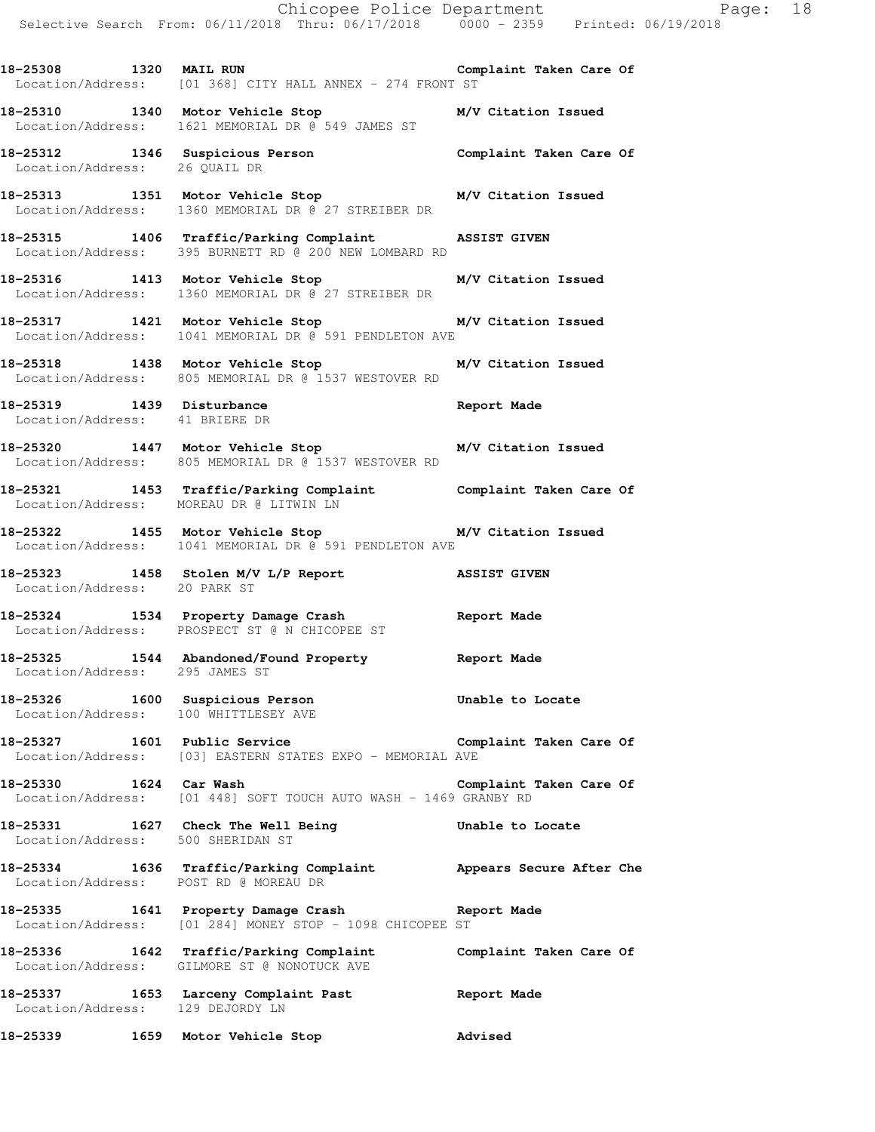**18-25310 1340 Motor Vehicle Stop M/V Citation Issued**  Location/Address: 1621 MEMORIAL DR @ 549 JAMES ST

**18-25312 1346 Suspicious Person Complaint Taken Care Of**  Location/Address: 26 QUAIL DR

**18-25313 1351 Motor Vehicle Stop M/V Citation Issued**  Location/Address: 1360 MEMORIAL DR @ 27 STREIBER DR

**18-25315 1406 Traffic/Parking Complaint ASSIST GIVEN**  Location/Address: 395 BURNETT RD @ 200 NEW LOMBARD RD

**18-25316 1413 Motor Vehicle Stop M/V Citation Issued**  Location/Address: 1360 MEMORIAL DR @ 27 STREIBER DR

**18-25317 1421 Motor Vehicle Stop M/V Citation Issued**  Location/Address: 1041 MEMORIAL DR @ 591 PENDLETON AVE

**18-25318 1438 Motor Vehicle Stop M/V Citation Issued**  Location/Address: 805 MEMORIAL DR @ 1537 WESTOVER RD

**18-25319 1439 Disturbance Report Made**  Location/Address: 41 BRIERE DR

**18-25320 1447 Motor Vehicle Stop M/V Citation Issued**  Location/Address: 805 MEMORIAL DR @ 1537 WESTOVER RD

**18-25321 1453 Traffic/Parking Complaint Complaint Taken Care Of**  Location/Address: MOREAU DR @ LITWIN LN

**18-25322 1455 Motor Vehicle Stop M/V Citation Issued**  Location/Address: 1041 MEMORIAL DR @ 591 PENDLETON AVE

**18-25323 1458 Stolen M/V L/P Report ASSIST GIVEN**  Location/Address: 20 PARK ST

**18-25324 1534 Property Damage Crash Report Made**  Location/Address: PROSPECT ST @ N CHICOPEE ST

**18-25325 1544 Abandoned/Found Property Report Made**  Location/Address: 295 JAMES ST

**18-25326 1600 Suspicious Person Unable to Locate**  Location/Address: 100 WHITTLESEY AVE

**18-25327 1601 Public Service Complaint Taken Care Of**  Location/Address: [03] EASTERN STATES EXPO - MEMORIAL AVE

**18-25330 1624 Car Wash Complaint Taken Care Of**  Location/Address: [01 448] SOFT TOUCH AUTO WASH - 1469 GRANBY RD

**18-25331 1627 Check The Well Being Unable to Locate**  Location/Address: 500 SHERIDAN ST

**18-25334 1636 Traffic/Parking Complaint Appears Secure After Che**  Location/Address: POST RD @ MOREAU DR

**18-25335 1641 Property Damage Crash Report Made**  Location/Address: [01 284] MONEY STOP - 1098 CHICOPEE ST

**18-25336 1642 Traffic/Parking Complaint Complaint Taken Care Of**  Location/Address: GILMORE ST @ NONOTUCK AVE

**18-25337 1653 Larceny Complaint Past Report Made**  Location/Address: 129 DEJORDY LN

**18-25339 1659 Motor Vehicle Stop Advised**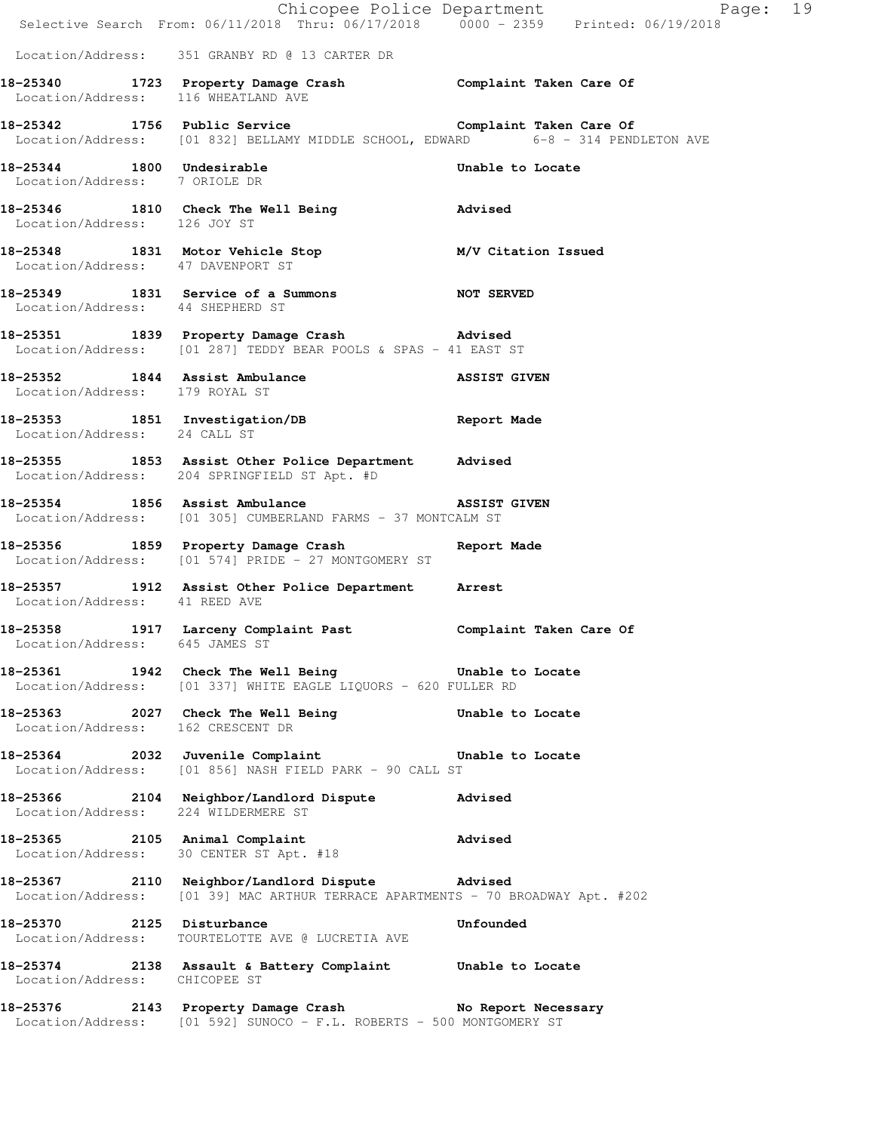|                                                            | Chicopee Police Department<br>Selective Search From: 06/11/2018 Thru: 06/17/2018 0000 - 2359 Printed: 06/19/2018                         | Page: 19         |
|------------------------------------------------------------|------------------------------------------------------------------------------------------------------------------------------------------|------------------|
|                                                            | Location/Address: 351 GRANBY RD @ 13 CARTER DR                                                                                           |                  |
| Location/Address: 116 WHEATLAND AVE                        | 18-25340 1723 Property Damage Crash Complaint Taken Care Of                                                                              |                  |
|                                                            | 18-25342 1756 Public Service Complaint Taken Care Of<br>Location/Address: [01 832] BELLAMY MIDDLE SCHOOL, EDWARD 6-8 - 314 PENDLETON AVE |                  |
| 18-25344 1800 Undesirable<br>Location/Address: 7 ORIOLE DR |                                                                                                                                          | Unable to Locate |
| Location/Address: 126 JOY ST                               | 18-25346 1810 Check The Well Being 30 Marised                                                                                            |                  |
| Location/Address: 47 DAVENPORT ST                          | 18-25348 1831 Motor Vehicle Stop M/V Citation Issued                                                                                     |                  |
|                                                            | 18-25349 1831 Service of a Summons MOT SERVED<br>Location/Address: 44 SHEPHERD ST                                                        |                  |
|                                                            | 18-25351 1839 Property Damage Crash Movised<br>Location/Address: [01 287] TEDDY BEAR POOLS & SPAS - 41 EAST ST                           |                  |
| Location/Address: 179 ROYAL ST                             | 18-25352 1844 Assist Ambulance ASSIST GIVEN                                                                                              |                  |
| Location/Address: 24 CALL ST                               | 18-25353 1851 Investigation/DB Report Made                                                                                               |                  |
|                                                            | 18-25355 1853 Assist Other Police Department Advised<br>Location/Address: 204 SPRINGFIELD ST Apt. #D                                     |                  |
|                                                            | 18-25354 1856 Assist Ambulance ASSIST GIVEN<br>Location/Address: [01 305] CUMBERLAND FARMS - 37 MONTCALM ST                              |                  |
|                                                            | 18-25356 1859 Property Damage Crash<br>Location/Address: [01 574] PRIDE - 27 MONTGOMERY ST                                               | Report Made      |
| Location/Address: 41 REED AVE                              | 18-25357 1912 Assist Other Police Department Arrest                                                                                      |                  |
| Location/Address: 645 JAMES ST                             | 18-25358 1917 Larceny Complaint Past Complaint Taken Care Of                                                                             |                  |
|                                                            | 18-25361 1942 Check The Well Being The Unable to Locate<br>Location/Address: [01 337] WHITE EAGLE LIQUORS - 620 FULLER RD                |                  |
|                                                            | 18-25363 2027 Check The Well Being Unable to Locate<br>Location/Address: 162 CRESCENT DR                                                 |                  |
|                                                            | 18-25364 2032 Juvenile Complaint<br>Location/Address: [01 856] NASH FIELD PARK - 90 CALL ST                                              | Unable to Locate |
| Location/Address: 224 WILDERMERE ST                        | 18-25366 2104 Neighbor/Landlord Dispute                                                                                                  | Advised          |
|                                                            | 18-25365 2105 Animal Complaint<br>Location/Address: 30 CENTER ST Apt. #18                                                                | Advised          |
|                                                            | 18-25367 2110 Neighbor/Landlord Dispute Advised<br>Location/Address: [01 39] MAC ARTHUR TERRACE APARTMENTS - 70 BROADWAY Apt. #202       |                  |
|                                                            | 18-25370 2125 Disturbance<br>Location/Address: TOURTELOTTE AVE @ LUCRETIA AVE                                                            | Unfounded        |
| Location/Address: CHICOPEE ST                              | 18-25374 2138 Assault & Battery Complaint Unable to Locate                                                                               |                  |
|                                                            | 18-25376 2143 Property Damage Crash No Report Necessary<br>Location/Address: [01 592] SUNOCO - F.L. ROBERTS - 500 MONTGOMERY ST          |                  |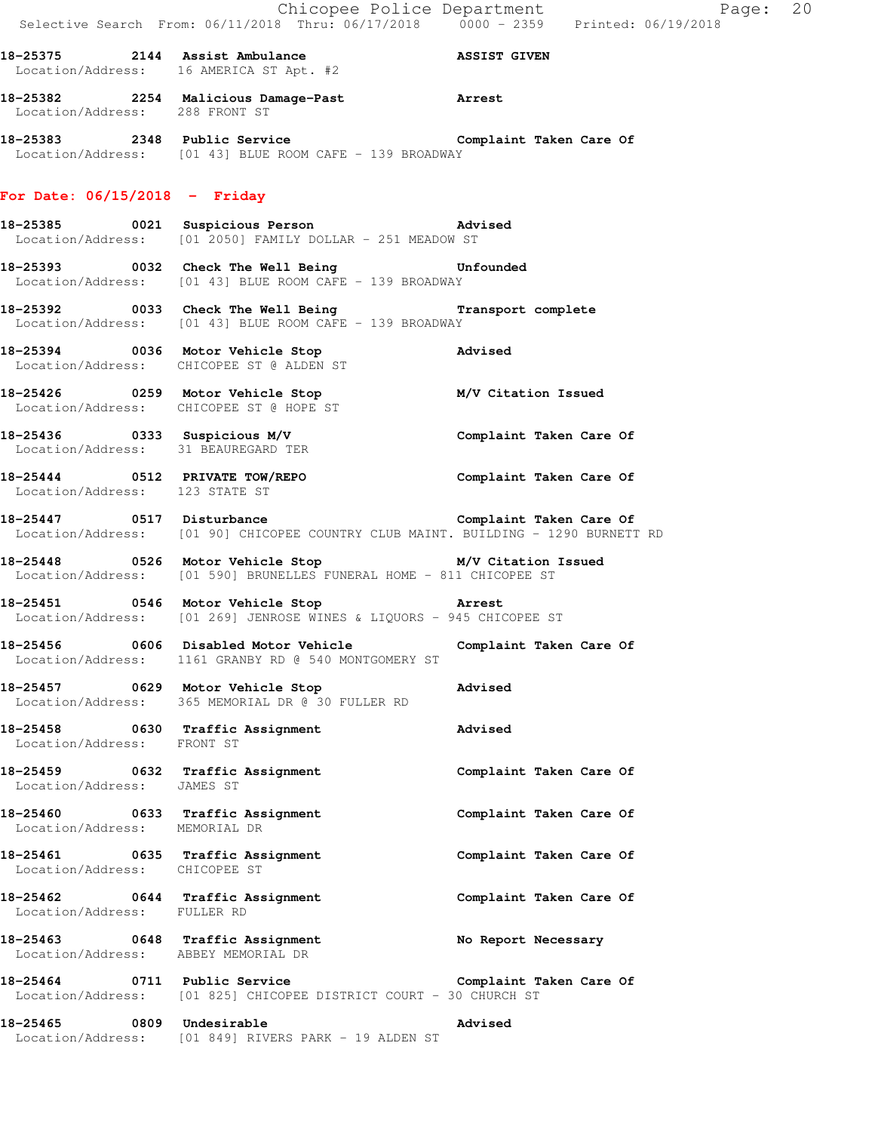|                                                                   | E Chicopee Police Department<br>Selective Search From: 06/11/2018 Thru: 06/17/2018 0000 - 2359 Printed: 06/19/2018                                                                            | Page: 20                |  |
|-------------------------------------------------------------------|-----------------------------------------------------------------------------------------------------------------------------------------------------------------------------------------------|-------------------------|--|
|                                                                   | 18-25375 2144 Assist Ambulance ASSIST GIVEN<br>Location/Address: 16 AMERICA ST Apt. #2                                                                                                        |                         |  |
| Location/Address: 288 FRONT ST                                    | 18-25382 2254 Malicious Damage-Past 2rrest                                                                                                                                                    |                         |  |
|                                                                   | 18-25383 2348 Public Service Complaint Taken Care Of<br>Location/Address: [01 43] BLUE ROOM CAFE - 139 BROADWAY                                                                               |                         |  |
| For Date: $06/15/2018$ - Friday                                   |                                                                                                                                                                                               |                         |  |
|                                                                   | 18-25385 0021 Suspicious Person Movised<br>Location/Address: [01 2050] FAMILY DOLLAR - 251 MEADOW ST                                                                                          |                         |  |
|                                                                   | 18-25393 0032 Check The Well Being Unfounded<br>Location/Address: [01 43] BLUE ROOM CAFE - 139 BROADWAY                                                                                       |                         |  |
|                                                                   | 18-25392 0033 Check The Well Being Transport complete<br>Location/Address: [01 43] BLUE ROOM CAFE - 139 BROADWAY                                                                              |                         |  |
|                                                                   | 18-25394 0036 Motor Vehicle Stop<br>Location/Address: CHICOPEE ST @ ALDEN ST                                                                                                                  | Advised                 |  |
|                                                                   | 18-25426 		 0259 Motor Vehicle Stop 		 M/V Citation Issued<br>Location/Address: CHICOPEE ST @ HOPE ST                                                                                         |                         |  |
|                                                                   | 18-25436   0333   Suspicious M/V   Complaint Taken Care Of<br>Location/Address: 31 BEAUREGARD TER                                                                                             |                         |  |
| Location/Address: 123 STATE ST                                    | 18-25444 0512 PRIVATE TOW/REPO Complaint Taken Care Of                                                                                                                                        |                         |  |
|                                                                   | -<br>18-25447 18-25447 0517 Disturbance 1980 1991 18-25447 Complaint Taken Care Of<br>Location/Address: [01 90] CHICOPEE COUNTRY CLUB MAINT. BUILDING - 1290 BURNETT RD                       |                         |  |
|                                                                   | 18-25448 0526 Motor Vehicle Stop M/V Citation Issued<br>Location/Address: [01 590] BRUNELLES FUNERAL HOME - 811 CHICOPEE ST                                                                   |                         |  |
| 18-25451 0546 Motor Vehicle Stop                                  | <b>External State State State State State State State State State State State State State State State State State</b><br>Location/Address: [01 269] JENROSE WINES & LIQUORS - 945 CHICOPEE ST |                         |  |
| 18-25456                                                          | 0606 Disabled Motor Vehicle<br>Location/Address: 1161 GRANBY RD @ 540 MONTGOMERY ST                                                                                                           | Complaint Taken Care Of |  |
|                                                                   | 18-25457 0629 Motor Vehicle Stop<br>Location/Address: 365 MEMORIAL DR @ 30 FULLER RD                                                                                                          | Advised                 |  |
| 18-25458 0630 Traffic Assignment<br>Location/Address: FRONT ST    |                                                                                                                                                                                               | Advised                 |  |
| 18-25459 0632 Traffic Assignment<br>Location/Address: JAMES ST    |                                                                                                                                                                                               | Complaint Taken Care Of |  |
| 18-25460 0633 Traffic Assignment<br>Location/Address: MEMORIAL DR |                                                                                                                                                                                               | Complaint Taken Care Of |  |
| 18-25461 0635 Traffic Assignment<br>Location/Address: CHICOPEE ST |                                                                                                                                                                                               | Complaint Taken Care Of |  |
| 18-25462 0644 Traffic Assignment<br>Location/Address: FULLER RD   |                                                                                                                                                                                               | Complaint Taken Care Of |  |
| Location/Address: ABBEY MEMORIAL DR                               | 18-25463 0648 Traffic Assignment                                                                                                                                                              | No Report Necessary     |  |
|                                                                   | 18-25464 0711 Public Service <b>18.18 Complaint Taken Care Of</b><br>Location/Address: [01 825] CHICOPEE DISTRICT COURT - 30 CHURCH ST                                                        |                         |  |
| 18–25465                                                          | 0809 Undesirable<br>Location/Address: [01 849] RIVERS PARK - 19 ALDEN ST                                                                                                                      | <b>Advised</b>          |  |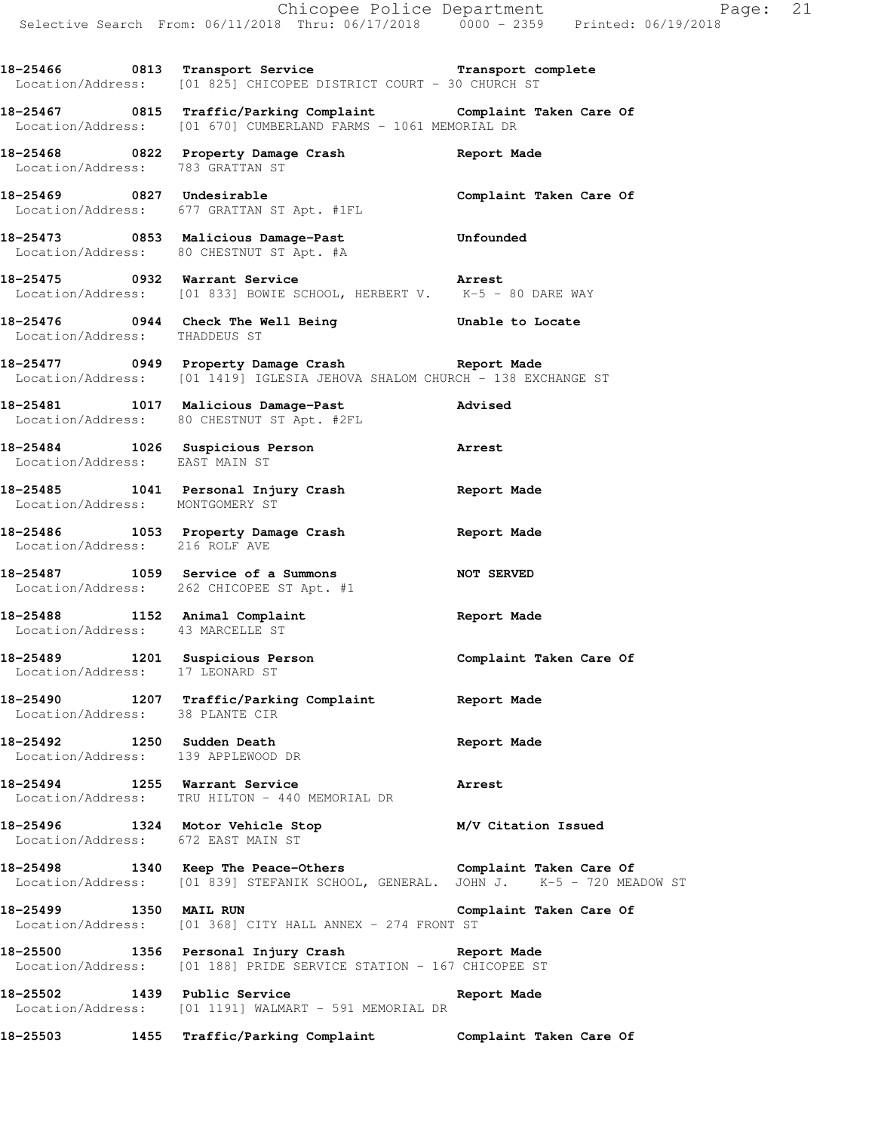**18-25466 0813 Transport Service Transport complete**  Location/Address: [01 825] CHICOPEE DISTRICT COURT - 30 CHURCH ST

**18-25467 0815 Traffic/Parking Complaint Complaint Taken Care Of**  Location/Address: [01 670] CUMBERLAND FARMS - 1061 MEMORIAL DR

**18-25468 0822 Property Damage Crash Report Made**  Location/Address: 783 GRATTAN ST

**18-25469 0827 Undesirable Complaint Taken Care Of**  Location/Address: 677 GRATTAN ST Apt. #1FL

**18-25473 0853 Malicious Damage-Past Unfounded**  Location/Address: 80 CHESTNUT ST Apt. #A

**18-25475 0932 Warrant Service Arrest**  Location/Address: [01 833] BOWIE SCHOOL, HERBERT V. K-5 - 80 DARE WAY

**18-25476 0944 Check The Well Being Unable to Locate**  Location/Address: THADDEUS ST

**18-25477 0949 Property Damage Crash Report Made**  Location/Address: [01 1419] IGLESIA JEHOVA SHALOM CHURCH - 138 EXCHANGE ST

**18-25481 1017 Malicious Damage-Past Advised**  Location/Address: 80 CHESTNUT ST Apt. #2FL

**18-25484 1026 Suspicious Person Arrest**  Location/Address: EAST MAIN ST

**18-25485 1041 Personal Injury Crash Report Made**  Location/Address: MONTGOMERY ST

**18-25486 1053 Property Damage Crash Report Made**  Location/Address: 216 ROLF AVE

**18-25487 1059 Service of a Summons NOT SERVED**  Location/Address: 262 CHICOPEE ST Apt. #1

**18-25488 1152 Animal Complaint Report Made**  Location/Address: 43 MARCELLE ST

**18-25489 1201 Suspicious Person Complaint Taken Care Of**  Location/Address: 17 LEONARD ST

**18-25490 1207 Traffic/Parking Complaint Report Made**  Location/Address: 38 PLANTE CIR

**18-25492 1250 Sudden Death Report Made**  Location/Address: 139 APPLEWOOD DR

**18-25494 1255 Warrant Service Arrest**  Location/Address: TRU HILTON - 440 MEMORIAL DR

**18-25496 1324 Motor Vehicle Stop M/V Citation Issued**  Location/Address: 672 EAST MAIN ST

**18-25498 1340 Keep The Peace-Others Complaint Taken Care Of**  Location/Address: [01 839] STEFANIK SCHOOL, GENERAL. JOHN J. K-5 - 720 MEADOW ST

**18-25499 1350 MAIL RUN Complaint Taken Care Of**  Location/Address: [01 368] CITY HALL ANNEX - 274 FRONT ST

**18-25500 1356 Personal Injury Crash Report Made**  Location/Address: [01 188] PRIDE SERVICE STATION - 167 CHICOPEE ST

**18-25502 1439 Public Service Report Made**  Location/Address: [01 1191] WALMART - 591 MEMORIAL DR

**18-25503 1455 Traffic/Parking Complaint Complaint Taken Care Of**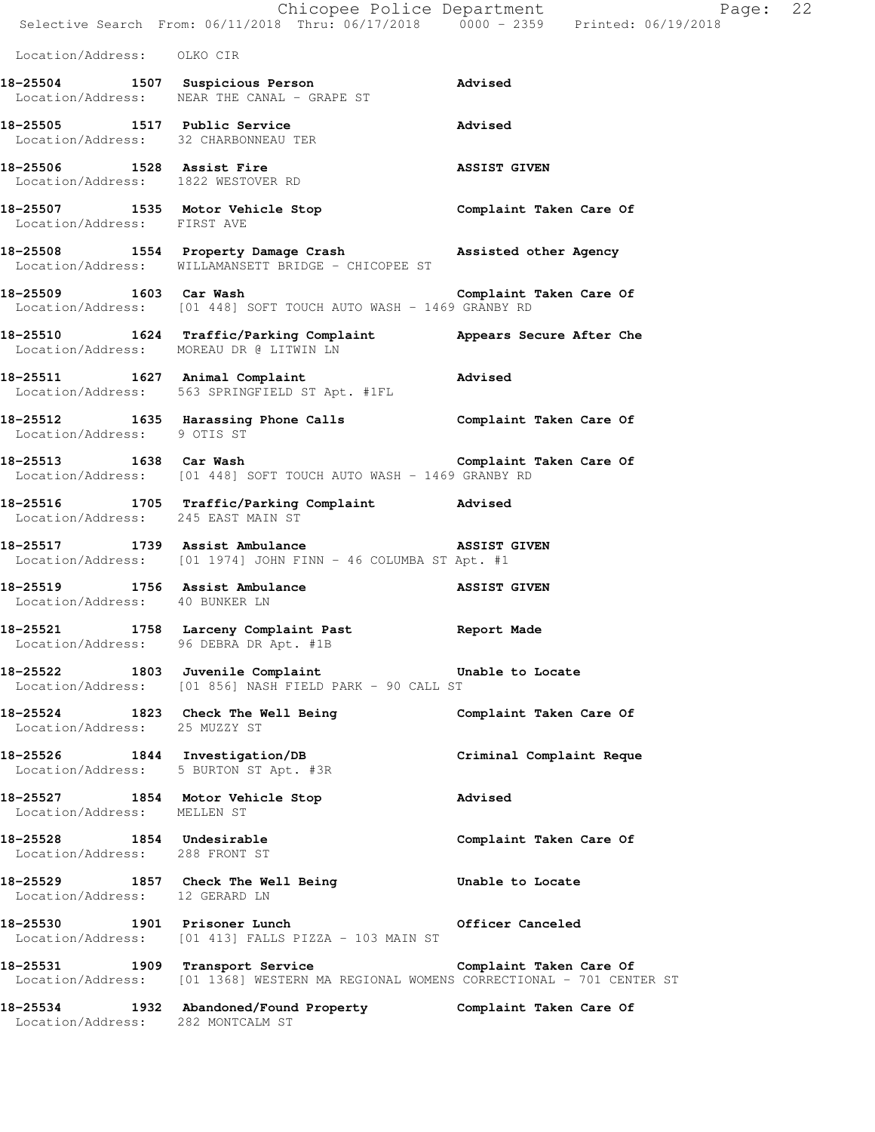|                                                                  | Selective Search From: 06/11/2018 Thru: 06/17/2018  0000 - 2359  Printed: 06/19/2018                                                                | Chicopee Police Department<br>Page: 22 |  |
|------------------------------------------------------------------|-----------------------------------------------------------------------------------------------------------------------------------------------------|----------------------------------------|--|
| Location/Address: OLKO CIR                                       |                                                                                                                                                     |                                        |  |
|                                                                  | 18-25504 1507 Suspicious Person<br>Location/Address: NEAR THE CANAL - GRAPE ST                                                                      | Advised                                |  |
| Location/Address: 32 CHARBONNEAU TER                             | 18-25505 1517 Public Service                                                                                                                        | Advised                                |  |
| 18-25506 1528 Assist Fire<br>Location/Address: 1822 WESTOVER RD  |                                                                                                                                                     | <b>ASSIST GIVEN</b>                    |  |
| Location/Address: FIRST AVE                                      | 18-25507 1535 Motor Vehicle Stop Complaint Taken Care Of                                                                                            |                                        |  |
|                                                                  | 18-25508 1554 Property Damage Crash Massisted other Agency<br>Location/Address: WILLAMANSETT BRIDGE - CHICOPEE ST                                   |                                        |  |
|                                                                  | 18-25509 1603 Car Wash <b>Complaint Taken Care Of</b><br>Location/Address: [01 448] SOFT TOUCH AUTO WASH - 1469 GRANBY RD                           |                                        |  |
| Location/Address: MOREAU DR @ LITWIN LN                          | 18-25510 1624 Traffic/Parking Complaint                                                                                                             | Appears Secure After Che               |  |
|                                                                  | 18-25511 1627 Animal Complaint<br>Location/Address: 563 SPRINGFIELD ST Apt. #1FL                                                                    | Advised                                |  |
| Location/Address: 9 OTIS ST                                      | 18-25512 1635 Harassing Phone Calls               Complaint Taken Care Of                                                                           |                                        |  |
|                                                                  | 18-25513 1638 Car Wash Complaint Taken Care Of<br>Location/Address: [01 448] SOFT TOUCH AUTO WASH - 1469 GRANBY RD                                  |                                        |  |
| Location/Address: 245 EAST MAIN ST                               | 18-25516 1705 Traffic/Parking Complaint Advised                                                                                                     |                                        |  |
|                                                                  | 18-25517 1739 Assist Ambulance <b>1888 ASSIST</b> GIVEN<br>Location/Address: [01 1974] JOHN FINN - 46 COLUMBA ST Apt. #1                            |                                        |  |
| 18-25519 1756 Assist Ambulance<br>Location/Address: 40 BUNKER LN |                                                                                                                                                     | <b>ASSIST GIVEN</b>                    |  |
| Location/Address: 96 DEBRA DR Apt. #1B                           | 18-25521 1758 Larceny Complaint Past Neport Made                                                                                                    |                                        |  |
|                                                                  | 18-25522 1803 Juvenile Complaint Community Unable to Locate<br>Location/Address: [01 856] NASH FIELD PARK - 90 CALL ST                              |                                        |  |
| Location/Address: 25 MUZZY ST                                    | 18-25524 1823 Check The Well Being <b>Example 18-25524</b> 1823 Check The Well Being                                                                |                                        |  |
| Location/Address: 5 BURTON ST Apt. #3R                           | 18-25526 1844 Investigation/DB                                                                                                                      | Criminal Complaint Reque               |  |
| 18-25527 1854 Motor Vehicle Stop<br>Location/Address: MELLEN ST  |                                                                                                                                                     | Advised                                |  |
| 18-25528 1854 Undesirable<br>Location/Address: 288 FRONT ST      |                                                                                                                                                     | Complaint Taken Care Of                |  |
| Location/Address: 12 GERARD LN                                   | 18-25529 1857 Check The Well Being                                                                                                                  | Unable to Locate                       |  |
| 18-25530 1901 Prisoner Lunch                                     | Location/Address: [01 413] FALLS PIZZA - 103 MAIN ST                                                                                                | Officer Canceled                       |  |
|                                                                  | 18-25531 1909 Transport Service 1988 Complaint Taken Care Of<br>Location/Address: [01 1368] WESTERN MA REGIONAL WOMENS CORRECTIONAL - 701 CENTER ST |                                        |  |
| Location/Address: 282 MONTCALM ST                                | 18-25534 1932 Abandoned/Found Property Complaint Taken Care Of                                                                                      |                                        |  |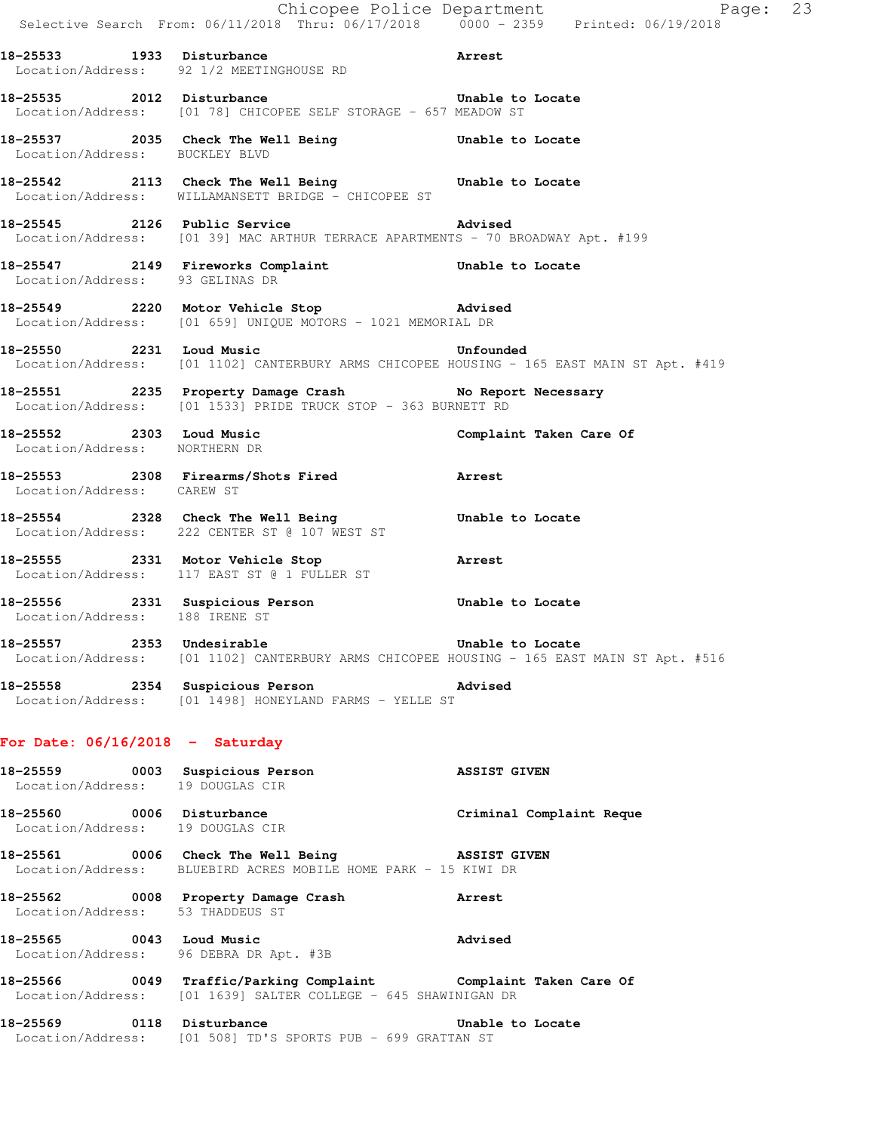|                                   |                                                                                                                                   | Chicopee Police Department<br>Selective Search From: 06/11/2018 Thru: 06/17/2018 0000 - 2359 Printed: 06/19/2018 |  |
|-----------------------------------|-----------------------------------------------------------------------------------------------------------------------------------|------------------------------------------------------------------------------------------------------------------|--|
|                                   | 18-25533 1933 Disturbance<br>Arrest<br>Location/Address: 92 1/2 MEETINGHOUSE RD                                                   |                                                                                                                  |  |
|                                   | 18-25535 2012 Disturbance Chapter Unable to Locate<br>Location/Address: [01 78] CHICOPEE SELF STORAGE - 657 MEADOW ST             |                                                                                                                  |  |
|                                   | 18-25537 2035 Check The Well Being Chable to Locate Location/Address: BUCKLEY BLVD                                                |                                                                                                                  |  |
|                                   | 18-25542 2113 Check The Well Being Unable to Locate<br>Location/Address: WILLAMANSETT BRIDGE - CHICOPEE ST                        |                                                                                                                  |  |
|                                   | 18-25545 2126 Public Service 2012 Advised<br>Location/Address: [01 39] MAC ARTHUR TERRACE APARTMENTS - 70 BROADWAY Apt. #199      |                                                                                                                  |  |
| Location/Address: 93 GELINAS DR   | 18-25547 2149 Fireworks Complaint Communication Unable to Locate                                                                  |                                                                                                                  |  |
|                                   | 18-25549 2220 Motor Vehicle Stop 30 Advised<br>Location/Address: [01 659] UNIQUE MOTORS - 1021 MEMORIAL DR                        |                                                                                                                  |  |
|                                   | 18-25550 2231 Loud Music                                                                                                          | Unfounded<br>Location/Address: [01 1102] CANTERBURY ARMS CHICOPEE HOUSING - 165 EAST MAIN ST Apt. #419           |  |
|                                   | 18-25551 2235 Property Damage Crash No Report Necessary<br>Location/Address: [01 1533] PRIDE TRUCK STOP - 363 BURNETT RD          |                                                                                                                  |  |
| Location/Address: NORTHERN DR     | 18-25552 2303 Loud Music                                                                                                          | Complaint Taken Care Of                                                                                          |  |
| Location/Address: CAREW ST        | 18-25553 2308 Firearms/Shots Fired 18-25553                                                                                       |                                                                                                                  |  |
|                                   | 18-25554 2328 Check The Well Being Contable to Locate<br>Location/Address: 222 CENTER ST @ 107 WEST ST                            |                                                                                                                  |  |
| 18-25555 2331 Motor Vehicle Stop  | <b>Arrest</b><br>Location/Address: 117 EAST ST @ 1 FULLER ST                                                                      |                                                                                                                  |  |
|                                   | 18-25556 2331 Suspicious Person Unable to Locate<br>Location/Address: 188 IRENE ST                                                |                                                                                                                  |  |
|                                   | 18-25557 2353 Undesirable 2008 Unable to Locate                                                                                   | Location/Address: [01 1102] CANTERBURY ARMS CHICOPEE HOUSING - 165 EAST MAIN ST Apt. #516                        |  |
|                                   | 18-25558 2354 Suspicious Person Movised<br>Location/Address: [01 1498] HONEYLAND FARMS - YELLE ST                                 |                                                                                                                  |  |
| For Date: $06/16/2018$ - Saturday |                                                                                                                                   |                                                                                                                  |  |
| Location/Address: 19 DOUGLAS CIR  | 18-25559 0003 Suspicious Person Contra Mussist GIVEN                                                                              |                                                                                                                  |  |
|                                   | 18-25560 0006 Disturbance Criminal Complaint Reque<br>Location/Address: 19 DOUGLAS CIR                                            |                                                                                                                  |  |
|                                   | 18-25561 0006 Check The Well Being 3SSIST GIVEN<br>Location/Address: BLUEBIRD ACRES MOBILE HOME PARK - 15 KIWI DR                 |                                                                                                                  |  |
| Location/Address: 53 THADDEUS ST  | 18-25562 0008 Property Damage Crash Marrest                                                                                       |                                                                                                                  |  |
|                                   | 18-25565 0043 Loud Music<br>Advised<br>Location/Address: 96 DEBRA DR Apt. #3B                                                     |                                                                                                                  |  |
|                                   | 18-25566 0049 Traffic/Parking Complaint Complaint Taken Care Of<br>Location/Address: [01 1639] SALTER COLLEGE - 645 SHAWINIGAN DR |                                                                                                                  |  |
|                                   | 18-25569 0118 Disturbance<br>Location/Address: [01 508] TD'S SPORTS PUB - 699 GRATTAN ST                                          | Unable to Locate                                                                                                 |  |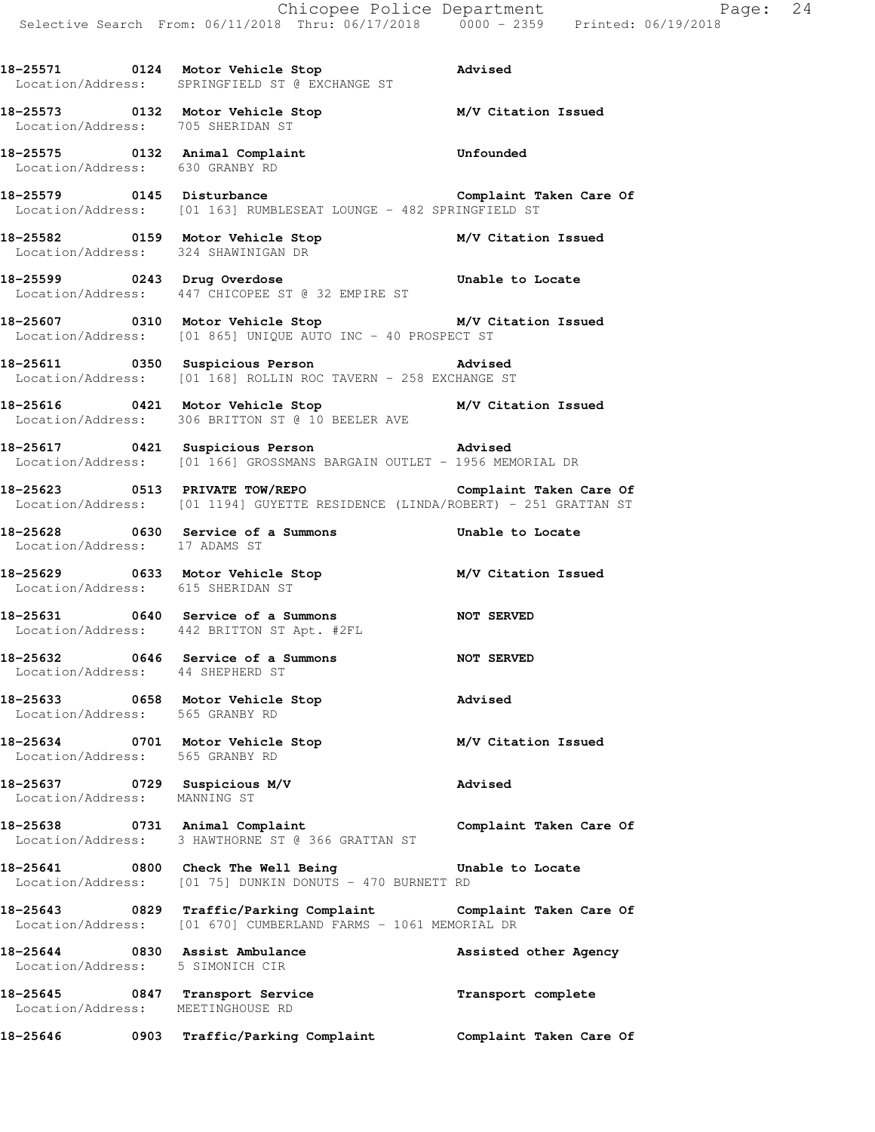**18-25571 0124 Motor Vehicle Stop Advised** 

 Location/Address: SPRINGFIELD ST @ EXCHANGE ST **18-25573 0132 Motor Vehicle Stop M/V Citation Issued**  Location/Address: 705 SHERIDAN ST **18-25575 0132 Animal Complaint Unfounded**  Location/Address: 630 GRANBY RD 18-25579 0145 Disturbance **Complaint Taken Care Of** Location/Address: [01 163] RUMBLESEAT LOUNGE - 482 SPRINGFIELD ST **18-25582 0159 Motor Vehicle Stop M/V Citation Issued**  Location/Address: 324 SHAWINIGAN DR **18-25599 0243 Drug Overdose Unable to Locate**  Location/Address: 447 CHICOPEE ST @ 32 EMPIRE ST **18-25607 0310 Motor Vehicle Stop M/V Citation Issued**  Location/Address: [01 865] UNIQUE AUTO INC - 40 PROSPECT ST **18-25611 0350 Suspicious Person Advised**  Location/Address: [01 168] ROLLIN ROC TAVERN - 258 EXCHANGE ST **18-25616 0421 Motor Vehicle Stop M/V Citation Issued**  Location/Address: 306 BRITTON ST @ 10 BEELER AVE **18-25617 0421 Suspicious Person Advised**  Location/Address: [01 166] GROSSMANS BARGAIN OUTLET - 1956 MEMORIAL DR **18-25623 0513 PRIVATE TOW/REPO Complaint Taken Care Of**  Location/Address: [01 1194] GUYETTE RESIDENCE (LINDA/ROBERT) - 251 GRATTAN ST **18-25628 0630 Service of a Summons Unable to Locate**  Location/Address: 17 ADAMS ST **18-25629 0633 Motor Vehicle Stop M/V Citation Issued**  Location/Address: 615 SHERIDAN ST **18-25631 0640 Service of a Summons NOT SERVED**  Location/Address: 442 BRITTON ST Apt. #2FL **18-25632 0646 Service of a Summons NOT SERVED**  Location/Address: 44 SHEPHERD ST **18-25633 0658 Motor Vehicle Stop Advised**  Location/Address: 565 GRANBY RD **18-25634 0701 Motor Vehicle Stop M/V Citation Issued**  Location/Address: 565 GRANBY RD **18-25637 0729 Suspicious M/V Advised**  Location/Address: MANNING ST **18-25638 0731 Animal Complaint Complaint Taken Care Of**  Location/Address: 3 HAWTHORNE ST @ 366 GRATTAN ST **18-25641 0800 Check The Well Being Unable to Locate**  Location/Address: [01 75] DUNKIN DONUTS - 470 BURNETT RD **18-25643 0829 Traffic/Parking Complaint Complaint Taken Care Of**  Location/Address: [01 670] CUMBERLAND FARMS - 1061 MEMORIAL DR 18-25644 0830 Assist Ambulance **Assisted other Agency**  Location/Address: 5 SIMONICH CIR **18-25645 0847 Transport Service Transport complete**  Location/Address: MEETINGHOUSE RD **18-25646 0903 Traffic/Parking Complaint Complaint Taken Care Of**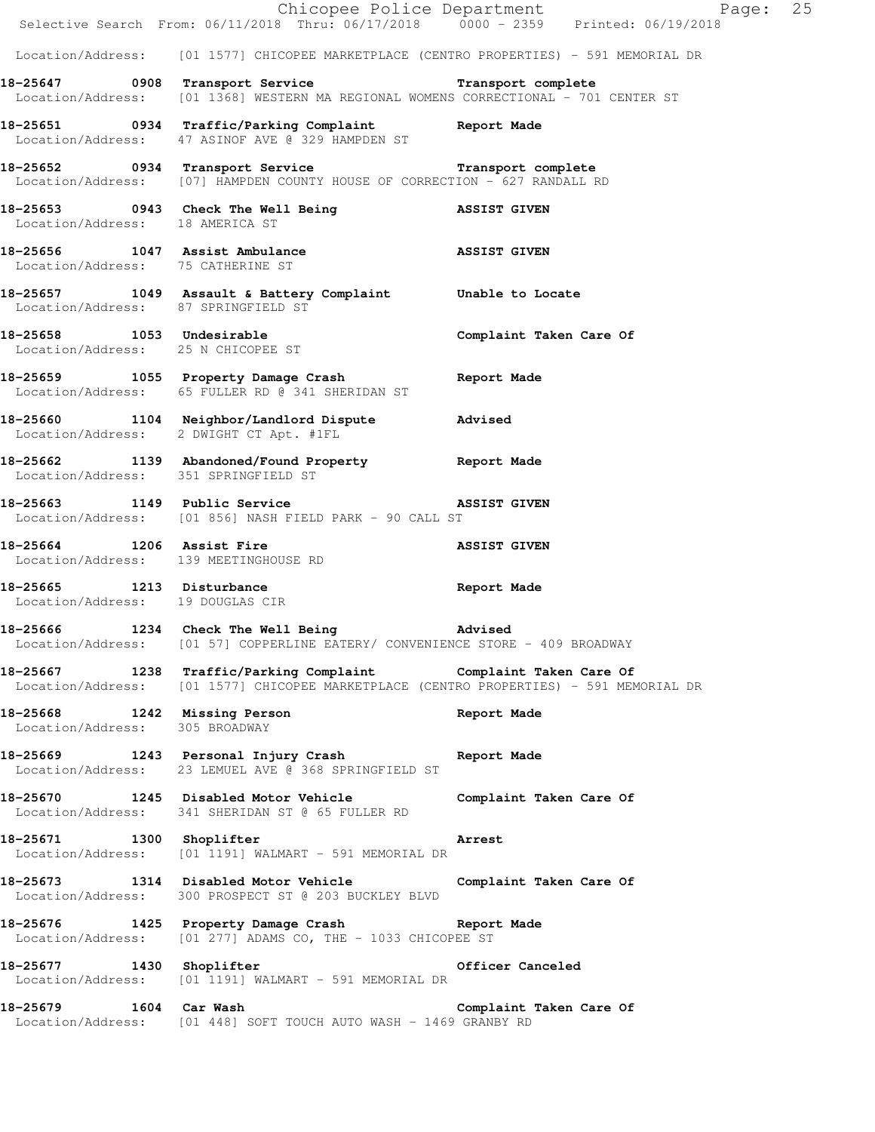|                                                                 | Chicopee Police Department<br>Selective Search From: 06/11/2018 Thru: 06/17/2018 0000 - 2359 Printed: 06/19/2018                                          | Page: 25                |
|-----------------------------------------------------------------|-----------------------------------------------------------------------------------------------------------------------------------------------------------|-------------------------|
|                                                                 |                                                                                                                                                           |                         |
|                                                                 | Location/Address: [01 1577] CHICOPEE MARKETPLACE (CENTRO PROPERTIES) - 591 MEMORIAL DR                                                                    |                         |
|                                                                 | 18-25647 0908 Transport Service <b>18-25647</b> Transport complete<br>Location/Address: [01 1368] WESTERN MA REGIONAL WOMENS CORRECTIONAL - 701 CENTER ST |                         |
|                                                                 | 18-25651 0934 Traffic/Parking Complaint Report Made<br>Location/Address: 47 ASINOF AVE @ 329 HAMPDEN ST                                                   |                         |
|                                                                 | 18-25652 0934 Transport Service <b>18-25652</b> Transport complete<br>Location/Address: [07] HAMPDEN COUNTY HOUSE OF CORRECTION - 627 RANDALL RD          |                         |
| Location/Address: 18 AMERICA ST                                 | 18-25653 0943 Check The Well Being NASSIST GIVEN                                                                                                          |                         |
| Location/Address: 75 CATHERINE ST                               | 18-25656 1047 Assist Ambulance ASSIST GIVEN                                                                                                               |                         |
|                                                                 | 18-25657 1049 Assault & Battery Complaint Unable to Locate Location/Address: 87 SPRINGFIELD ST                                                            |                         |
| 18-25658 1053 Undesirable<br>Location/Address: 25 N CHICOPEE ST |                                                                                                                                                           | Complaint Taken Care Of |
|                                                                 | 18-25659 1055 Property Damage Crash 18-25659 Report Made<br>Location/Address: 65 FULLER RD @ 341 SHERIDAN ST                                              |                         |
|                                                                 | 18-25660 1104 Neighbor/Landlord Dispute Advised<br>Location/Address: 2 DWIGHT CT Apt. #1FL                                                                |                         |
| Location/Address: 351 SPRINGFIELD ST                            | 18-25662 1139 Abandoned/Found Property Report Made                                                                                                        |                         |
|                                                                 | 18-25663 1149 Public Service <b>18-25663</b> ASSIST GIVEN<br>Location/Address: [01 856] NASH FIELD PARK - 90 CALL ST                                      |                         |
|                                                                 | 18-25664 1206 Assist Fire<br>Location/Address: 139 MEETINGHOUSE RD                                                                                        | <b>ASSIST GIVEN</b>     |
| Location/Address: 19 DOUGLAS CIR                                | 18-25665 1213 Disturbance Report Made                                                                                                                     |                         |
|                                                                 | 18-25666 1234 Check The Well Being New Advised<br>Location/Address: [01 57] COPPERLINE EATERY/ CONVENIENCE STORE - 409 BROADWAY                           |                         |
|                                                                 | 18-25667 1238 Traffic/Parking Complaint Complaint Taken Care Of<br>Location/Address: [01 1577] CHICOPEE MARKETPLACE (CENTRO PROPERTIES) - 591 MEMORIAL DR |                         |
| Location/Address: 305 BROADWAY                                  | 18-25668 1242 Missing Person                                                                                                                              | Report Made             |
|                                                                 | 18-25669 1243 Personal Injury Crash<br>Location/Address: 23 LEMUEL AVE @ 368 SPRINGFIELD ST                                                               | Report Made             |
|                                                                 | 18-25670 1245 Disabled Motor Vehicle<br>Location/Address: 341 SHERIDAN ST @ 65 FULLER RD                                                                  | Complaint Taken Care Of |
| 18-25671 1300 Shoplifter                                        | Location/Address: [01 1191] WALMART - 591 MEMORIAL DR                                                                                                     | Arrest                  |
|                                                                 | 18-25673 1314 Disabled Motor Vehicle Complaint Taken Care Of<br>Location/Address: 300 PROSPECT ST @ 203 BUCKLEY BLVD                                      |                         |
|                                                                 | 18-25676 1425 Property Damage Crash Report Made<br>Location/Address: [01 277] ADAMS CO, THE - 1033 CHICOPEE ST                                            |                         |
| 18-25677 1430 Shoplifter                                        | Location/Address: [01 1191] WALMART - 591 MEMORIAL DR                                                                                                     | Officer Canceled        |
| 18-25679 1604 Car Wash                                          | Location/Address: [01 448] SOFT TOUCH AUTO WASH - 1469 GRANBY RD                                                                                          | Complaint Taken Care Of |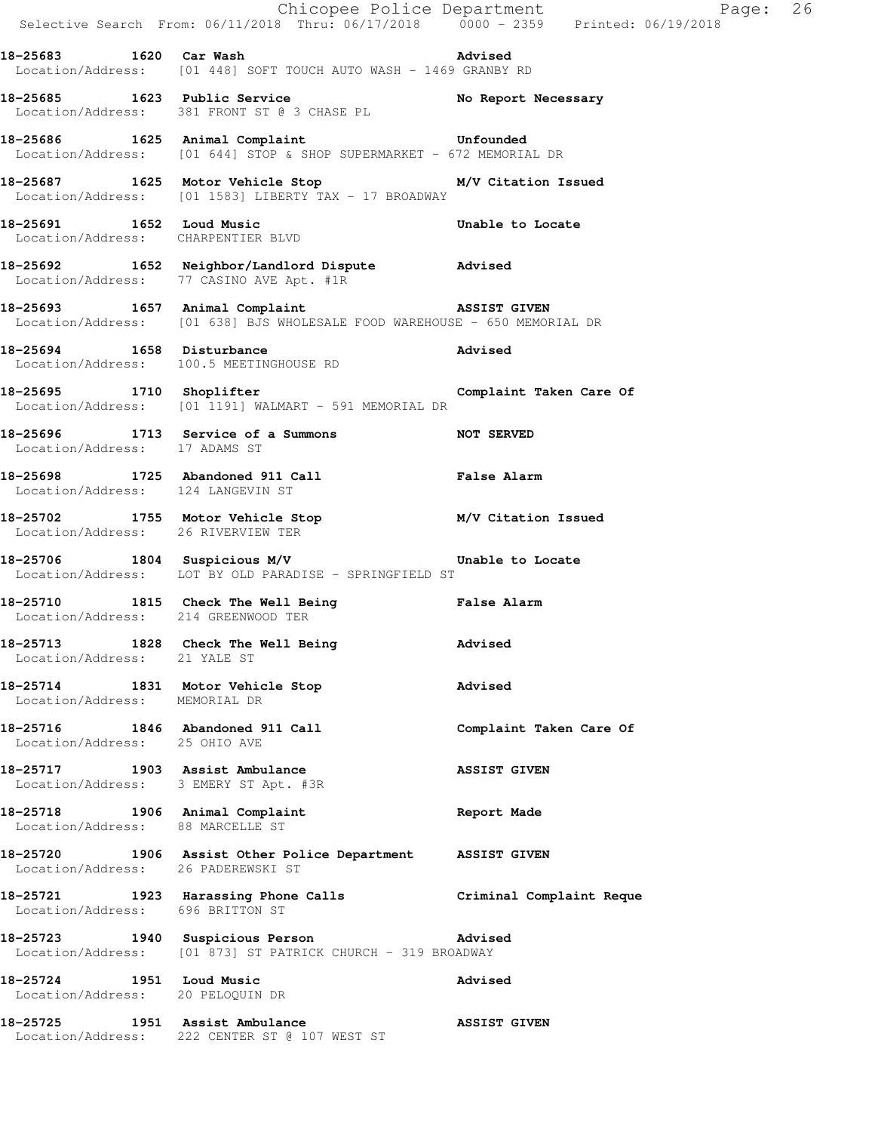|                                                                         | E<br>Chicopee Police Department<br>Selective Search From: 06/11/2018 Thru: 06/17/2018 0000 - 2359 Printed: 06/19/2018     | Page: 26                |  |
|-------------------------------------------------------------------------|---------------------------------------------------------------------------------------------------------------------------|-------------------------|--|
|                                                                         | 18-25683 1620 Car Wash 18-25683<br>Location/Address: [01 448] SOFT TOUCH AUTO WASH - 1469 GRANBY RD                       |                         |  |
|                                                                         | 18-25685 1623 Public Service No Report Necessary<br>Location/Address: 381 FRONT ST @ 3 CHASE PL                           |                         |  |
|                                                                         | 18-25686 1625 Animal Complaint 18-25686 Unfounded<br>Location/Address: [01 644] STOP & SHOP SUPERMARKET - 672 MEMORIAL DR |                         |  |
|                                                                         | 18-25687 1625 Motor Vehicle Stop 18-25687<br>Location/Address: [01 1583] LIBERTY TAX - 17 BROADWAY                        |                         |  |
| Location/Address: CHARPENTIER BLVD                                      | 18-25691 1652 Loud Music                                                                                                  | Unable to Locate        |  |
|                                                                         | 18-25692 1652 Neighbor/Landlord Dispute Advised<br>Location/Address: 77 CASINO AVE Apt. #1R                               |                         |  |
|                                                                         | 18-25693 1657 Animal Complaint 18-25693<br>Location/Address: [01 638] BJS WHOLESALE FOOD WAREHOUSE - 650 MEMORIAL DR      |                         |  |
| 18-25694 1658 Disturbance                                               | Location/Address: 100.5 MEETINGHOUSE RD                                                                                   | Advised                 |  |
|                                                                         | 18-25695 1710 Shoplifter Complaint Taken Care Of Location/Address: [01 1191] WALMART - 591 MEMORIAL DR                    |                         |  |
| Location/Address: 17 ADAMS ST                                           | 18-25696 1713 Service of a Summons NOT SERVED                                                                             |                         |  |
| Location/Address: 124 LANGEVIN ST                                       | 18-25698 1725 Abandoned 911 Call <b>False Alarm</b>                                                                       |                         |  |
| Location/Address: 26 RIVERVIEW TER                                      | 18-25702 1755 Motor Vehicle Stop M/V Citation Issued                                                                      |                         |  |
|                                                                         | 18-25706 1804 Suspicious M/V Contract Unable to Locate<br>Location/Address: LOT BY OLD PARADISE - SPRINGFIELD ST          |                         |  |
| Location/Address: 214 GREENWOOD TER                                     | 18-25710 1815 Check The Well Being Talse Alarm                                                                            |                         |  |
| Location/Address: 21 YALE ST                                            | 18-25713 1828 Check The Well Being                                                                                        | Advised                 |  |
| 18-25714 1831 Motor Vehicle Stop<br>Location/Address: MEMORIAL DR       |                                                                                                                           | Advised                 |  |
| 18-25716 1846 Abandoned 911 Call<br>Location/Address: 25 OHIO AVE       |                                                                                                                           | Complaint Taken Care Of |  |
| 18-25717 1903 Assist Ambulance<br>Location/Address: 3 EMERY ST Apt. #3R |                                                                                                                           | <b>ASSIST GIVEN</b>     |  |
| 18-25718 1906 Animal Complaint<br>Location/Address: 88 MARCELLE ST      |                                                                                                                           | Report Made             |  |
| Location/Address: 26 PADEREWSKI ST                                      | 18-25720 1906 Assist Other Police Department ASSIST GIVEN                                                                 |                         |  |
| Location/Address: 696 BRITTON ST                                        | 18-25721 1923 Harassing Phone Calls <b>18-25721</b> Criminal Complaint Reque                                              |                         |  |
|                                                                         | 18-25723 1940 Suspicious Person and Movised<br>Location/Address: [01 873] ST PATRICK CHURCH - 319 BROADWAY                |                         |  |
| 18-25724 1951 Loud Music<br>Location/Address: 20 PELOQUIN DR            |                                                                                                                           | Advised                 |  |
| 18-25725                                                                | 1951 Assist Ambulance                                                                                                     | <b>ASSIST GIVEN</b>     |  |

Location/Address: 222 CENTER ST @ 107 WEST ST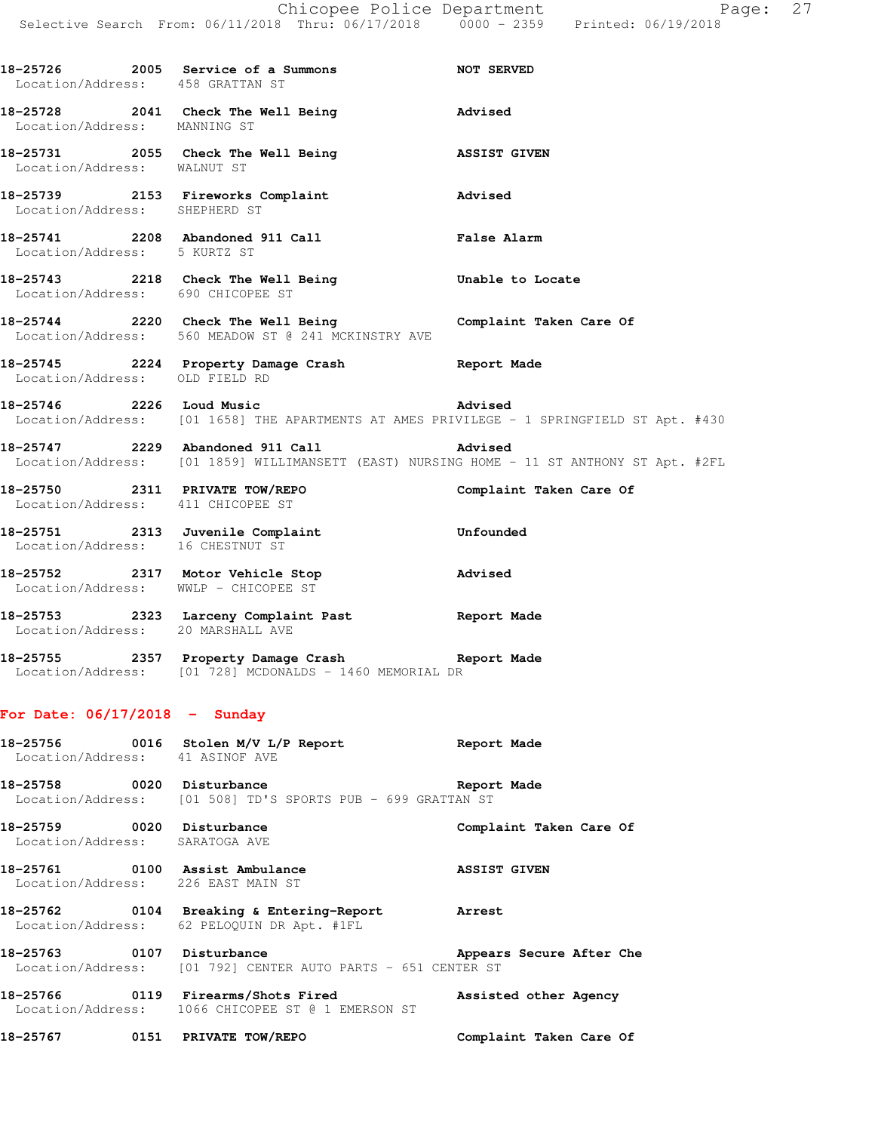|                                                                      | E Chicopee Police Department<br>Selective Search From: 06/11/2018 Thru: 06/17/2018 0000 - 2359 Printed: 06/19/2018 | Page: 27                                                                                                    |  |
|----------------------------------------------------------------------|--------------------------------------------------------------------------------------------------------------------|-------------------------------------------------------------------------------------------------------------|--|
| Location/Address: 458 GRATTAN ST                                     | 18-25726 2005 Service of a Summons NOT SERVED                                                                      |                                                                                                             |  |
| Location/Address: MANNING ST                                         | 18-25728 2041 Check The Well Being 30 Advised                                                                      |                                                                                                             |  |
| Location/Address: WALNUT ST                                          | 18-25731 2055 Check The Well Being <b>Example 2018</b> ASSIST GIVEN                                                |                                                                                                             |  |
| Location/Address: SHEPHERD ST                                        | 18-25739 2153 Fireworks Complaint                                                                                  | Advised                                                                                                     |  |
| Location/Address: 5 KURTZ ST                                         | 18-25741 2208 Abandoned 911 Call <b>False Alarm</b>                                                                |                                                                                                             |  |
| Location/Address: 690 CHICOPEE ST                                    | 18-25743 2218 Check The Well Being Chable to Locate                                                                |                                                                                                             |  |
|                                                                      | 18-25744 2220 Check The Well Being Complaint Taken Care Of<br>Location/Address: 560 MEADOW ST @ 241 MCKINSTRY AVE  |                                                                                                             |  |
| Location/Address: OLD FIELD RD                                       | 18-25745 2224 Property Damage Crash Report Made                                                                    |                                                                                                             |  |
|                                                                      | 18-25746 2226 Loud Music                                                                                           | <b>Advised</b><br>Location/Address: [01 1658] THE APARTMENTS AT AMES PRIVILEGE - 1 SPRINGFIELD ST Apt. #430 |  |
|                                                                      |                                                                                                                    |                                                                                                             |  |
| Location/Address: 411 CHICOPEE ST                                    | 18-25750 2311 PRIVATE TOW/REPO                                                                                     | Complaint Taken Care Of                                                                                     |  |
| Location/Address: 16 CHESTNUT ST                                     | 18-25751 2313 Juvenile Complaint                                                                                   | Unfounded                                                                                                   |  |
|                                                                      | 18-25752 2317 Motor Vehicle Stop<br>Location/Address: WWLP - CHICOPEE ST                                           | Advised                                                                                                     |  |
| Location/Address: 20 MARSHALL AVE                                    | 18-25753 2323 Larceny Complaint Past Report Made                                                                   |                                                                                                             |  |
|                                                                      | Location/Address: [01 728] MCDONALDS - 1460 MEMORIAL DR                                                            |                                                                                                             |  |
| For Date: 06/17/2018 - Sunday                                        |                                                                                                                    |                                                                                                             |  |
| 18-25756<br>Location/Address: 41 ASINOF AVE                          | 0016 Stolen M/V L/P Report                                                                                         | <b>Report Made</b>                                                                                          |  |
| 18-25758 0020 Disturbance<br>Location/Address:                       | [01 508] TD'S SPORTS PUB - 699 GRATTAN ST                                                                          | Report Made                                                                                                 |  |
| 18-25759 0020 Disturbance<br>Location/Address:                       | SARATOGA AVE                                                                                                       | Complaint Taken Care Of                                                                                     |  |
| 18-25761 0100 Assist Ambulance<br>Location/Address: 226 EAST MAIN ST |                                                                                                                    | <b>ASSIST GIVEN</b>                                                                                         |  |
| 18-25762                                                             | 0104 Breaking & Entering-Report<br>Location/Address: 62 PELOQUIN DR Apt. #1FL                                      | <b>Arrest</b>                                                                                               |  |
| 18-25763 0107 Disturbance                                            |                                                                                                                    | Appears Secure After Che                                                                                    |  |

18-25763 0107 Disturbance **All Appears Secure After Che** Location/Address: [01 792] CENTER AUTO PARTS - 651 CENTER ST

**18-25766 0119 Firearms/Shots Fired Assisted other Agency**  Location/Address: 1066 CHICOPEE ST @ 1 EMERSON ST

**18-25767 0151 PRIVATE TOW/REPO Complaint Taken Care Of**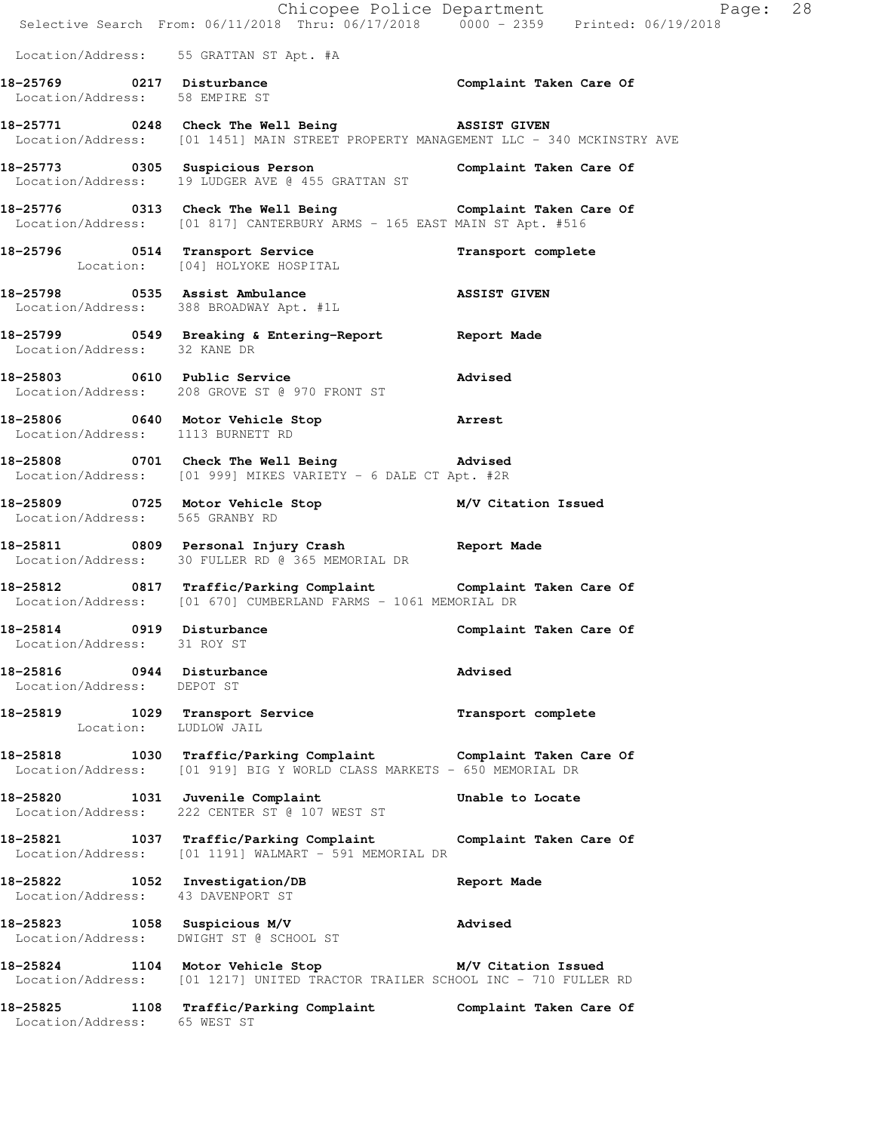|                                                                     | Chicopee Police Department<br>Selective Search From: 06/11/2018 Thru: 06/17/2018 0000 - 2359 Printed: 06/19/2018                            | Page: 28                |  |
|---------------------------------------------------------------------|---------------------------------------------------------------------------------------------------------------------------------------------|-------------------------|--|
|                                                                     | Location/Address: 55 GRATTAN ST Apt. #A                                                                                                     |                         |  |
| Location/Address: 58 EMPIRE ST                                      | 18-25769 0217 Disturbance                                                                                                                   | Complaint Taken Care Of |  |
|                                                                     | 18-25771 0248 Check The Well Being 35SIST GIVEN<br>Location/Address: [01 1451] MAIN STREET PROPERTY MANAGEMENT LLC - 340 MCKINSTRY AVE      |                         |  |
|                                                                     | 18-25773 0305 Suspicious Person Complaint Taken Care Of<br>Location/Address: 19 LUDGER AVE @ 455 GRATTAN ST                                 |                         |  |
|                                                                     | 18-25776 		 0313 Check The Well Being 		 Complaint Taken Care Of<br>Location/Address: [01 817] CANTERBURY ARMS - 165 EAST MAIN ST Apt. #516 |                         |  |
| 18-25796 0514 Transport Service                                     | Location: [04] HOLYOKE HOSPITAL                                                                                                             | Transport complete      |  |
|                                                                     | 18-25798 0535 Assist Ambulance<br>Location/Address: 388 BROADWAY Apt. #1L                                                                   | <b>ASSIST GIVEN</b>     |  |
| Location/Address: 32 KANE DR                                        | 18-25799 0549 Breaking & Entering-Report 18 Report Made                                                                                     |                         |  |
|                                                                     | 18-25803 0610 Public Service<br>Location/Address: 208 GROVE ST @ 970 FRONT ST                                                               | Advised                 |  |
| Location/Address: 1113 BURNETT RD                                   | 18-25806 0640 Motor Vehicle Stop 3 Arrest                                                                                                   |                         |  |
|                                                                     | 18-25808 0701 Check The Well Being 30 Movised<br>Location/Address: [01 999] MIKES VARIETY - 6 DALE CT Apt. #2R                              |                         |  |
| Location/Address: 565 GRANBY RD                                     | 18-25809 0725 Motor Vehicle Stop M/V Citation Issued                                                                                        |                         |  |
|                                                                     | 18-25811 0809 Personal Injury Crash Report Made<br>Location/Address: 30 FULLER RD @ 365 MEMORIAL DR                                         |                         |  |
|                                                                     | 18-25812 0817 Traffic/Parking Complaint Complaint Taken Care Of<br>Location/Address: [01 670] CUMBERLAND FARMS - 1061 MEMORIAL DR           |                         |  |
| 18-25814 0919 Disturbance<br>Location/Address: 31 ROY ST            |                                                                                                                                             | Complaint Taken Care Of |  |
| 18-25816 0944 Disturbance<br>Location/Address: DEPOT ST             |                                                                                                                                             | Advised                 |  |
|                                                                     | 18-25819 1029 Transport Service<br>Location: LUDLOW JAIL                                                                                    | Transport complete      |  |
|                                                                     | 18-25818 1030 Traffic/Parking Complaint Complaint Taken Care Of<br>Location/Address: [01 919] BIG Y WORLD CLASS MARKETS - 650 MEMORIAL DR   |                         |  |
|                                                                     | 18-25820 1031 Juvenile Complaint<br>Location/Address: 222 CENTER ST @ 107 WEST ST                                                           | Unable to Locate        |  |
|                                                                     | 18-25821 1037 Traffic/Parking Complaint Complaint Taken Care Of<br>Location/Address: [01 1191] WALMART - 591 MEMORIAL DR                    |                         |  |
| 18-25822 1052 Investigation/DB<br>Location/Address: 43 DAVENPORT ST |                                                                                                                                             | Report Made             |  |
|                                                                     | 18-25823 1058 Suspicious M/V<br>Location/Address: DWIGHT ST @ SCHOOL ST                                                                     | <b>Advised</b>          |  |
|                                                                     | 18-25824 1104 Motor Vehicle Stop M/V Citation Issued<br>Location/Address: [01 1217] UNITED TRACTOR TRAILER SCHOOL INC - 710 FULLER RD       |                         |  |
| Location/Address: 65 WEST ST                                        | 18-25825 1108 Traffic/Parking Complaint Complaint Taken Care Of                                                                             |                         |  |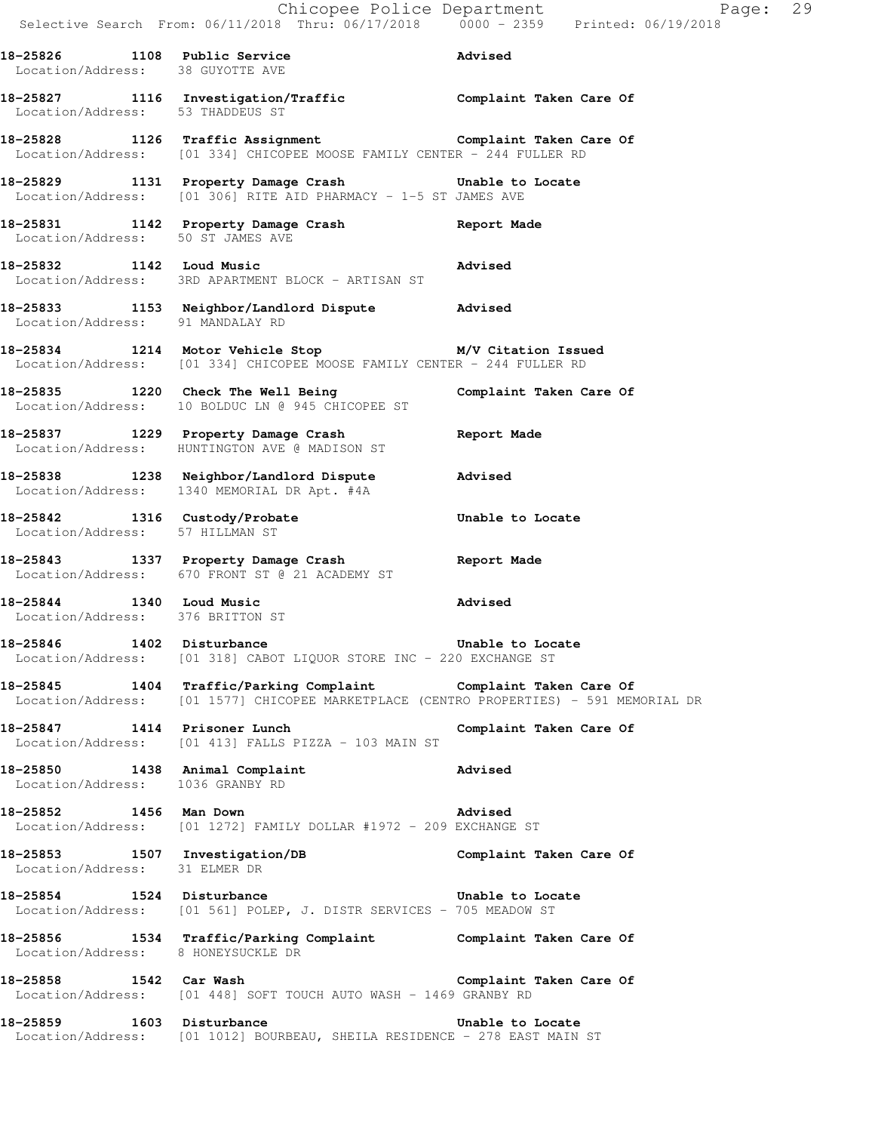|                                                                    | Selective Search From: 06/11/2018 Thru: 06/17/2018 0000 - 2359 Printed: 06/19/2018                                                                        | Chicopee Police Department<br>Page: 29 |  |
|--------------------------------------------------------------------|-----------------------------------------------------------------------------------------------------------------------------------------------------------|----------------------------------------|--|
| Location/Address: 38 GUYOTTE AVE                                   | 18-25826 1108 Public Service and Marised                                                                                                                  |                                        |  |
| Location/Address: 53 THADDEUS ST                                   | 18-25827 1116 Investigation/Traffic Complaint Taken Care Of                                                                                               |                                        |  |
|                                                                    | 18-25828 1126 Traffic Assignment <b>18-25828</b> Complaint Taken Care Of<br>Location/Address: [01 334] CHICOPEE MOOSE FAMILY CENTER - 244 FULLER RD       |                                        |  |
|                                                                    | 18-25829 1131 Property Damage Crash 5 Unable to Locate<br>Location/Address: [01 306] RITE AID PHARMACY - 1-5 ST JAMES AVE                                 |                                        |  |
| Location/Address: 50 ST JAMES AVE                                  | 18-25831 1142 Property Damage Crash Report Made                                                                                                           |                                        |  |
| 18-25832 1142 Loud Music                                           | Advised<br>Location/Address: 3RD APARTMENT BLOCK - ARTISAN ST                                                                                             |                                        |  |
|                                                                    | 18-25833 1153 Neighbor/Landlord Dispute Advised<br>Location/Address: 91 MANDALAY RD                                                                       |                                        |  |
|                                                                    | 18-25834 1214 Motor Vehicle Stop M/V Citation Issued<br>Location/Address: [01 334] CHICOPEE MOOSE FAMILY CENTER - 244 FULLER RD                           |                                        |  |
|                                                                    | 18-25835 1220 Check The Well Being<br>Location/Address: 10 BOLDUC LN @ 945 CHICOPEE ST                                                                    | Complaint Taken Care Of                |  |
|                                                                    | 18-25837 1229 Property Damage Crash Neport Made<br>Location/Address: HUNTINGTON AVE @ MADISON ST                                                          |                                        |  |
|                                                                    | 18-25838 1238 Neighbor/Landlord Dispute Advised<br>Location/Address: 1340 MEMORIAL DR Apt. #4A                                                            |                                        |  |
| Location/Address: 57 HILLMAN ST                                    | 18-25842 1316 Custody/Probate                                                                                                                             | Unable to Locate                       |  |
|                                                                    | 18-25843 1337 Property Damage Crash Report Made<br>Location/Address: 670 FRONT ST @ 21 ACADEMY ST                                                         |                                        |  |
| 18-25844 1340 Loud Music<br>Location/Address: 376 BRITTON ST       |                                                                                                                                                           | Advised                                |  |
| 18-25846 1402 Disturbance                                          | Unable to Locate<br>Location/Address: [01 318] CABOT LIQUOR STORE INC - 220 EXCHANGE ST                                                                   |                                        |  |
|                                                                    | 18-25845 1404 Traffic/Parking Complaint Complaint Taken Care Of<br>Location/Address: [01 1577] CHICOPEE MARKETPLACE (CENTRO PROPERTIES) - 591 MEMORIAL DR |                                        |  |
| 18-25847 1414 Prisoner Lunch                                       | Location/Address: [01 413] FALLS PIZZA - 103 MAIN ST                                                                                                      | Complaint Taken Care Of                |  |
| 18-25850 1438 Animal Complaint<br>Location/Address: 1036 GRANBY RD |                                                                                                                                                           | Advised                                |  |
| 18-25852 1456 Man Down                                             | Location/Address: [01 1272] FAMILY DOLLAR #1972 - 209 EXCHANGE ST                                                                                         | Advised                                |  |
| Location/Address: 31 ELMER DR                                      | 18-25853 1507 Investigation/DB                                                                                                                            | Complaint Taken Care Of                |  |
|                                                                    | 18-25854 1524 Disturbance<br>Location/Address: [01 561] POLEP, J. DISTR SERVICES - 705 MEADOW ST                                                          | Unable to Locate                       |  |
| Location/Address: 8 HONEYSUCKLE DR                                 | 18-25856 1534 Traffic/Parking Complaint Complaint Taken Care Of                                                                                           |                                        |  |
| 18-25858 1542 Car Wash                                             | Location/Address: [01 448] SOFT TOUCH AUTO WASH - 1469 GRANBY RD                                                                                          | Complaint Taken Care Of                |  |
| 18-25859                                                           | 1603 Disturbance                                                                                                                                          | Unable to Locate                       |  |

Location/Address: [01 1012] BOURBEAU, SHEILA RESIDENCE - 278 EAST MAIN ST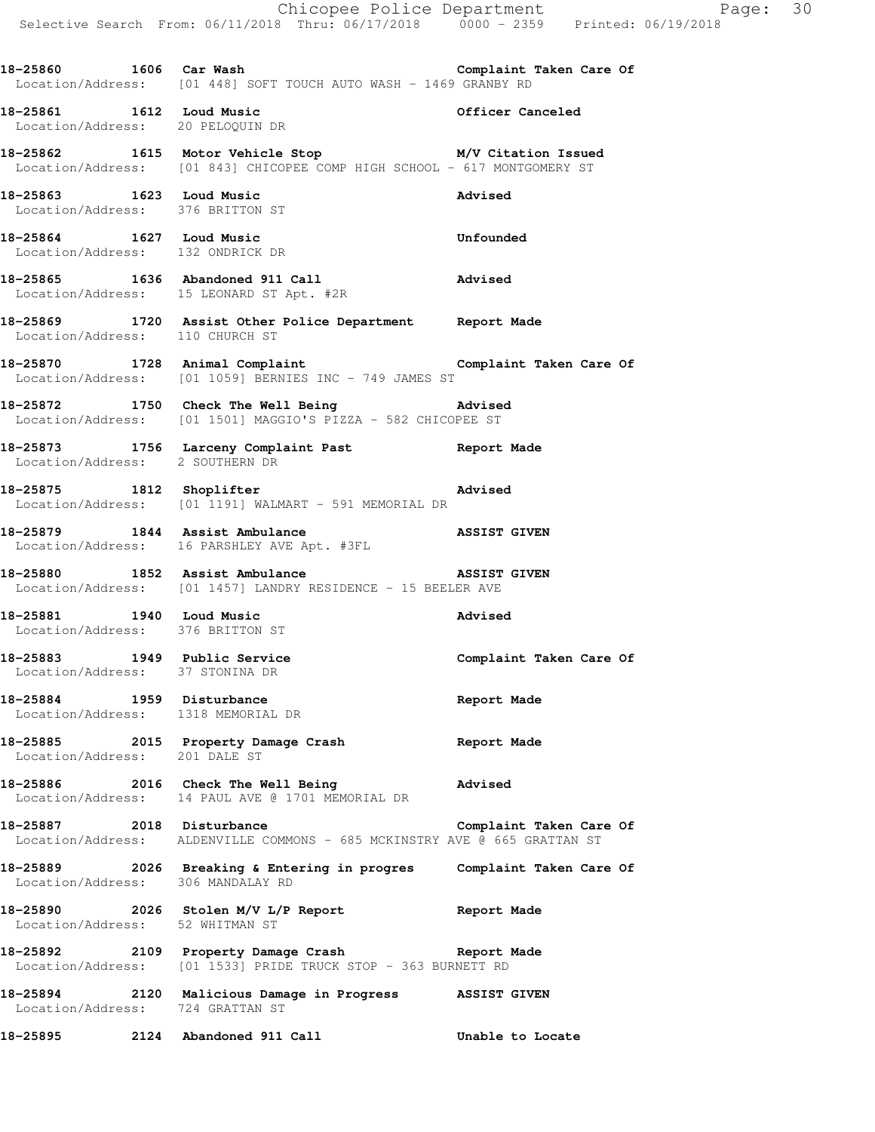Selective Search From: 06/11/2018 Thru: 06/17/2018 0000 - 2359 Printed: 06/19/2018 **18-25860 1606 Car Wash Complaint Taken Care Of**  Location/Address: [01 448] SOFT TOUCH AUTO WASH - 1469 GRANBY RD **18-25861 1612 Loud Music Officer Canceled**  Location/Address: 20 PELOQUIN DR **18-25862 1615 Motor Vehicle Stop M/V Citation Issued**  Location/Address: [01 843] CHICOPEE COMP HIGH SCHOOL - 617 MONTGOMERY ST **18-25863 1623 Loud Music Advised**  Location/Address: 376 BRITTON ST **18-25864 1627 Loud Music Unfounded**  Location/Address: 132 ONDRICK DR **18-25865 1636 Abandoned 911 Call Advised**  Location/Address: 15 LEONARD ST Apt. #2R **18-25869 1720 Assist Other Police Department Report Made**  Location/Address: 110 CHURCH ST **18-25870 1728 Animal Complaint Complaint Taken Care Of**  Location/Address: [01 1059] BERNIES INC - 749 JAMES ST **18-25872 1750 Check The Well Being Advised**  Location/Address: [01 1501] MAGGIO'S PIZZA - 582 CHICOPEE ST **18-25873 1756 Larceny Complaint Past Report Made**  Location/Address: 2 SOUTHERN DR **18-25875 1812 Shoplifter Advised**  Location/Address: [01 1191] WALMART - 591 MEMORIAL DR **18-25879 1844 Assist Ambulance ASSIST GIVEN**  Location/Address: 16 PARSHLEY AVE Apt. #3FL **18-25880 1852 Assist Ambulance ASSIST GIVEN**  Location/Address: [01 1457] LANDRY RESIDENCE - 15 BEELER AVE **18-25881 1940 Loud Music Advised**  Location/Address: 376 BRITTON ST 18-25883 1949 Public Service **18-25883** Complaint Taken Care Of Location/Address: 37 STONINA DR **18-25884 1959 Disturbance Report Made**  Location/Address: 1318 MEMORIAL DR **18-25885 2015 Property Damage Crash Report Made**  Location/Address: 201 DALE ST **18-25886 2016 Check The Well Being Advised**  Location/Address: 14 PAUL AVE @ 1701 MEMORIAL DR 18-25887 2018 Disturbance **Complaint Taken Care Of** Location/Address: ALDENVILLE COMMONS - 685 MCKINSTRY AVE @ 665 GRATTAN ST **18-25889 2026 Breaking & Entering in progres Complaint Taken Care Of**  Location/Address: 306 MANDALAY RD **18-25890 2026 Stolen M/V L/P Report Report Made**  Location/Address: 52 WHITMAN ST **18-25892 2109 Property Damage Crash Report Made**  Location/Address: [01 1533] PRIDE TRUCK STOP - 363 BURNETT RD **18-25894 2120 Malicious Damage in Progress ASSIST GIVEN**  Location/Address: 724 GRATTAN ST **18-25895 2124 Abandoned 911 Call Unable to Locate** 

Chicopee Police Department Page: 30